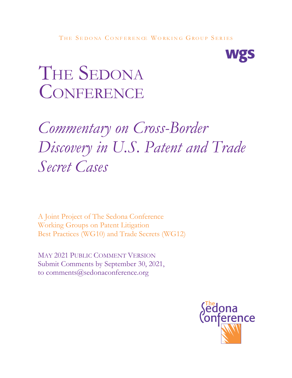

# THE SEDONA CONFERENCE

## *Commentary on Cross-Border Discovery in U.S. Patent and Trade Secret Cases*

A Joint Project of The Sedona Conference Working Groups on Patent Litigation Best Practices (WG10) and Trade Secrets (WG12)

MAY 2021 PUBLIC COMMENT VERSION Submit Comments by September 30, 2021, to comments@sedonaconference.org

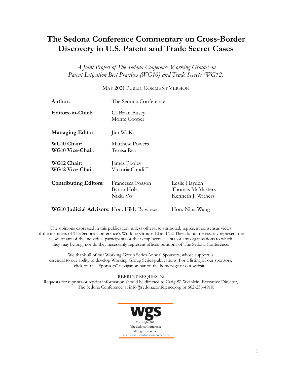### **The Sedona Conference Commentary on Cross-Border Discovery in U.S. Patent and Trade Secret Cases**

*A Joint Project of The Sedona Conference Working Groups on Patent Litigation Best Practices (WG10) and Trade Secrets (WG12)*

#### MAY 2021 PUBLIC COMMENT VERSION

| Author:                                    | The Sedona Conference                      |                                                         |
|--------------------------------------------|--------------------------------------------|---------------------------------------------------------|
| Editors-in-Chief:                          | G. Brian Busey<br>Monte Cooper             |                                                         |
| <b>Managing Editor:</b>                    | Jim W. Ko                                  |                                                         |
| WG10 Chair:<br><b>WG10 Vice-Chair:</b>     | <b>Matthew Powers</b><br>Teresa Rea        |                                                         |
| WG12 Chair:<br><b>WG12 Vice-Chair:</b>     | James Pooley<br>Victoria Cundiff           |                                                         |
| <b>Contributing Editors:</b>               | Francesca Fosson<br>Byron Holz<br>Nikki Vo | Leslie Hayden<br>Thomas McMasters<br>Kenneth J. Withers |
| WG10 Judicial Advisors: Hon. Hildy Bowbeer |                                            | Hon. Nina Wang                                          |

The opinions expressed in this publication, unless otherwise attributed, represent consensus views of the members of The Sedona Conference's Working Groups 10 and 12. They do not necessarily represent the views of any of the individual participants or their employers, clients, or any organizations to which they may belong, nor do they necessarily represent official positions of The Sedona Conference.

We thank all of our Working Group Series Annual Sponsors, whose support is essential to our ability to develop Working Group Series publications. For a listing of our sponsors, click on the "Sponsors" navigation bar on the homepage of our website.

REPRINT REQUESTS:

Requests for reprints or reprint information should be directed to Craig W. Weinlein, Executive Director, The Sedona Conference, at info@sedonaconference.org or 602-258-4910.

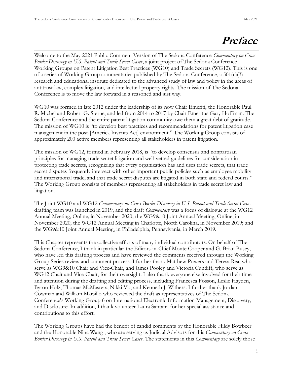### **Preface**

Welcome to the May 2021 Public Comment Version of The Sedona Conference *Commentary on Cross-Border Discovery in U.S. Patent and Trade Secret Cases*, a joint project of The Sedona Conference Working Groups on Patent Litigation Best Practices (WG10) and Trade Secrets (WG12). This is one of a series of Working Group commentaries published by The Sedona Conference, a  $501(c)(3)$ research and educational institute dedicated to the advanced study of law and policy in the areas of antitrust law, complex litigation, and intellectual property rights. The mission of The Sedona Conference is to move the law forward in a reasoned and just way.

WG10 was formed in late 2012 under the leadership of its now Chair Emeriti, the Honorable Paul R. Michel and Robert G. Sterne, and led from 2014 to 2017 by Chair Emeritus Gary Hoffman. The Sedona Conference and the entire patent litigation community owe them a great debt of gratitude. The mission of WG10 is "to develop best practices and recommendations for patent litigation case management in the post-[America Invents Act] environment." The Working Group consists of approximately 200 active members representing all stakeholders in patent litigation.

The mission of WG12, formed in February 2018, is "to develop consensus and nonpartisan principles for managing trade secret litigation and well-vetted guidelines for consideration in protecting trade secrets, recognizing that every organization has and uses trade secrets, that trade secret disputes frequently intersect with other important public policies such as employee mobility and international trade, and that trade secret disputes are litigated in both state and federal courts." The Working Group consists of members representing all stakeholders in trade secret law and litigation.

The Joint WG10 and WG12 *Commentary on Cross-Border Discovery in U.S. Patent and Trade Secret Cases* drafting team was launched in 2019, and the draft *Commentary* was a focus of dialogue at the WG12 Annual Meeting, Online, in November 2020; the WG9&10 Joint Annual Meeting, Online, in November 2020; the WG12 Annual Meeting in Charlotte, North Carolina, in November 2019; and the WG9&10 Joint Annual Meeting, in Philadelphia, Pennsylvania, in March 2019.

This Chapter represents the collective efforts of many individual contributors. On behalf of The Sedona Conference, I thank in particular the Editors-in-Chief Monte Cooper and G. Brian Busey, who have led this drafting process and have reviewed the comments received through the Working Group Series review and comment process. I further thank Matthew Powers and Teresa Rea, who serve as WG9&10 Chair and Vice-Chair, and James Pooley and Victoria Cundiff, who serve as WG12 Chair and Vice-Chair, for their oversight. I also thank everyone else involved for their time and attention during the drafting and editing process, including Francesca Fosson, Leslie Hayden, Byron Holz, Thomas McMasters, Nikki Vo, and Kenneth J. Withers. I further thank Jordan Cowman and William Marsillo who reviewed the draft as representatives of The Sedona Conference's Working Group 6 on International Electronic Information Management, Discovery, and Disclosure. In addition, I thank volunteer Laura Santana for her special assistance and contributions to this effort.

The Working Groups have had the benefit of candid comments by the Honorable Hildy Bowbeer and the Honorable Nina Wang , who are serving as Judicial Advisors for this *Commentary on Cross-Border Discovery in U.S. Patent and Trade Secret Cases*. The statements in this *Commentary* are solely those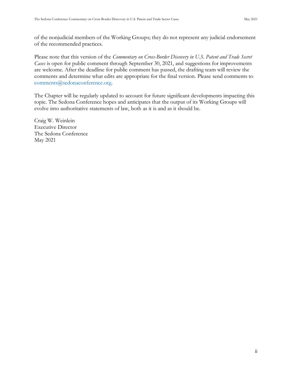of the nonjudicial members of the Working Groups; they do not represent any judicial endorsement of the recommended practices.

Please note that this version of the *Commentary on Cross-Border Discovery in U.S. Patent and Trade Secret Cases* is open for public comment through September 30, 2021, and suggestions for improvements are welcome. After the deadline for public comment has passed, the drafting team will review the comments and determine what edits are appropriate for the final version. Please send comments to [comments@sedonaconference.org.](mailto:comments@sedonaconference.org)

The Chapter will be regularly updated to account for future significant developments impacting this topic. The Sedona Conference hopes and anticipates that the output of its Working Groups will evolve into authoritative statements of law, both as it is and as it should be.

Craig W. Weinlein Executive Director The Sedona Conference May 2021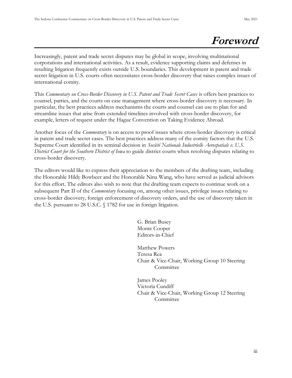### **Foreword**

Increasingly, patent and trade secret disputes may be global in scope, involving multinational corporations and international activities. As a result, evidence supporting claims and defenses in resulting litigation frequently exists outside U.S. boundaries. This development in patent and trade secret litigation in U.S. courts often necessitates cross-border discovery that raises complex issues of international comity.

This *Commentary on Cross-Border Discovery in U.S. Patent and Trade Secret Cases* is offers best practices to counsel, parties, and the courts on case management where cross-border discovery is necessary. In particular, the best practices address mechanisms the courts and counsel can use to plan for and streamline issues that arise from extended timelines involved with cross-border discovery, for example, letters of request under the Hague Convention on Taking Evidence Abroad.

Another focus of the *Commentary* is on access to proof issues where cross-border discovery is critical in patent and trade secret cases. The best practices address many of the comity factors that the U.S. Supreme Court identified in its seminal decision in *Société Nationale Industrielle Aerospatiale v. U.S. District Court for the Southern District of Iowa* to guide district courts when resolving disputes relating to cross-border discovery.

The editors would like to express their appreciation to the members of the drafting team, including the Honorable Hildy Bowbeer and the Honorable Nina Wang, who have served as judicial advisors for this effort. The editors also wish to note that the drafting team expects to continue work on a subsequent Part II of the *Commentary* focusing on, among other issues, privilege issues relating to cross-border discovery, foreign enforcement of discovery orders, and the use of discovery taken in the U.S. pursuant to 28 U.S.C. § 1782 for use in foreign litigation.

> G. Brian Busey Monte Cooper Editors-in-Chief

Matthew Powers Teresa Rea Chair & Vice-Chair, Working Group 10 Steering Committee

James Pooley Victoria Cundiff Chair & Vice-Chair, Working Group 12 Steering Committee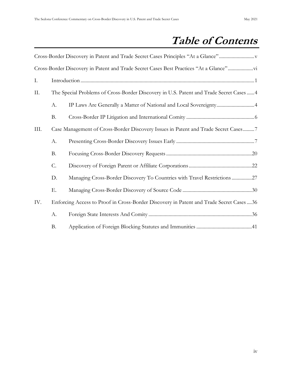### **Table of Contents**

|                |                                                                                         | Cross-Border Discovery in Patent and Trade Secret Cases Best Practices "At a Glance"     |  |
|----------------|-----------------------------------------------------------------------------------------|------------------------------------------------------------------------------------------|--|
| I.             |                                                                                         |                                                                                          |  |
| Π.             | The Special Problems of Cross-Border Discovery in U.S. Patent and Trade Secret Cases  4 |                                                                                          |  |
|                | А.                                                                                      | IP Laws Are Generally a Matter of National and Local Sovereignty4                        |  |
| <b>B.</b>      |                                                                                         |                                                                                          |  |
| III.           | Case Management of Cross-Border Discovery Issues in Patent and Trade Secret Cases7      |                                                                                          |  |
|                | A.                                                                                      |                                                                                          |  |
|                | <b>B.</b>                                                                               |                                                                                          |  |
| C.<br>D.<br>Ε. |                                                                                         |                                                                                          |  |
|                |                                                                                         | Managing Cross-Border Discovery To Countries with Travel Restrictions 27                 |  |
|                |                                                                                         |                                                                                          |  |
| IV.            |                                                                                         | Enforcing Access to Proof in Cross-Border Discovery in Patent and Trade Secret Cases  36 |  |
|                | А.                                                                                      |                                                                                          |  |
|                | <b>B.</b>                                                                               |                                                                                          |  |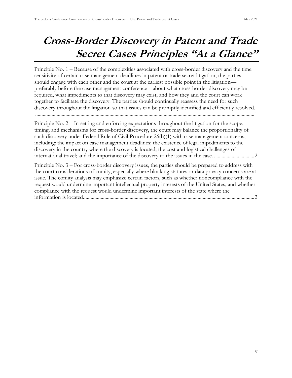### <span id="page-6-0"></span>**Cross-Border Discovery in Patent and Trade Secret Cases Principles "At a Glance"**

Principle No. 1 – [Because of the complexities associated with cross-border discovery and the time](#page-9-1)  [sensitivity of certain case management deadlines in patent or trade secret litigation, the parties](#page-9-1)  [should engage with each other and the court at the earliest possible point in](#page-9-1) the litigation [preferably before the case management conference](#page-9-1)—about what cross-border discovery may be [required, what impediments to that discovery may exist, and how they and the court can work](#page-9-1)  [together to facilitate the discovery. The parties should continually reassess the need for such](#page-9-1)  [discovery throughout the litigation so that issues can be promptly identified and efficiently resolved.](#page-9-1) [..............................................................................................................................................................................1](#page-9-1)

Principle No. 2 – [In setting and enforcing expectations throughout the litigation for the scope,](#page-10-0)  [timing, and mechanisms for cross-border discovery, the court may balance the proportionality of](#page-10-0)  [such discovery under Federal Rule of Civil Procedure 26\(b\)\(1\) with case management concerns,](#page-10-0)  [including: the impact on case management deadlines; the existence of legal impediments to the](#page-10-0)  [discovery in the country where the discovery is located; the cost and logistical challenges of](#page-10-0)  [international travel; and the importance of the discovery to the issues in the case.](#page-10-0) ................................2

Principle No. 3 – [For cross-border discovery issues, the parties should be prepared to address with](#page-10-1)  [the court considerations of comity, especially where blocking statutes or data privacy concerns are at](#page-10-1)  [issue. The comity analysis may emphasize certain factors, such as whether noncompliance with the](#page-10-1)  [request would undermine important intellectual property interests of the United States, and whether](#page-10-1)  [compliance with the request would undermine important interests of the state where the](#page-10-1)  information [is located........................................................................................................................................2](#page-10-1)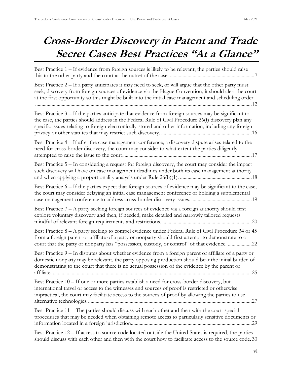### <span id="page-7-0"></span>**Cross-Border Discovery in Patent and Trade Secret Cases Best Practices "At a Glance"**

Best Practice 1 – [If evidence from foreign sources is likely to be relevant, the parties should raise](#page-15-2)  [this to the other party and the court at the outset of the case.](#page-15-2) ...................................................................7 Best Practice 2 – [If a party anticipates it may need to seek, or will argue that the other party must](#page-20-0)  [seek, discovery from foreign sources of evidence via the](#page-20-0) Hague Convention, it should alert the court [at the first opportunity so this might be built into the initial case management and scheduling order.](#page-20-0) [............................................................................................................................................................................12](#page-20-0) Best Practice 3 – [If the parties anticipate that evidence from foreign sources may be significant to](#page-24-0)  [the case, the parties should address in the Federal Rule of Civil Procedure 26\(f\) discovery plan any](#page-24-0)  [specific issues relating to foreign electronically-stored and other information, including any foreign](#page-24-0)  [privacy or other statutes that may restrict such discovery.](#page-24-0) ........................................................................16 Best Practice 4 – [If after the case management conference, a discovery dispute arises related to the](#page-25-0)  [need for cross-border discovery, the court may consider to what extent the parties diligently](#page-25-0)  attempted to raise the issue to [the court.......................................................................................................17](#page-25-0) Best Practice 5 – [In considering a request for foreign discovery, the court may consider the impact](#page-26-0)  [such discovery will have on case management deadlines under both its case management authority](#page-26-0)  [and when applying a proportionality analysis under Rule 26\(b\)\(1\).](#page-26-0) .........................................................18 Best Practice 6 – [If the parties expect that foreign sources of evidence may be significant to the case,](#page-27-0)  [the court may consider delaying an initial case management conference or holding a supplemental](#page-27-0)  [case management conference to address cross-border discovery issues.](#page-27-0) ................................................19 Best Practice  $7 - A$  party seeking foreign sources of evidence via a foreign authority should first [explore voluntary discovery and then, if needed, make detailed and narrowly tailored requests](#page-28-1)  [mindful of relevant foreign requirements and restrictions.](#page-28-1) .......................................................................20 Best Practice 8 – [A party seeking to compel evidence under Federal Rule of Civil Procedure 34 or 45](#page-30-1)  [from a foreign parent or affiliate of a party or nonparty should first attempt to demonstrate to a](#page-30-1)  court that the party or non[party has "possession, custody, or control" of that evidence.](#page-30-1) ...................22 Best Practice 9 – [In disputes about whether evidence from a foreign parent or affiliate of a party or](#page-33-0)  [domestic nonparty may be relevant, the party opposing production should bear the initial burden of](#page-33-0)  [demonstrating to the court that there is no actual possession of the evidence by the parent or](#page-33-0)  affiliate. [..............................................................................................................................................................25](#page-33-0) Best Practice 10 – [If one or more parties establish a need for cross-border discovery, but](#page-35-1)  [international travel or access to the witnesses and sources of proof is restricted or otherwise](#page-35-1)  [impractical, the court may facilitate access to the sources of proof by allowing the parties to use](#page-35-1)  [alternative technologies...................................................................................................................................27](#page-35-1) Best Practice 11 – [The parties should discuss with each other and then with the court special](#page-37-0)  [procedures that may be needed when obtaining remote access to particularly sensitive documents or](#page-37-0)  [information located in a foreign jurisdiction................................................................................................29](#page-37-0) Best Practice 12 – [If access to source code located outside the United States is required, the parties](#page-38-1) 

[should discuss with each other and then with the court how to facilitate access to the source code.](#page-38-1) 30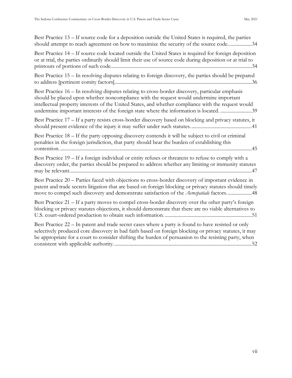| Best Practice 13 – If source code for a deposition outside the United States is required, the parties<br>should attempt to reach agreement on how to maximize the security of the source code34                                                                                                                                                                                              |
|----------------------------------------------------------------------------------------------------------------------------------------------------------------------------------------------------------------------------------------------------------------------------------------------------------------------------------------------------------------------------------------------|
| Best Practice 14 – If source code located outside the United States is required for foreign deposition<br>or at trial, the parties ordinarily should limit their use of source code during deposition or at trial to                                                                                                                                                                         |
| Best Practice 15 - In resolving disputes relating to foreign discovery, the parties should be prepared                                                                                                                                                                                                                                                                                       |
| Best Practice 16 - In resolving disputes relating to cross-border discovery, particular emphasis<br>should be placed upon whether noncompliance with the request would undermine important<br>intellectual property interests of the United States, and whether compliance with the request would<br>undermine important interests of the foreign state where the information is located. 39 |
| Best Practice 17 – If a party resists cross-border discovery based on blocking and privacy statutes, it                                                                                                                                                                                                                                                                                      |
| Best Practice 18 – If the party opposing discovery contends it will be subject to civil or criminal<br>penalties in the foreign jurisdiction, that party should bear the burden of establishing this                                                                                                                                                                                         |
| Best Practice 19 – If a foreign individual or entity refuses or threatens to refuse to comply with a<br>discovery order, the parties should be prepared to address whether any limiting or immunity statutes                                                                                                                                                                                 |
| Best Practice 20 – Parties faced with objections to cross-border discovery of important evidence in<br>patent and trade secrets litigation that are based on foreign blocking or privacy statutes should timely<br>move to compel such discovery and demonstrate satisfaction of the Aerospatiale factors48                                                                                  |
| Best Practice 21 – If a party moves to compel cross-border discovery over the other party's foreign<br>blocking or privacy statutes objections, it should demonstrate that there are no viable alternatives to                                                                                                                                                                               |
| Best Practice 22 – In patent and trade secret cases where a party is found to have resisted or only<br>selectively produced core discovery in bad faith based on foreign blocking or privacy statutes, it may<br>be appropriate for a court to consider shifting the burden of persuasion to the resisting party, when                                                                       |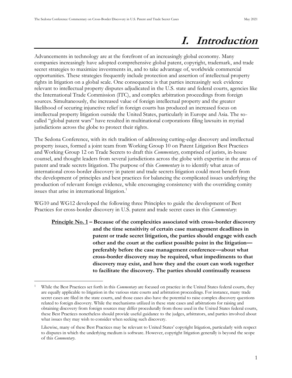### **I. Introduction**

<span id="page-9-0"></span>Advancements in technology are at the forefront of an increasingly global economy. Many companies increasingly have adopted comprehensive global patent, copyright, trademark, and trade secret strategies to maximize investments in, and to take advantage of, worldwide commercial opportunities. These strategies frequently include protection and assertion of intellectual property rights in litigation on a global scale. One consequence is that parties increasingly seek evidence relevant to intellectual property disputes adjudicated in the U.S. state and federal courts, agencies like the International Trade Commission (ITC), and complex arbitration proceedings from foreign sources. Simultaneously, the increased value of foreign intellectual property and the greater likelihood of securing injunctive relief in foreign courts has produced an increased focus on intellectual property litigation outside the United States, particularly in Europe and Asia. The socalled "global patent wars" have resulted in multinational corporations filing lawsuits in myriad jurisdictions across the globe to protect their rights.

The Sedona Conference, with its rich tradition of addressing cutting-edge discovery and intellectual property issues, formed a joint team from Working Group 10 on Patent Litigation Best Practices and Working Group 12 on Trade Secrets to draft this *Commentary*, comprised of jurists, in-house counsel, and thought leaders from several jurisdictions across the globe with expertise in the areas of patent and trade secrets litigation. The purpose of this *Commentary* is to identify what areas of international cross-border discovery in patent and trade secrets litigation could most benefit from the development of principles and best practices for balancing the complicated issues underlying the production of relevant foreign evidence, while encouraging consistency with the overriding comity issues that arise in international litigation.<sup>1</sup>

<span id="page-9-1"></span>WG10 and WG12 developed the following three Principles to guide the development of Best Practices for cross-border discovery in U.S. patent and trade secret cases in this *Commentary*:

**Principle No. 1 – Because of the complexities associated with cross-border discovery and the time sensitivity of certain case management deadlines in patent or trade secret litigation, the parties should engage with each other and the court at the earliest possible point in the litigation preferably before the case management conference—about what cross-border discovery may be required, what impediments to that discovery may exist, and how they and the court can work together to facilitate the discovery. The parties should continually reassess** 

<sup>1</sup> While the Best Practices set forth in this *Commentary* are focused on practice in the United States federal courts, they are equally applicable to litigation in the various state courts and arbitration proceedings. For instance, many trade secret cases are filed in the state courts, and those cases also have the potential to raise complex discovery questions related to foreign discovery. While the mechanisms utilized in these state cases and arbitrations for raising and obtaining discovery from foreign sources may differ procedurally from those used in the United States federal courts, these Best Practices nonetheless should provide useful guidance to the judges, arbitrators, and parties involved about what issues they may wish to consider when seeking such discovery.

Likewise, many of these Best Practices may be relevant to United States' copyright litigation, particularly with respect to disputes in which the underlying medium is software. However, copyright litigation generally is beyond the scope of this *Commentary*.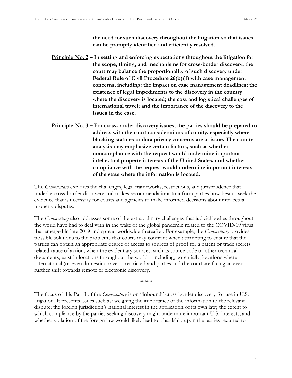**the need for such discovery throughout the litigation so that issues can be promptly identified and efficiently resolved.**

- <span id="page-10-0"></span>**Principle No. 2 – In setting and enforcing expectations throughout the litigation for the scope, timing, and mechanisms for cross-border discovery, the court may balance the proportionality of such discovery under Federal Rule of Civil Procedure 26(b)(1) with case management concerns, including: the impact on case management deadlines; the existence of legal impediments to the discovery in the country where the discovery is located; the cost and logistical challenges of international travel; and the importance of the discovery to the issues in the case.**
- <span id="page-10-1"></span>**Principle No. 3 – For cross-border discovery issues, the parties should be prepared to address with the court considerations of comity, especially where blocking statutes or data privacy concerns are at issue. The comity analysis may emphasize certain factors, such as whether noncompliance with the request would undermine important intellectual property interests of the United States, and whether compliance with the request would undermine important interests of the state where the information is located.**

The *Commentary* explores the challenges, legal frameworks, restrictions, and jurisprudence that underlie cross-border discovery and makes recommendations to inform parties how best to seek the evidence that is necessary for courts and agencies to make informed decisions about intellectual property disputes.

The *Commentary* also addresses some of the extraordinary challenges that judicial bodies throughout the world have had to deal with in the wake of the global pandemic related to the COVID-19 virus that emerged in late 2019 and spread worldwide thereafter. For example, the *Commentary* provides possible solutions to the problems that courts may confront when attempting to ensure that the parties can obtain an appropriate degree of access to sources of proof for a patent or trade secrets related cause of action, when the evidentiary sources, such as source code or other technical documents, exist in locations throughout the world—including, potentially, locations where international (or even domestic) travel is restricted and parties and the court are facing an even further shift towards remote or electronic discovery.

\*\*\*\*\*

The focus of this Part I of the *Commentary* is on "inbound" cross-border discovery for use in U.S. litigation. It presents issues such as: weighing the importance of the information to the relevant dispute; the foreign jurisdiction's national interest in the application of its own law; the extent to which compliance by the parties seeking discovery might undermine important U.S. interests; and whether violation of the foreign law would likely lead to a hardship upon the parties required to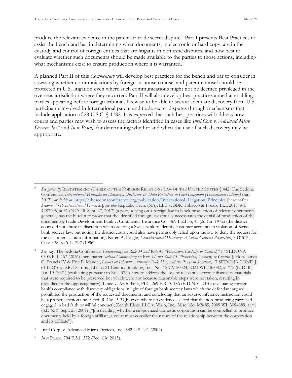produce the relevant evidence in the patent or trade secret dispute.<sup>2</sup> Part I presents Best Practices to assist the bench and bar in determining when documents, in electronic or hard copy, are in the custody and control of foreign entities that are litigants in domestic disputes, and how best to evaluate whether such documents should be made available to the parties to those actions, including what mechanisms exist to ensure production where it is warranted.<sup>3</sup>

A planned Part II of this *Commentary* will develop best practices for the bench and bar to consider in assessing whether communications by foreign in-house counsel and patent counsel should be protected in U.S. litigation even where such communications might not be deemed privileged in the overseas jurisdiction where they occurred. Part II will also develop best practices aimed at enabling parties appearing before foreign tribunals likewise to be able to secure adequate discovery from U.S. participants involved in international patent and trade secret disputes through mechanisms that include application of 28 U.S.C. § 1782. It is expected that such best practices will address how courts and parties may wish to assess the factors identified in cases like *Intel Corp v. Advanced Micro Devices, Inc.*<sup>4</sup> and *In re Posco*, 5 for determining whether and when the use of such discovery may be appropriate.

See generally RESTATEMENT (THIRD) OF THE FOREIGN RELATIONS LAW OF THE UNITED STATES § 442; The Sedona Conference, *International Principles on Discovery, Disclosure & Data Protection in Civil Litigation (Transitional Edition)* (Jan. 2017), *available at* [https://thesedonaconference.org/publication/International\\_Litigation\\_Principles](https://thesedonaconference.org/publication/International_Litigation_Principles) [hereinafter *Sedona WG6 International Principles*]; *see also* Republic Tech. (NA), LLC v. BBK Tobacco & Foods, Inc*.,* 2017 WL 4287205, at \*1 (N.D. Ill. Sept. 27, 2017) (a party relying on a foreign law to block production of relevant documents generally has the burden to prove that the identified foreign law actually necessitates the denial of production of the documents); Trade Development Bank v. Continental Insurance Co., 469 F.2d 35, 41 (2d Cir. 1972) (the district court did not abuse its discretion when ordering a Swiss bank to identify customer accounts in violation of Swiss bank secrecy law, but noting the district court could also have permissibly relied upon the law to deny the request for the customer account information); Karen A. Feagle, *Extraterritorial Discovery: A Social Contract Perspective*, 7 DUKE J. COMP. & INT'L L. 297 (1996).

<sup>3</sup> *See*, *e.g.*, The Sedona Conference, *Commentary on Rule 34 and Rule 45 "Possession, Custody, or Control,"* 17 SEDONA CONF. J. 467 (2016) [hereinafter *Sedona Commentary on Rule 34 and Rule 45 "Possession, Custody, or Control"*]; Hon. James C. Francis IV & Eric P. Mandel, *Limits on Inherent Authority: Rule 37(e) and the Power to Sanction*, 17 SEDONA CONF. J. 613 (2016); D.R. Distribs., LLC v. 21 Century Smoking, Inc., No. 12 CV 50324, 2021 WL 185082, at \*75 (N.D. Ill. Jan. 19, 2021) (evaluating pursuant to Rule 37(e) how to address the loss of relevant electronic discovery materials that were required to be preserved but which were not because reasonable steps were not taken, resulting in prejudice to the opposing party); Linde v. Arab Bank, PLC, 269 F.R.D. 186 (E.D.N.Y. 2010) (evaluating foreign bank's compliance with discovery obligations in light of foreign bank secrecy laws which the defendant argued prohibited the production of the requested documents, and concluding that an adverse inference instruction could be a proper sanction under Fed. R. Civ. P. 37(b) even where no evidence existed that the non-producing party had engaged in bad faith or willful conduct); Zenith Elecs. LLC v. Vizio, Inc., Misc. No. M8-85, 2009 WL 3094889, at \*1 (S.D.N.Y. Sept. 25, 2009) ("[i]n deciding whether a subpoenaed domestic corporation can be compelled to produce documents held by a foreign affiliate, a court must consider the nature of the relationship between the corporation and its affiliate").

<sup>4</sup> Intel Corp. v. Advanced Micro Devices, Inc., 542 U.S. 241 (2004).

<sup>5</sup> *In re* Posco, 794 F.3d 1372 (Fed. Cir. 2015).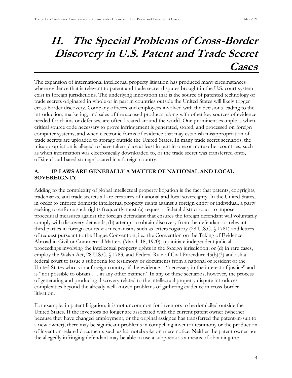### <span id="page-12-0"></span>**II. The Special Problems of Cross-Border Discovery in U.S. Patent and Trade Secret Cases**

The expansion of international intellectual property litigation has produced many circumstances where evidence that is relevant to patent and trade secret disputes brought in the U.S. court system exist in foreign jurisdictions. The underlying innovation that is the source of patented technology or trade secrets originated in whole or in part in countries outside the United States will likely trigger cross-border discovery. Company officers and employees involved with the decisions leading to the introduction, marketing, and sales of the accused products, along with other key sources of evidence needed for claims or defenses, are often located around the world. One prominent example is when critical source code necessary to prove infringement is generated, stored, and processed on foreign computer systems, and when electronic forms of evidence that may establish misappropriation of trade secrets are uploaded to storage outside the United States. In many trade secret scenarios, the misappropriation is alleged to have taken place at least in part in one or more other countries, such as when information was electronically downloaded to, or the trade secret was transferred onto, offsite cloud-based storage located in a foreign country.

#### <span id="page-12-1"></span>**A. IP LAWS ARE GENERALLY A MATTER OF NATIONAL AND LOCAL SOVEREIGNTY**

Adding to the complexity of global intellectual property litigation is the fact that patents, copyrights, trademarks, and trade secrets all are creatures of national and local sovereignty. In the United States, in order to enforce domestic intellectual property rights against a foreign entity or individual, a party seeking to enforce such rights frequently must (a) request a federal district court to impose procedural measures against the foreign defendant that ensures the foreign defendant will voluntarily comply with discovery demands; (b) attempt to obtain discovery from the defendant or relevant third parties in foreign courts via mechanisms such as letters rogatory (28 U.S.C. § 1781) and letters of request pursuant to the Hague Convention, i.e., the Convention on the Taking of Evidence Abroad in Civil or Commercial Matters (March 18, 1970); (c) initiate independent judicial proceedings involving the intellectual property rights in the foreign jurisdiction; or (d) in rare cases, employ the Walsh Act, 28 U.S.C. § 1783, and Federal Rule of Civil Procedure 45(b)(3) and ask a federal court to issue a subpoena for testimony or documents from a national or resident of the United States who is in a foreign country, if the evidence is "necessary in the interest of justice" and is "not possible to obtain . . . in any other manner." In any of these scenarios, however, the process of generating and producing discovery related to the intellectual property dispute introduces complexities beyond the already well-known problems of gathering evidence in cross-border litigation.

For example, in patent litigation, it is not uncommon for inventors to be domiciled outside the United States. If the inventors no longer are associated with the current patent owner (whether because they have changed employment, or the original assignee has transferred the patent-in-suit to a new owner), there may be significant problems in compelling inventor testimony or the production of invention-related documents such as lab notebooks on mere notice. Neither the patent owner nor the allegedly infringing defendant may be able to use a subpoena as a means of obtaining the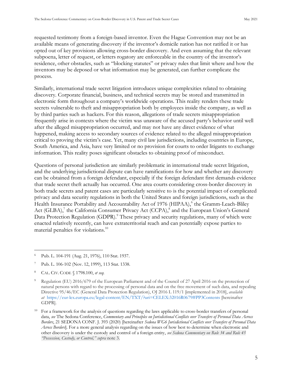requested testimony from a foreign-based inventor. Even the Hague Convention may not be an available means of generating discovery if the inventor's domicile nation has not ratified it or has opted out of key provisions allowing cross-border discovery. And even assuming that the relevant subpoena, letter of request, or letters rogatory are enforceable in the country of the inventor's residence, other obstacles, such as "blocking statutes" or privacy rules that limit where and how the inventors may be deposed or what information may be generated, can further complicate the process.

Similarly, international trade secret litigation introduces unique complexities related to obtaining discovery. Corporate financial, business, and technical secrets may be stored and transmitted in electronic form throughout a company's worldwide operations. This reality renders these trade secrets vulnerable to theft and misappropriation both by employees inside the company, as well as by third parties such as hackers. For this reason, allegations of trade secrets misappropriation frequently arise in contexts where the victim was unaware of the accused party's behavior until well after the alleged misappropriation occurred, and may not have any direct evidence of what happened, making access to secondary sources of evidence related to the alleged misappropriation critical to proving the victim's case. Yet, many civil law jurisdictions, including countries in Europe, South America, and Asia, have very limited or no provision for courts to order litigants to exchange information. This reality poses significant obstacles to obtaining proof of misconduct.

Questions of personal jurisdiction are similarly problematic in international trade secret litigation, and the underlying jurisdictional dispute can have ramifications for how and whether any discovery can be obtained from a foreign defendant, especially if the foreign defendant first demands evidence that trade secret theft actually has occurred. One area courts considering cross-border discovery in both trade secrets and patent cases are particularly sensitive to is the potential impact of complicated privacy and data security regulations in both the United States and foreign jurisdictions, such as the Health Insurance Portability and Accountability Act of 1976 (HIPAA),<sup>6</sup> the Gramm-Leach-Bliley Act (GLBA),<sup>7</sup> the California Consumer Privacy Act (CCPA),<sup>8</sup> and the European Union's General Data Protection Regulation (GDPR).<sup>9</sup> These privacy and security regulations, many of which were enacted relatively recently, can have extraterritorial reach and can potentially expose parties to material penalties for violations. 10

<sup>6</sup> Pub. L. 104-191 (Aug. 21, 1976), 110 Stat. 1937.

Pub. L. 106-102 (Nov. 12, 1999), 113 Stat. 1338.

<sup>8</sup> CAL. CIV. CODE § 1798.100, *et seq.*

<sup>9</sup> Regulation (EU) 2016/679 of the European Parliament and of the Council of 27 April 2016 on the protection of natural persons with regard to the processing of personal data and on the free movement of such data, and repealing Directive 95/46/EC (General Data Protection Regulation), OJ 2016 L 119/1 [implemented in 2018], *available at* <https://eur-lex.europa.eu/legal-content/EN/TXT/?uri=CELEX:32016R0679#PP3Contents> [hereinafter GDPR].

<sup>&</sup>lt;sup>10</sup> For a framework for the analysis of questions regarding the laws applicable to cross-border transfers of personal data, *see* The Sedona Conference, *Commentary and Principles on Jurisdictional Conflicts over Transfers of Personal Data Across Borders*, 21 SEDONA CONF. J. 393 (2020) [hereinafter *Sedona WG6 Jurisdictional Conflicts over Transfers of Personal Data Across Borders*]. For a more general analysis regarding on the issues of how best to determine when electronic and other discovery is under the custody and control of a foreign entity, *see Sedona Commentary on Rule 34 and Rule 45 "Possession, Custody, or Control," supra* note 3.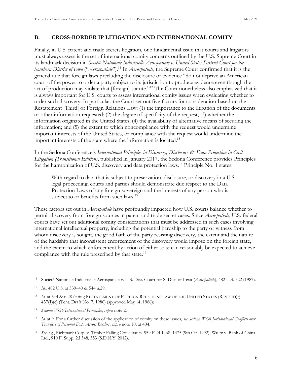#### <span id="page-14-0"></span>**B. CROSS-BORDER IP LITIGATION AND INTERNATIONAL COMITY**

Finally, in U.S. patent and trade secrets litigation, one fundamental issue that courts and litigators must always assess is the set of international comity concerns outlined by the U.S. Supreme Court in its landmark decision in *Société Nationale Industrielle Aerospatiale v. United States District Court for the Southern District of Iowa* ("*Aerospatiale*").<sup>11</sup> In *Aerospatiale*, the Supreme Court confirmed that it is the general rule that foreign laws precluding the disclosure of evidence "do not deprive an merican court of the power to order a party subject to its jurisdiction to produce evidence even though the act of production may violate that [foreign] statute."<sup>12</sup> The Court nonetheless also emphasized that it is always important for U.S. courts to assess international comity issues when evaluating whether to order such discovery. In particular, the Court set out five factors for consideration based on the Restatement [Third] of Foreign Relations Law: (1) the importance to the litigation of the documents or other information requested; (2) the degree of specificity of the request; (3) whether the information originated in the United States; (4) the availability of alternative means of securing the information; and (5) the extent to which noncompliance with the request would undermine important interests of the United States, or compliance with the request would undermine the important interests of the state where the information is located.<sup>13</sup>

In the Sedona Conference's *International Principles in Discovery, Disclosure & Data Protection in Civil Litigation (Transitional Edition)*, published in January 2017, the Sedona Conference provides Principles for the harmonization of U.S. discovery and data protection laws.<sup>14</sup> Principle No. 1 states:

With regard to data that is subject to preservation, disclosure, or discovery in a U.S. legal proceeding, courts and parties should demonstrate due respect to the Data Protection Laws of any foreign sovereign and the interests of any person who is subject to or benefits from such laws.<sup>15</sup>

These factors set out in *Aerospatiale* have profoundly impacted how U.S. courts balance whether to permit discovery from foreign sources in patent and trade secret cases. Since *Aerospatiale*, U.S. federal courts have set out additional comity considerations that must be addressed in such cases involving international intellectual property, including the potential hardship to the party or witness from whom discovery is sought, the good faith of the party resisting discovery, the extent and the nature of the hardship that inconsistent enforcement of the discovery would impose on the foreign state, and the extent to which enforcement by action of either state can reasonably be expected to achieve compliance with the rule prescribed by that state.<sup>16</sup>

<sup>11</sup> Société Nationale Industrielle Aerospatiale v. U.S. Dist. Court for S. Dist. of Iowa (*Aerospatiale*), 482 U.S. 522 (1987).

<sup>12</sup> *Id.,* 482 U.S. at 539–40 & 544 n.29.

<sup>&</sup>lt;sup>13</sup> *Id.* at 544 & n.28 (citing RESTATEMENT OF FOREIGN RELATIONS LAW OF THE UNITED STATES (REVISED) § 437(1)(c) (Tent. Draft No. 7, 1986) (approved May 14, 1986)).

<sup>14</sup> *Sedona WG6 International Principles*, *supra* note 2.

<sup>15</sup> *Id.* at 9. For a further discussion of the application of comity on these issues, *see Sedona WG6 Jurisdictional Conflicts over Transfers of Personal Data Across Borders, supra* note 10, at 404.

<sup>16</sup> *See*, *e.g.*, Richmark Corp. v. Timber Falling Consultants*,* 959 F.2d 1468, 1475 (9th Cir. 1992); Wultz v. Bank of China, Ltd., 910 F. Supp. 2d 548, 553 (S.D.N.Y. 2012).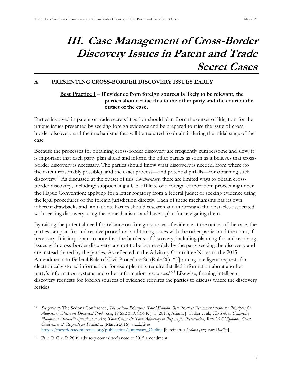### <span id="page-15-0"></span>**III. Case Management of Cross-Border Discovery Issues in Patent and Trade Secret Cases**

#### <span id="page-15-2"></span><span id="page-15-1"></span>**A. PRESENTING CROSS-BORDER DISCOVERY ISSUES EARLY**

#### **Best Practice 1 – If evidence from foreign sources is likely to be relevant, the parties should raise this to the other party and the court at the outset of the case.**

Parties involved in patent or trade secrets litigation should plan from the outset of litigation for the unique issues presented by seeking foreign evidence and be prepared to raise the issue of crossborder discovery and the mechanisms that will be required to obtain it during the initial stage of the case.

Because the processes for obtaining cross-border discovery are frequently cumbersome and slow, it is important that each party plan ahead and inform the other parties as soon as it believes that crossborder discovery is necessary. The parties should know what discovery is needed, from where (to the extent reasonably possible), and the exact process—and potential pitfalls—for obtaining such discovery.<sup>17</sup> As discussed at the outset of this *Commentary*, there are limited ways to obtain crossborder discovery, including: subpoenaing a U.S. affiliate of a foreign corporation; proceeding under the Hague Convention; applying for a letter rogatory from a federal judge; or seeking evidence using the legal procedures of the foreign jurisdiction directly. Each of these mechanisms has its own inherent drawbacks and limitations. Parties should research and understand the obstacles associated with seeking discovery using these mechanisms and have a plan for navigating them.

By raising the potential need for reliance on foreign sources of evidence at the outset of the case, the parties can plan for and resolve procedural and timing issues with the other parties and the court, if necessary. It is important to note that the burdens of discovery, including planning for and resolving issues with cross-border discovery, are not to be borne solely by the party seeking the discovery and are instead shared by the parties. As reflected in the Advisory Committee Notes to the 2015 Amendments to Federal Rule of Civil Procedure 26 (Rule 26), "[f]raming intelligent requests for electronically stored information, for example, may require detailed information about another party's information systems and other information resources."<sup>18</sup> Likewise, framing intelligent discovery requests for foreign sources of evidence requires the parties to discuss where the discovery resides.

<sup>17</sup> *See generally* The Sedona Conference, *The Sedona Principles, Third Edition: Best Practices Recommendations & Principles for Addressing Electronic Document Production*, 19 SEDONA CONF. J. 1 (2018); Ariana J. Tadler et al., *The Sedona Conference*  "Jumpstart Outline": Questions to Ask Your Client & Your Adversary to Prepare for Preservation, [Rule](http://www.westlaw.com/Link/Document/FullText?findType=L&pubNum=1000600&cite=USFRCPR26&originatingDoc=I02b4c8405afd11eb8cb3c4fde92c4669&refType=LQ&originationContext=document&vr=3.0&rs=cblt1.0&transitionType=DocumentItem&contextData=(sc.Search)) 26 Obligations, Court *Conferences & Requests for Production* (March 2016), *available at*  [https://thesedonaconference.org/publication/Jumpstart\\_Outline](https://thesedonaconference.org/publication/Jumpstart_Outline) [hereinafter *Sedona Jumpstart Outline*].

<sup>&</sup>lt;sup>18</sup> FED. R. CIV. P. 26(B) advisory committee's note to 2015 amendment.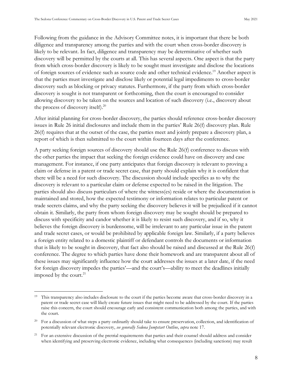Following from the guidance in the Advisory Committee notes, it is important that there be both diligence and transparency among the parties and with the court when cross-border discovery is likely to be relevant. In fact, diligence and transparency may be determinative of whether such discovery will be permitted by the courts at all. This has several aspects. One aspect is that the party from which cross-border discovery is likely to be sought must investigate and disclose the locations of foreign sources of evidence such as source code and other technical evidence.<sup>19</sup> Another aspect is that the parties must investigate and disclose likely or potential legal impediments to cross-border discovery such as blocking or privacy statutes. Furthermore, if the party from which cross-border discovery is sought is not transparent or forthcoming, then the court is encouraged to consider allowing discovery to be taken on the sources and location of such discovery (i.e., discovery about the process of discovery itself). $20$ 

After initial planning for cross-border discovery, the parties should reference cross-border discovery issues in Rule 26 initial disclosures and include them in the parties' Rule 26(f) discovery plan. Rule 26(f) requires that at the outset of the case, the parties meet and jointly prepare a discovery plan, a report of which is then submitted to the court within fourteen days after the conference.

A party seeking foreign sources of discovery should use the Rule 26(f) conference to discuss with the other parties the impact that seeking the foreign evidence could have on discovery and case management. For instance, if one party anticipates that foreign discovery is relevant to proving a claim or defense in a patent or trade secret case, that party should explain why it is confident that there will be a need for such discovery. The discussion should include specifics as to why the discovery is relevant to a particular claim or defense expected to be raised in the litigation. The parties should also discuss particulars of where the witness(es) reside or where the documentation is maintained and stored, how the expected testimony or information relates to particular patent or trade secrets claims, and why the party seeking the discovery believes it will be prejudiced if it cannot obtain it. Similarly, the party from whom foreign discovery may be sought should be prepared to discuss with specificity and candor whether it is likely to resist such discovery, and if so, why it believes the foreign discovery is burdensome, will be irrelevant to any particular issue in the patent and trade secret cases, or would be prohibited by applicable foreign law. Similarly, if a party believes a foreign entity related to a domestic plaintiff or defendant controls the documents or information that is likely to be sought in discovery, that fact also should be raised and discussed at the Rule 26(f) conference. The degree to which parties have done their homework and are transparent about all of these issues may significantly influence how the court addresses the issues at a later date, if the need for foreign discovery impedes the parties'—and the court's—ability to meet the deadlines initially imposed by the court. $^{21}$ 

<sup>&</sup>lt;sup>19</sup> This transparency also includes disclosure to the court if the parties become aware that cross-border discovery in a patent or trade secret case will likely create future issues that might need to be addressed by the court. If the parties raise this concern, the court should encourage early and consistent communication both among the parties, and with the court.

<sup>&</sup>lt;sup>20</sup> For a discussion of what steps a party ordinarily should take to ensure preservation, collection, and identification of potentially relevant electronic discovery, *see generally Sedona Jumpstart Outline*, *supra* note 17.

<sup>21</sup> For an extensive discussion of the pretrial requirements that parties and their counsel should address and consider when identifying and preserving electronic evidence, including what consequences (including sanctions) may result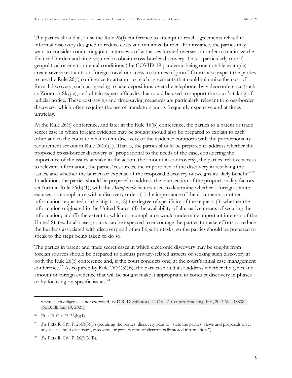The parties should also use the Rule 26(f) conference to attempt to reach agreements related to informal discovery designed to reduce costs and minimize burden. For instance, the parties may want to consider conducting joint interviews of witnesses located overseas in order to minimize the financial burden and time required to obtain cross-border discovery. This is particularly true if geopolitical or environmental conditions (the COVID-19 pandemic being one notable example) create severe restraints on foreign travel or access to sources of proof. Courts also expect the parties to use the Rule 26(f) conference to attempt to reach agreements that could minimize the cost of formal discovery, such as agreeing to take depositions over the telephone, by videoconference (such as Zoom or kype), and obtain expert affidavits that could be used to support the court's taking of judicial notice. These cost-saving and time-saving measures are particularly relevant to cross-border discovery, which often requires the use of translators and is frequently expensive and at times unwieldy.

At the Rule 26(f) conference, and later at the Rule 16(b) conference, the parties to a patent or trade secret case in which foreign evidence may be sought should also be prepared to explain to each other and to the court to what extent discovery of the evidence comports with the proportionality requirement set out in Rule  $26(b)(1)$ . That is, the parties should be prepared to address whether the proposed cross-border discovery is "proportional to the needs of the case, considering the importance of the issues at stake in the action, the amount in controversy, the parties' relative access to relevant information, the parties' resources, the importance of the discovery in resolving the issues, and whether the burden or expense of the proposed discovery outweighs its likely benefit."<sup>22</sup> In addition, the parties should be prepared to address the intersection of the proportionality factors set forth in Rule 26(b)(1), with the *Aerospatiale* factors used to determine whether a foreign statute excuses noncompliance with a discovery order: (1) the importance of the documents or other information requested to the litigation; (2) the degree of specificity of the request; (3) whether the information originated in the United States; (4) the availability of alternative means of securing the information; and (5) the extent to which noncompliance would undermine important interests of the United States. In all cases, courts can be expected to encourage the parties to make efforts to reduce the burdens associated with discovery and other litigation tasks, so the parties should be prepared to speak to the steps being taken to do so.

The parties in patent and trade secret cases in which electronic discovery may be sought from foreign sources should be prepared to discuss privacy-related aspects of seeking such discovery at both the Rule 26(f) conference and, if the court conducts one, at the court's initial case management conference.<sup>23</sup> As required by Rule  $26(f)(3)(B)$ , the parties should also address whether the types and amount of foreign evidence that will be sought make it appropriate to conduct discovery in phases or by focusing on specific issues.<sup>24</sup>

where such diligence is not exercised, *see* D.R. Distributors, LLC v. 21 Century Smoking, Inc., 2021 WL 185082 (N.D. Ill. Jan. 19, 2021).

<sup>&</sup>lt;sup>22</sup> FED. R. CIV. P.  $26(b)(1)$ .

<sup>&</sup>lt;sup>23</sup> *See* FED. R. CIV. P. 26(f)(3)(C) (requiring the parties' discovery plan to "state the parties' views and proposals on ... any issues about disclosure, discovery, or preservation of electronically stored information.").

<sup>24</sup> *See* FED. R. CIV. P. 26(f)(3)(B).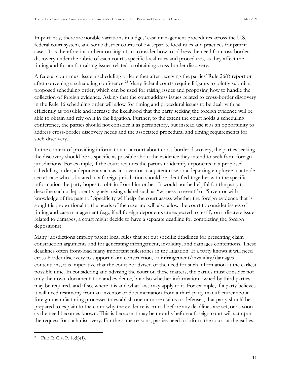Importantly, there are notable variations in judges' case management procedures across the U.S. federal court system, and some district courts follow separate local rules and practices for patent cases. It is therefore incumbent on litigants to consider how to address the need for cross-border discovery under the rubric of each court's specific local rules and procedures, as they affect the timing and forum for raising issues related to obtaining cross-border discovery.

A federal court must issue a scheduling order either after receiving the parties' Rule 26(f) report or after convening a scheduling conference.<sup>25</sup> Many federal courts require litigants to jointly submit a proposed scheduling order, which can be used for raising issues and proposing how to handle the collection of foreign evidence. Asking that the court address issues related to cross-border discovery in the Rule 16 scheduling order will allow for timing and procedural issues to be dealt with as efficiently as possible and increase the likelihood that the party seeking the foreign evidence will be able to obtain and rely on it in the litigation. Further, to the extent the court holds a scheduling conference, the parties should not consider it as perfunctory, but instead use it as an opportunity to address cross-border discovery needs and the associated procedural and timing requirements for such discovery.

In the context of providing information to a court about cross-border discovery, the parties seeking the discovery should be as specific as possible about the evidence they intend to seek from foreign jurisdictions. For example, if the court requires the parties to identify deponents in a proposed scheduling order, a deponent such as an inventor in a patent case or a departing employee in a trade secret case who is located in a foreign jurisdiction should be identified together with the specific information the party hopes to obtain from him or her. It would not be helpful for the party to describe such a deponent vaguely, using a label such as "witness to event" or "inventor with knowledge of the patent." Specificity will help the court assess whether the foreign evidence that is sought is proportional to the needs of the case and will also allow the court to consider issues of timing and case management (e.g., if all foreign deponents are expected to testify on a discrete issue related to damages, a court might decide to have a separate deadline for completing the foreign depositions).

Many jurisdictions employ patent local rules that set out specific deadlines for presenting claim construction arguments and for generating infringement, invalidity, and damages contentions. These deadlines often front-load many important milestones in the litigation. If a party knows it will need cross-border discovery to support claim construction, or infringement/invalidity/damages contentions, it is imperative that the court be advised of the need for such information at the earliest possible time. In considering and advising the court on these matters, the parties must consider not only their own documentation and evidence, but also whether information owned by third parties may be required, and if so, where it is and what laws may apply to it. For example, if a party believes it will need testimony from an inventor or documentation from a third-party manufacturer about foreign manufacturing processes to establish one or more claims or defenses, that party should be prepared to explain to the court why the evidence is crucial before any deadlines are set, or as soon as the need becomes known. This is because it may be months before a foreign court will act upon the request for such discovery. For the same reasons, parties need to inform the court at the earliest

<sup>&</sup>lt;sup>25</sup> FED. R. CIV. P.  $16(b)(1)$ .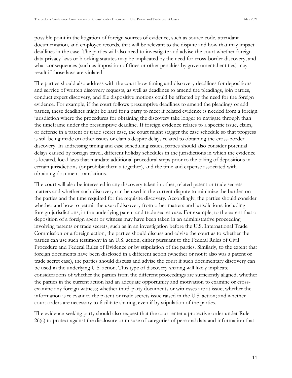possible point in the litigation of foreign sources of evidence, such as source code, attendant documentation, and employee records, that will be relevant to the dispute and how that may impact deadlines in the case. The parties will also need to investigate and advise the court whether foreign data privacy laws or blocking statutes may be implicated by the need for cross-border discovery, and what consequences (such as imposition of fines or other penalties by governmental entities) may result if those laws are violated.

The parties should also address with the court how timing and discovery deadlines for depositions and service of written discovery requests, as well as deadlines to amend the pleadings, join parties, conduct expert discovery, and file dispositive motions could be affected by the need for the foreign evidence. For example, if the court follows presumptive deadlines to amend the pleadings or add parties, these deadlines might be hard for a party to meet if related evidence is needed from a foreign jurisdiction where the procedures for obtaining the discovery take longer to navigate through than the timeframe under the presumptive deadline. If foreign evidence relates to a specific issue, claim, or defense in a patent or trade secret case, the court might stagger the case schedule so that progress is still being made on other issues or claims despite delays related to obtaining the cross-border discovery. In addressing timing and case scheduling issues, parties should also consider potential delays caused by foreign travel, different holiday schedules in the jurisdictions in which the evidence is located, local laws that mandate additional procedural steps prior to the taking of depositions in certain jurisdictions (or prohibit them altogether), and the time and expense associated with obtaining document translations.

The court will also be interested in any discovery taken in other, related patent or trade secrets matters and whether such discovery can be used in the current dispute to minimize the burden on the parties and the time required for the requisite discovery. Accordingly, the parties should consider whether and how to permit the use of discovery from other matters and jurisdictions, including foreign jurisdictions, in the underlying patent and trade secret case. For example, to the extent that a deposition of a foreign agent or witness may have been taken in an administrative proceeding involving patents or trade secrets, such as in an investigation before the U.S. International Trade Commission or a foreign action, the parties should discuss and advise the court as to whether the parties can use such testimony in an U.S. action, either pursuant to the Federal Rules of Civil Procedure and Federal Rules of Evidence or by stipulation of the parties. Similarly, to the extent that foreign documents have been disclosed in a different action (whether or not it also was a patent or trade secret case), the parties should discuss and advise the court if such documentary discovery can be used in the underlying U.S. action. This type of discovery sharing will likely implicate considerations of whether the parties from the different proceedings are sufficiently aligned; whether the parties in the current action had an adequate opportunity and motivation to examine or crossexamine any foreign witness; whether third-party documents or witnesses are at issue; whether the information is relevant to the patent or trade secrets issue raised in the U.S. action; and whether court orders are necessary to facilitate sharing, even if by stipulation of the parties.

The evidence-seeking party should also request that the court enter a protective order under Rule 26(c) to protect against the disclosure or misuse of categories of personal data and information that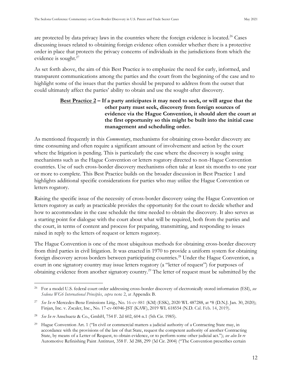are protected by data privacy laws in the countries where the foreign evidence is located.<sup>26</sup> Cases discussing issues related to obtaining foreign evidence often consider whether there is a protective order in place that protects the privacy concerns of individuals in the jurisdictions from which the evidence is sought.<sup>27</sup>

As set forth above, the aim of this Best Practice is to emphasize the need for early, informed, and transparent communications among the parties and the court from the beginning of the case and to highlight some of the issues that the parties should be prepared to address from the outset that could ultimately affect the parties' ability to obtain and use the sought-after discovery.

#### <span id="page-20-0"></span>**Best Practice 2 – If a party anticipates it may need to seek, or will argue that the other party must seek, discovery from foreign sources of evidence via the Hague Convention, it should alert the court at the first opportunity so this might be built into the initial case management and scheduling order.**

As mentioned frequently in this *Commentary*, mechanisms for obtaining cross-border discovery are time consuming and often require a significant amount of involvement and action by the court where the litigation is pending. This is particularly the case where the discovery is sought using mechanisms such as the Hague Convention or letters rogatory directed to non-Hague Convention countries. Use of such cross-border discovery mechanisms often take at least six months to one year or more to complete. This Best Practice builds on the broader discussion in Best Practice 1 and highlights additional specific considerations for parties who may utilize the Hague Convention or letters rogatory.

Raising the specific issue of the necessity of cross-border discovery using the Hague Convention or letters rogatory as early as practicable provides the opportunity for the court to decide whether and how to accommodate in the case schedule the time needed to obtain the discovery. It also serves as a starting point for dialogue with the court about what will be required, both from the parties and the court, in terms of content and process for preparing, transmitting, and responding to issues raised in reply to the letters of request or letters rogatory.

The Hague Convention is one of the most ubiquitous methods for obtaining cross-border discovery from third parties in civil litigation. It was enacted in 1970 to provide a uniform system for obtaining foreign discovery across borders between participating countries.<sup>28</sup> Under the Hague Convention, a court in one signatory country may issue letters rogatory (a "letter of request") for purposes of obtaining evidence from another signatory country.<sup>29</sup> The letter of request must be submitted by the

<sup>26</sup> For a model U.S. federal court order addressing cross-border discovery of electronically stored information (ESI), *see Sedona WG6 International Principles*, *supra* note 2, at Appendix B.

<sup>27</sup> *See In re* Mercedes-Benz Emissions Litig., No. 16-cv-881 (KM) (ESK), 2020 WL 487288, at \*8 (D.N.J. Jan. 30, 2020); Finjan, Inc. v. Zscaler, Inc., No. 17-cv-06946-JST (KAW), 2019 WL 618554 (N.D. Cal. Feb. 14, 2019).

<sup>28</sup> *See In re* Anschuetz & Co., GmbH, 754 F. 2d 602, 604 n.1 (5th Cir. 1985).

<sup>&</sup>lt;sup>29</sup> Hague Convention Art. 1 ("In civil or commercial matters a judicial authority of a Contracting State may, in accordance with the provisions of the law of that State, request the competent authority of another Contracting State, by means of a Letter of Request, to obtain evidence, or to perform some other judicial act."); see also In re Automotive Refinishing Paint Antitrust, 358 F. 3d 288, 299 (3d Cir. 2004) ("The Convention prescribes certain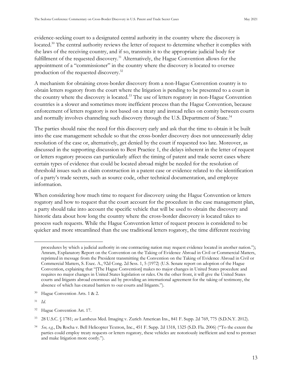evidence-seeking court to a designated central authority in the country where the discovery is located.<sup>30</sup> The central authority reviews the letter of request to determine whether it complies with the laws of the receiving country, and if so, transmits it to the appropriate judicial body for fulfillment of the requested discovery.<sup>31</sup> Alternatively, the Hague Convention allows for the appointment of a "commissioner" in the country where the discovery is located to oversee production of the requested discovery.<sup>32</sup>

A mechanism for obtaining cross-border discovery from a non-Hague Convention country is to obtain letters rogatory from the court where the litigation is pending to be presented to a court in the country where the discovery is located.<sup>33</sup> The use of letters rogatory in non-Hague Convention countries is a slower and sometimes more inefficient process than the Hague Convention, because enforcement of letters rogatory is not based on a treaty and instead relies on comity between courts and normally involves channeling such discovery through the U.S. Department of State.<sup>34</sup>

The parties should raise the need for this discovery early and ask that the time to obtain it be built into the case management schedule so that the cross-border discovery does not unnecessarily delay resolution of the case or, alternatively, get denied by the court if requested too late. Moreover, as discussed in the supporting discussion to Best Practice 1, the delays inherent in the letter of request or letters rogatory process can particularly affect the timing of patent and trade secret cases where certain types of evidence that could be located abroad might be needed for the resolution of threshold issues such as claim construction in a patent case or evidence related to the identification of a party's trade secrets, such as source code, other technical documentation, and employee information.

When considering how much time to request for discovery using the Hague Convention or letters rogatory and how to request that the court account for the procedure in the case management plan, a party should take into account the specific vehicle that will be used to obtain the discovery and historic data about how long the country where the cross-border discovery is located takes to process such requests. While the Hague Convention letter of request process is considered to be quicker and more streamlined than the use traditional letters rogatory, the time different receiving

procedures by which a judicial authority in one contracting nation may request evidence located in another nation."); Amram, Explanatory Report on the Convention on the Taking of Evidence Abroad in Civil or Commercial Matters, reprinted in message from the President transmitting the Convention on the Taking of Evidence Abroad in Civil or Commercial Matters, S. Exec. A., 92d Cong. 2d Sess. 1, 5 (1972) (U.S. Senate report on adoption of the Hague Convention, explaining that "[The Hague Convention] makes no major changes in United States procedure and requires no major changes in United States legislation or rules. On the other front, it will give the United States courts and litigants abroad enormous aid by providing an international agreement for the taking of testimony, the absence of which has created barriers to our courts and litigants.").

<sup>30</sup> Hague Convention Arts. 1 & 2.

<sup>31</sup> *Id*.

<sup>32</sup> Hague Convention Art. 17.

<sup>33</sup> 28 U.S.C. § 1781; *see* Lantheus Med. Imaging v. Zurich American Ins., 841 F. Supp. 2d 769, 775 (S.D.N.Y. 2012).

<sup>&</sup>lt;sup>34</sup> See, e.g., Da Rocha v. Bell Helicopter Textron, Inc., 451 F. Supp. 2d 1318, 1325 (S.D. Fla. 2006) ("To the extent the parties could employ treaty requests or letters rogatory, these vehicles are notoriously inefficient and tend to protract and make litigation more costly.").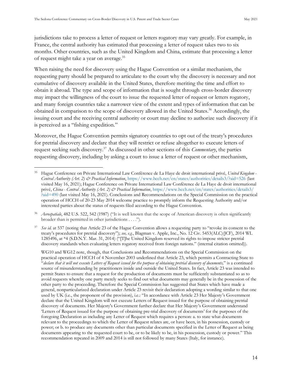jurisdictions take to process a letter of request or letters rogatory may vary greatly. For example, in France, the central authority has estimated that processing a letter of request takes two to six months. Other countries, such as the United Kingdom and China, estimate that processing a letter of request might take a year on average.<sup>35</sup>

When raising the need for discovery using the Hague Convention or a similar mechanism, the requesting party should be prepared to articulate to the court why the discovery is necessary and not cumulative of discovery available in the United States, therefore meriting the time and effort to obtain it abroad. The type and scope of information that is sought through cross-border discovery may impact the willingness of the court to issue the requested letter of request or letters rogatory, and many foreign countries take a narrower view of the extent and types of information that can be obtained in comparison to the scope of discovery allowed in the United States. <sup>36</sup> Accordingly, the issuing court and the receiving central authority or court may decline to authorize such discovery if it is perceived as a "fishing expedition."

Moreover, the Hague Convention permits signatory countries to opt out of the treaty's procedures for pretrial discovery and declare that they will restrict or refuse altogether to execute letters of request seeking such discovery.<sup>37</sup> As discussed in other sections of this *Commentary*, the parties requesting discovery, including by asking a court to issue a letter of request or other mechanism,

<sup>36</sup> *Aerospatiale*, 482 U.S. 522, 542 (1987) ("It is well known that the scope of American discovery is often significantly broader than is permitted in other jurisdictions . . . .").

<sup>37</sup> *See id.* at 537 (noting that Article 23 of the Hague Convention allows a requesting party to "revoke its consent to the treaty's procedures for pretrial discovery"); *see, e.g.*, Blagman v. Apple, Inc., No. 12 Civ. 5453(ALC)(JCF), 2014 WL 1285496, at \*4 (S.D.N.Y. Mar. 31, 2014) ("[T]he United Kingdom reserved its rights to impose stricter pretrial discovery standards when evaluating letters rogatory received from foreign nations." (internal citation omitted)).

WG10 and WG12 note, though, that Conclusions and Recommendations on the Special Commission on the practical operation of HCCH of 4 November 2003 underlined that Article 23, which permits a Contracting State to "*declare that it will not execute Letters of Request issued for the purpose of obtaining pretrial discovery of documents,*" is a continued source of misunderstanding by practitioners inside and outside the United States. In fact, Article 23 was intended to permit States to ensure that a request for the production of documents must be sufficiently substantiated so as to avoid requests whereby one party merely seeks to find out what documents may generally be in the possession of the other party to the proceeding. Therefore the Special Commission has suggested that States which have made a general, nonparticularized declaration under Article 23 revisit their declaration adopting a wording similar to that one used by UK (i.e., the proponent of the provision), i.e.: "In accordance with Article 23 Her Majesty's Government declare that the United Kingdom will not execute Letters of Request issued for the purpose of obtaining pretrial discovery of documents. Her Majesty's Government further declare that Her Majesty's Government understand 'Letters of Request issued for the purpose of obtaining pre-trial discovery of documents' for the purposes of the foregoing Declaration as including any Letter of Request which requires a person: a. to state what documents relevant to the proceedings to which the Letter of Request relates are, or have been, in his possession, custody or power; or b. to produce any documents other than particular documents specified in the Letter of Request as being documents appearing to the requested court to be, or to be likely to be, in his possession, custody or power." This recommendation repeated in 2009 and 2014 is still not followed by many States (Italy, for instance).

<sup>35</sup> Hague Conference on Private International Law Conférence de La Haye de droit international privé, *United Kingdom - Central Authority (Art. 2) & Practical Information*,<https://www.hcch.net/en/states/authorities/details3/?aid=526> (last visited May 16, 2021); Hague Conference on Private International Law Conférence de La Haye de droit international privé, *China - Central Authority (Art. 2) & Practical Information*, [https://www.hcch.net/en/states/authorities/details3/](https://www.hcch.net/en/states/authorities/details3/?aid=490) [?aid=490](https://www.hcch.net/en/states/authorities/details3/?aid=490) (last visited May 16, 2021). Conclusions and Recommendations on the Special Commission on the practical operation of HCCH of 20-23 May 2014 welcome practice to promptly inform the Requesting Authority and/or interested parties about the status of requests filed according to the Hague Convention.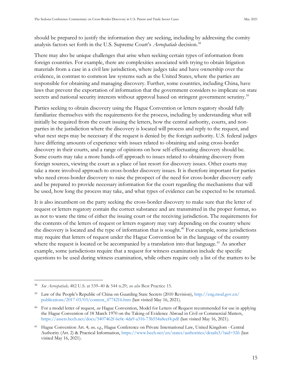should be prepared to justify the information they are seeking, including by addressing the comity analysis factors set forth in the U.S. Supreme Court's *Aerospatiale* decision.<sup>38</sup>

There may also be unique challenges that arise when seeking certain types of information from foreign countries. For example, there are complexities associated with trying to obtain litigation materials from a case in a civil law jurisdiction, where judges take and have ownership over the evidence, in contrast to common law systems such as the United States, where the parties are responsible for obtaining and managing discovery. Further, some countries, including China, have laws that prevent the exportation of information that the government considers to implicate on state secrets and national security interests without approval based on stringent government scrutiny.<sup>39</sup>

Parties seeking to obtain discovery using the Hague Convention or letters rogatory should fully familiarize themselves with the requirements for the process, including by understanding what will initially be required from the court issuing the letters, how the central authority, courts, and nonparties in the jurisdiction where the discovery is located will process and reply to the request, and what next steps may be necessary if the request is denied by the foreign authority. U.S. federal judges have differing amounts of experience with issues related to obtaining and using cross-border discovery in their courts, and a range of opinions on how self-effectuating discovery should be. Some courts may take a more hands-off approach to issues related to obtaining discovery from foreign sources, viewing the court as a place of last resort for discovery issues. Other courts may take a more involved approach to cross-border discovery issues. It is therefore important for parties who need cross-border discovery to raise the prospect of the need for cross-border discovery early and be prepared to provide necessary information for the court regarding the mechanisms that will be used, how long the process may take, and what types of evidence can be expected to be returned.

It is also incumbent on the party seeking the cross-border discovery to make sure that the letter of request or letters rogatory contain the correct substance and are transmitted in the proper format, so as not to waste the time of either the issuing court or the receiving jurisdiction. The requirements for the contents of the letters of request or letters rogatory may vary depending on the country where the discovery is located and the type of information that is sought.<sup>40</sup> For example, some jurisdictions may require that letters of request under the Hague Convention be in the language of the country where the request is located or be accompanied by a translation into that language.<sup>41</sup> As another example, some jurisdictions require that a request for witness examination include the specific questions to be used during witness examination, while others require only a list of the matters to be

<sup>38</sup> *See Aerospatiale,* 482 U.S. at 539–40 & 544 n.29; *see also* Best Practice 15.

<sup>39</sup> Law of the People's Republic of China on Guarding State Secrets (2010 Revision), [http://eng.mod.gov.cn/](http://eng.mod.gov.cn/publications/2017-03/03/content_4774216.htm) [publications/2017-03/03/content\\_4774216.htm](http://eng.mod.gov.cn/publications/2017-03/03/content_4774216.htm) (last visited May 16, 2021).

<sup>40</sup> For a model letter of request, *see* Hague Convention, Model for Letters of Request recommended for use in applying the Hague Convention of 18 March 1970 on the Taking of Evidence Abroad in Civil or Commercial Matters, <https://assets.hcch.net/docs/5407462f-6e0c-4da9-a316-73b554a8eef4.pdf> (last visited May 16, 2021).

<sup>41</sup> Hague Convention Art. 4; *see, e.g.*, Hague Conference on Private International Law, United Kingdom - Central Authority (Art. 2) & Practical Information, <https://www.hcch.net/en/states/authorities/details3/?aid=526> (last visited May 16, 2021).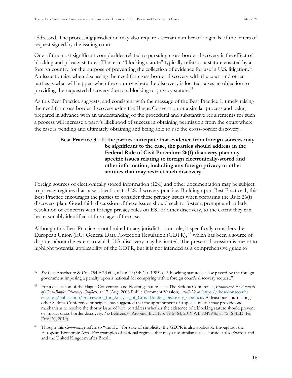addressed. The processing jurisdiction may also require a certain number of originals of the letters of request signed by the issuing court.

One of the most significant complexities related to pursuing cross-border discovery is the effect of blocking and privacy statutes. The term "blocking statute" typically refers to a statute enacted by a foreign country for the purpose of preventing the collection of evidence for use in U.S. litigation.<sup>42</sup> An issue to raise when discussing the need for cross-border discovery with the court and other parties is what will happen when the country where the discovery is located raises an objection to providing the requested discovery due to a blocking or privacy statute.<sup>43</sup>

As this Best Practice suggests, and consistent with the message of the Best Practice 1, timely raising the need for cross-border discovery using the Hague Convention or a similar process and being prepared in advance with an understanding of the procedural and substantive requirements for such a process will increase a party's likelihood of success in obtaining permission from the court where the case is pending and ultimately obtaining and being able to use the cross-border discovery.

#### <span id="page-24-0"></span>**Best Practice 3 – If the parties anticipate that evidence from foreign sources may be significant to the case, the parties should address in the Federal Rule of Civil Procedure 26(f) discovery plan any specific issues relating to foreign electronically-stored and other information, including any foreign privacy or other statutes that may restrict such discovery.**

Foreign sources of electronically stored information (ESI) and other documentation may be subject to privacy regimes that raise objections to U.S. discovery practice. Building upon Best Practice 1, this Best Practice encourages the parties to consider these privacy issues when preparing the Rule 26(f) discovery plan. Good-faith discussion of these issues should seek to foster a prompt and orderly resolution of concerns with foreign privacy rules on ESI or other discovery, to the extent they can be reasonably identified at this stage of the case.

Although this Best Practice is not limited to any jurisdiction or rule, it specifically considers the European Union (EU) General Data Protection Regulation (GDPR), <sup>44</sup> which has been a source of disputes about the extent to which U.S. discovery may be limited. The present discussion is meant to highlight potential applicability of the GDPR, but it is not intended as a comprehensive guide to

<sup>&</sup>lt;sup>42</sup> *See In re* Anscheutz & Co., 754 F.2d 602, 614 n.29 (5th Cir. 1985) ("A blocking statute is a law passed by the foreign government imposing a penalty upon a national for complying with a foreign court's discovery request.").

<sup>43</sup> For a discussion of the Hague Convention and blocking statutes, see The Sedona Conference, *Framework for Analysis of Cross-Border Discovery Conflicts*, at 17 (Aug. 2008 Public Comment Version), *available at* [https://thesedonaconfer](https://thesedonaconference.org/publication/Framework_for_Analysis_of_Cross-Border_Discovery_Conflicts) [ence.org/publication/Framework\\_for\\_Analysis\\_of\\_Cross-Border\\_Discovery\\_Conflicts.](https://thesedonaconference.org/publication/Framework_for_Analysis_of_Cross-Border_Discovery_Conflicts) At least one court, citing other Sedona Conference principles, has suggested that the appointment of a special master may provide one mechanism to resolve the thorny issue of how to address whether the existence of a blocking statute should prevent or impact cross-border discovery. *See* Behrens v. Arconic, Inc., No. 19-2664, 2019 WL 7049946, at \*5–6 (E.D. Pa. Dec. 20, 2019).

<sup>&</sup>lt;sup>44</sup> Though this *Commentary* refers to "the EU" for sake of simplicity, the GDPR is also applicable throughout the European Economic Area. For examples of national regimes that may raise similar issues, consider also Switzerland and the United Kingdom after Brexit.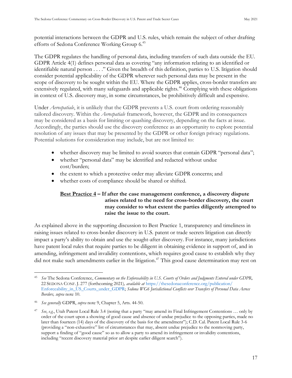potential interactions between the GDPR and U.S. rules, which remain the subject of other drafting efforts of Sedona Conference Working Group 6.<sup>45</sup>

The GDPR regulates the handling of personal data, including transfers of such data outside the EU. GDPR Article 4(1) defines personal data as covering "any information relating to an identified or identifiable natural person . . . ." Given the breadth of this definition, parties to U.S. litigation should consider potential applicability of the GDPR wherever such personal data may be present in the scope of discovery to be sought within the EU. Where the GDPR applies, cross-border transfers are extensively regulated, with many safeguards and applicable rights.<sup>46</sup> Complying with these obligations in context of U.S. discovery may, in some circumstances, be prohibitively difficult and expensive.

Under *Aerospatiale*, it is unlikely that the GDPR prevents a U.S. court from ordering reasonably tailored discovery. Within the *Aerospatiale* framework, however, the GDPR and its consequences may be considered as a basis for limiting or quashing discovery, depending on the facts at issue. Accordingly, the parties should use the discovery conference as an opportunity to explore potential resolution of any issues that may be presented by the GDPR or other foreign privacy regulations. Potential solutions for consideration may include, but are not limited to:

- whether discovery may be limited to avoid sources that contain GDPR "personal data";
- whether "personal data" may be identified and redacted without undue cost/burden;
- the extent to which a protective order may alleviate GDPR concerns; and
- <span id="page-25-0"></span>• whether costs of compliance should be shared or shifted.

#### **Best Practice 4 – If after the case management conference, a discovery dispute arises related to the need for cross-border discovery, the court may consider to what extent the parties diligently attempted to raise the issue to the court.**

As explained above in the supporting discussion to Best Practice 1, transparency and timeliness in raising issues related to cross-border discovery in U.S. patent or trade secrets litigation can directly impact a party's ability to obtain and use the sought-after discovery. For instance, many jurisdictions have patent local rules that require parties to be diligent in obtaining evidence in support of, and in amending, infringement and invalidity contentions, which requires good cause to establish why they did not make such amendments earlier in the litigation.<sup>47</sup> This good cause determination may rest on

<sup>45</sup> *See* The Sedona Conference, *Commentary on the Enforceability in U.S. Courts of Orders and Judgments Entered under GDPR,*  22 SEDONA CONF. J. 277 (forthcoming 2021)*, available at* [https://thesedonaconference.org/publication/](https://thesedonaconference.org/publication/Enforceability_in_US_Courts_under_GDPR) [Enforceability\\_in\\_US\\_Courts\\_under\\_GDPR;](https://thesedonaconference.org/publication/Enforceability_in_US_Courts_under_GDPR) *Sedona WG6 Jurisdictional Conflicts over Transfers of Personal Data Across Borders, supra* note 10.

<sup>46</sup> *See generally* GDPR, *supra* note 9, Chapter 5, Arts. 44-50.

<sup>&</sup>lt;sup>47</sup> *See*, *e.g.*, Utah Patent Local Rule 3.4 (noting that a party "may amend its Final Infringement Contentions ... only by order of the court upon a showing of good cause and absence of undue prejudice to the opposing parties, made no later than fourteen (14) days of the discovery of the basis for the amendment"); C.D. Cal. Patent Local Rule 3-6 (providing a "non-exhaustive" list of circumstances that may, absent undue prejudice to the nonmoving party, support a finding of "good cause" so as to allow a party to amend its infringement or invalidity contentions, including "recent discovery material prior art despite earlier diligent search").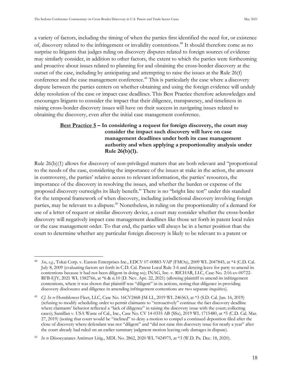a variety of factors, including the timing of when the parties first identified the need for, or existence of, discovery related to the infringement or invalidity contentions.<sup>48</sup> It should therefore come as no surprise to litigants that judges ruling on discovery disputes related to foreign sources of evidence may similarly consider, in addition to other factors, the extent to which the parties were forthcoming and proactive about issues related to planning for and obtaining the cross-border discovery at the outset of the case, including by anticipating and attempting to raise the issues at the Rule 26(f) conference and the case management conference.<sup>49</sup> This is particularly the case where a discovery dispute between the parties centers on whether obtaining and using the foreign evidence will unduly delay resolution of the case or impact case deadlines. This Best Practice therefore acknowledges and encourages litigants to consider the impact that their diligence, transparency, and timeliness in raising cross-border discovery issues will have on their success in navigating issues related to obtaining the discovery, even after the initial case management conference.

#### <span id="page-26-0"></span>**Best Practice 5 – In considering a request for foreign discovery, the court may consider the impact such discovery will have on case management deadlines under both its case management authority and when applying a proportionality analysis under Rule 26(b)(1).**

Rule 26(b)(1) allows for discovery of non-privileged matters that are both relevant and "proportional to the needs of the case, considering the importance of the issues at stake in the action, the amount in controversy, the parties' relative access to relevant information, the parties' resources, the importance of the discovery in resolving the issues, and whether the burden or expense of the proposed discovery outweighs its likely benefit." There is no "bright line test" under this standard for the temporal framework of when discovery, including jurisdictional discovery involving foreign parties, may be relevant to a dispute.<sup>50</sup> Nonetheless, in ruling on the proportionality of a demand for use of a letter of request or similar discovery device, a court may consider whether the cross-border discovery will negatively impact case management deadlines like those set forth in patent local rules or the case management order. To that end, the parties will always be in a better position than the court to determine whether any particular foreign discovery is likely to be relevant to a patent or

<sup>48</sup> *See*, *e.g.*, Tokai Corp. v. Easton Enterprises Inc., EDCV 07-00883-VAP (FMOx), 2009 WL 2047845, at \*4 (C.D. Cal. July 8, 2009 (evaluating factors set forth in C.D. Cal. Patent Local Rule 3-6 and denying leave for party to amend its contentions because it had not been diligent in doing so); INAG, Inc. v. RICHAR, LLC, Case No. 2:16-cv-00722- RFB-EJY, 2021 WL 1582766, at \*6 & n.10 (D. Nev. Apr. 22, 2021) (allowing plaintiff to amend its infringement contentions, where it was shown that plaintiff was "diligent" in its actions, noting that diligence in providing discovery disclosures and diligence in amending infringement contentions are two separate inquiries).

<sup>49</sup> *Cf. In re* Hornblower Fleet, LLC, Case No. 16CV2468-JM-LL, 2019 WL 246563, at \*3 (S.D. Cal. Jan. 16, 2019) (refusing to modify scheduling order to permit claimants to "retroactively" continue the fact discovery deadline where claimants' behavior reflected a "lack of diligence" in raising the discovery issue with the court; collecting cases); Santillan v. USA Waste of Cal., Inc., Case No. CV 14-0335 AB (SSx), 2019 WL 1715480, at \*5 (C.D. Cal. Mar. 27, 2019) (noting that court would be "inclined" to deny a motion to compel a continued deposition filed after the close of discovery where defendant was not "diligent" and "did not raise this discovery issue for nearly a year" after the court already had ruled on an earlier summary judgment motion leaving only damages in dispute).

<sup>50</sup> *In re* Diisocyanates Antitrust Litig., MDL No. 2862, 2020 WL 7424975, at \*3 (W.D. Pa. Dec. 18, 2020).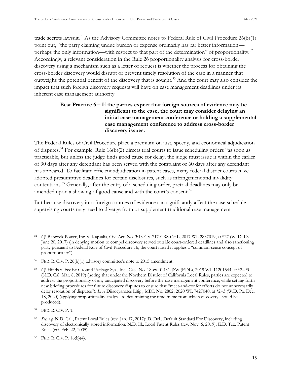trade secrets lawsuit.<sup>51</sup> As the Advisory Committee notes to Federal Rule of Civil Procedure 26(b)(1) point out, "the party claiming undue burden or expense ordinarily has far better information perhaps the only information—with respect to that part of the determination" of proportionality.<sup>52</sup> Accordingly, a relevant consideration in the Rule 26 proportionality analysis for cross-border discovery using a mechanism such as a letter of request is whether the process for obtaining the cross-border discovery would disrupt or prevent timely resolution of the case in a manner that outweighs the potential benefit of the discovery that is sought.<sup>53</sup> And the court may also consider the impact that such foreign discovery requests will have on case management deadlines under its inherent case management authority.

#### <span id="page-27-0"></span>**Best Practice 6 – If the parties expect that foreign sources of evidence may be significant to the case, the court may consider delaying an initial case management conference or holding a supplemental case management conference to address cross-border discovery issues.**

The Federal Rules of Civil Procedure place a premium on just, speedy, and economical adjudication of disputes.<sup>54</sup> For example, Rule 16(b)(2) directs trial courts to issue scheduling orders "as soon as practicable, but unless the judge finds good cause for delay, the judge must issue it within the earlier of 90 days after any defendant has been served with the complaint or 60 days after any defendant has appeared. To facilitate efficient adjudication in patent cases, many federal district courts have adopted presumptive deadlines for certain disclosures, such as infringement and invalidity contentions.<sup>55</sup> Generally, after the entry of a scheduling order, pretrial deadlines may only be amended upon a showing of good cause and with the court's consent.<sup>56</sup>

But because discovery into foreign sources of evidence can significantly affect the case schedule, supervising courts may need to diverge from or supplement traditional case management

<sup>51</sup> *Cf.* Babcock Power, Inc. v. Kapsalis, Civ. Act. No. 3:13-CV-717-CRS-CHL, 2017 WL 2837019, at \*27 (W. D. Ky. June 20, 2017) (in denying motion to compel discovery served outside court-ordered deadlines and also sanctioning party pursuant to Federal Rule of Civil Procedure 16, the court noted it applies a "common-sense concept of proportionality").

<sup>52</sup> FED. R. CIV. P. 26(b)(1) advisory committee's note to 2015 amendment.

<sup>53</sup> *Cf.* Hinds v. FedEx Ground Package Sys., Inc., Case No. 18-cv-01431-JSW (EDL), 2019 WL 11201544, at \*2–\*3 (N.D. Cal. Mar. 8, 2019) (noting that under the Northern District of California Local Rules, parties are expected to address the proportionality of any anticipated discovery before the case management conference, while setting forth new briefing procedures for future discovery disputes to ensure that "meet-and-confer efforts do not unnecessarily delay resolution of disputes"); *In re* Diisocyanates Litig., MDL No. 2862, 2020 WL 7427040, at \*2-3 (W.D. Pa. Dec. 18, 2020) (applying proportionality analysis to determining the time frame from which discovery should be produced).

<sup>54</sup> FED. R. CIV. P. 1.

<sup>55</sup> *See, e.g.* N.D. Cal., Patent Local Rules (rev. Jan. 17, 2017); D. Del., Default Standard For Discovery, including discovery of electronically stored information; N.D. Ill., Local Patent Rules (rev. Nov. 6, 2019); E.D. Tex. Patent Rules (eff. Feb. 22, 2005).

<sup>56</sup> FED. R. CIV. P. 16(b)(4).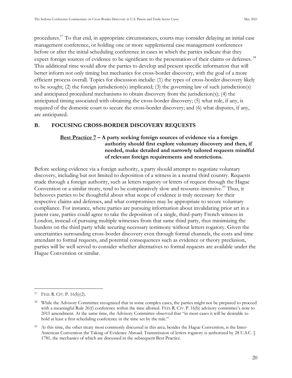procedures.<sup>57</sup> To that end, in appropriate circumstances, courts may consider delaying an initial case management conference, or holding one or more supplemental case management conferences before or after the initial scheduling conference in cases in which the parties indicate that they expect foreign sources of evidence to be significant to the presentation of their claims or defenses.<sup>58</sup> This additional time would allow the parties to develop and present specific information that will better inform not only timing but mechanics for cross-border discovery, with the goal of a more efficient process overall. Topics for discussion include: (1) the types of cross-border discovery likely to be sought; (2) the foreign jurisdiction(s) implicated; (3) the governing law of such jurisdiction(s) and anticipated procedural mechanisms to obtain discovery from the jurisdiction(s); (4) the anticipated timing associated with obtaining the cross-border discovery; (5) what role, if any, is required of the domestic court to secure the cross-border discovery; and (6) what disputes, if any, are anticipated.

#### <span id="page-28-1"></span><span id="page-28-0"></span>**B. FOCUSING CROSS-BORDER DISCOVERY REQUESTS**

#### **Best Practice 7 – A party seeking foreign sources of evidence via a foreign authority should first explore voluntary discovery and then, if needed, make detailed and narrowly tailored requests mindful of relevant foreign requirements and restrictions.**

Before seeking evidence via a foreign authority, a party should attempt to negotiate voluntary discovery, including but not limited to deposition of a witness in a neutral third country. Requests made through a foreign authority, such as letters rogatory or letters of request through the Hague Convention or a similar treaty, tend to be comparatively slow and resource-intensive.<sup>59</sup> Thus, it behooves parties to be thoughtful about what scope of evidence is truly necessary for their respective claims and defenses, and what compromises may be appropriate to secure voluntary compliance. For instance, where parties are pursuing information about invalidating prior art in a patent case, parties could agree to take the deposition of a single, third-party French witness in London, instead of pursuing multiple witnesses from that same third party, thus minimizing the burdens on the third party while securing necessary testimony without letters rogatory. Given the uncertainties surrounding cross-border discovery even through formal channels, the costs and time attendant to formal requests, and potential consequences such as evidence or theory preclusion, parties will be well served to consider whether alternatives to formal requests are available under the Hague Convention or similar.

<sup>57</sup> FED. R. CIV. P. 16(b)(2).

<sup>&</sup>lt;sup>58</sup> While the Advisory Committee recognized that in some complex cases, the parties might not be prepared to proceed with a meaningful Rule 26(f) conference within the time allotted. FED. R. CIV. P. 16(b) advisory committee's note to 2015 amendment. At the same time, the Advisory Committee observed that "in most cases it will be desirable to hold at least a first scheduling conference in the time set by the rule."

<sup>&</sup>lt;sup>59</sup> At this time, the other treaty most commonly discussed in this area, besides the Hague Convention, is the Inter-American Convention the Taking of Evidence Abroad. Transmission of letters rogatory is authorized by 28 U.S.C. § 1781, the mechanics of which are discussed in the subsequent Best Practice.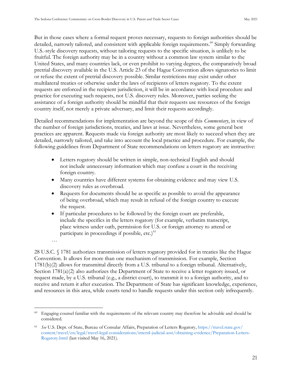But in those cases where a formal request proves necessary, requests to foreign authorities should be detailed, narrowly tailored, and consistent with applicable foreign requirements.<sup>60</sup> Simply forwarding U.S.-style discovery requests, without tailoring requests to the specific situation, is unlikely to be fruitful. The foreign authority may be in a country without a common law system similar to the United States, and many countries lack, or even prohibit to varying degrees, the comparatively broad pretrial discovery available in the U.S. Article 23 of the Hague Convention allows signatories to limit or refuse the extent of pretrial discovery possible. Similar restrictions may exist under other multilateral treaties or otherwise under the laws of recipients of letters rogatory. To the extent requests are enforced in the recipient jurisdiction, it will be in accordance with local procedure and practice for executing such requests, not U.S. discovery rules. Moreover, parties seeking the assistance of a foreign authority should be mindful that their requests use resources of the foreign country itself, not merely a private adversary, and limit their requests accordingly.

Detailed recommendations for implementation are beyond the scope of this *Commentary*, in view of the number of foreign jurisdictions, treaties, and laws at issue. Nevertheless, some general best practices are apparent. Requests made via foreign authority are most likely to succeed when they are detailed, narrowly tailored, and take into account the local practice and procedure. For example, the following guidelines from Department of State recommendations on letters rogatory are instructive:

- Letters rogatory should be written in simple, non-technical English and should not include unnecessary information which may confuse a court in the receiving foreign country.
- Many countries have different systems for obtaining evidence and may view U.S. discovery rules as overbroad.
- Requests for documents should be as specific as possible to avoid the appearance of being overbroad, which may result in refusal of the foreign country to execute the request.
- If particular procedures to be followed by the foreign court are preferable, include the specifics in the letters rogatory (for example, verbatim transcript, place witness under oath, permission for U.S. or foreign attorney to attend or participate in proceedings if possible, etc.) $61$

…

28 U.S.C. § 1781 authorizes transmission of letters rogatory provided for in treaties like the Hague Convention. It allows for more than one mechanism of transmission. For example, Section 1781(b)(2) allows for transmittal directly from a U.S. tribunal to a foreign tribunal. Alternatively, Section 1781(a)(2) also authorizes the Department of State to receive a letter rogatory issued, or request made, by a U.S. tribunal (e.g., a district court), to transmit it to a foreign authority, and to receive and return it after execution. The Department of State has significant knowledge, experience, and resources in this area, while courts tend to handle requests under this section only infrequently.

<sup>60</sup> Engaging counsel familiar with the requirements of the relevant country may therefore be advisable and should be considered.

<sup>61</sup> *See* U.S. Dept. of State, Bureau of Consular Affairs, Preparation of Letters Rogatory[, https://travel.state.gov/](https://travel.state.gov/content/travel/en/legal/travel-legal-considerations/internl-judicial-asst/obtaining-evidence/Preparation-Letters-Rogatory.html) [content/travel/en/legal/travel-legal-considerations/internl-judicial-asst/obtaining-evidence/Preparation-Letters-](https://travel.state.gov/content/travel/en/legal/travel-legal-considerations/internl-judicial-asst/obtaining-evidence/Preparation-Letters-Rogatory.html)[Rogatory.html](https://travel.state.gov/content/travel/en/legal/travel-legal-considerations/internl-judicial-asst/obtaining-evidence/Preparation-Letters-Rogatory.html) (last visited May 16, 2021).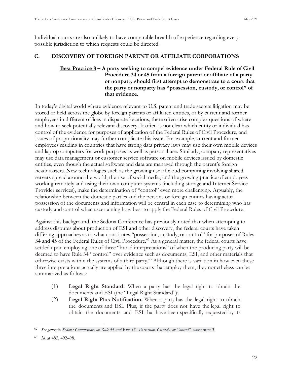Individual courts are also unlikely to have comparable breadth of experience regarding every possible jurisdiction to which requests could be directed.

#### <span id="page-30-1"></span><span id="page-30-0"></span>**C. DISCOVERY OF FOREIGN PARENT OR AFFILIATE CORPORATIONS**

#### **Best Practice 8 – A party seeking to compel evidence under Federal Rule of Civil Procedure 34 or 45 from a foreign parent or affiliate of a party or nonparty should first attempt to demonstrate to a court that the party or nonparty has "possession, custody, or control" of that evidence.**

 n today's digital world where evidence relevant to U.S. patent and trade secrets litigation may be stored or held across the globe by foreign parents or affiliated entities, or by current and former employees in different offices in disparate locations, there often arise complex questions of where and how to seek potentially relevant discovery. It often is not clear which entity or individual has control of the evidence for purposes of application of the Federal Rules of Civil Procedure, and issues of proportionality may further complicate this issue. For example, current and former employees residing in countries that have strong data privacy laws may use their own mobile devices and laptop computers for work purposes as well as personal use. Similarly, company representatives may use data management or customer service software on mobile devices issued by domestic entities, even though the actual software and data are managed through the parent's foreign headquarters. New technologies such as the growing use of cloud computing involving shared servers spread around the world, the rise of social media, and the growing practice of employees working remotely and using their own computer systems (including storage and Internet Service Provider services), make the determination of "control" even more challenging. Arguably, the relationship between the domestic parties and the persons or foreign entities having actual possession of the documents and information will be central in each case to determining who has custody and control when ascertaining how best to apply the Federal Rules of Civil Procedure.

Against this background, the Sedona Conference has previously noted that when attempting to address disputes about production of ESI and other discovery, the federal courts have taken differing approaches as to what constitutes "possession, custody, or control" for purposes of Rules 34 and 45 of the Federal Rules of Civil Procedure.<sup>62</sup> As a general matter, the federal courts have settled upon employing one of three "broad interpretations" of when the producing party will be deemed to have Rule 34 "control" over evidence such as documents, ESI, and other materials that otherwise exists within the systems of a third party.<sup>63</sup> Although there is variation in how even these three interpretations actually are applied by the courts that employ them, they nonetheless can be summarized as follows:

- (1) **Legal Right Standard:** When a party has the legal right to obtain the documents and ESI (the "Legal Right Standard");
- (2) **Legal Right Plus Notification:** When a party has the legal right to obtain the documents and ESI. Plus, if the party does not have the legal right to obtain the documents and ESI that have been specifically requested by its

<sup>62</sup> *See generally Sedona Commentary on Rule 34 and Rule 45 "Possession, Custody, or Control"*, *supra* note 3.

<sup>63</sup> *Id.* at 483, 492–98.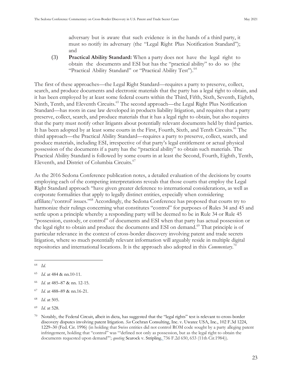adversary but is aware that such evidence is in the hands of a third party, it must so notify its adversary (the "Legal Right Plus Notification Standard"); and

(3) **Practical Ability Standard:** When a party does not have the legal right to obtain the documents and ESI but has the "practical ability" to do so (the "Practical Ability Standard" or "Practical Ability Test").<sup>64</sup>

The first of these approaches—the Legal Right Standard—requires a party to preserve, collect, search, and produce documents and electronic materials that the party has a legal right to obtain, and it has been employed by at least some federal courts within the Third, Fifth, Sixth, Seventh, Eighth, Ninth, Tenth, and Eleventh Circuits.<sup>65</sup> The second approach—the Legal Right Plus Notification Standard—has roots in case law developed in products liability litigation, and requires that a party preserve, collect, search, and produce materials that it has a legal right to obtain, but also requires that the party must notify other litigants about potentially relevant documents held by third parties. It has been adopted by at least some courts in the First, Fourth, Sixth, and Tenth Circuits.<sup>66</sup> The third approach—the Practical Ability Standard—requires a party to preserve, collect, search, and produce materials, including ESI, irrespective of that party's legal entitlement or actual physical possession of the documents if a party has the "practical ability" to obtain such materials. The Practical Ability Standard is followed by some courts in at least the Second, Fourth, Eighth, Tenth, Eleventh, and District of Columbia Circuits.<sup>67</sup>

As the 2016 Sedona Conference publication notes, a detailed evaluation of the decisions by courts employing each of the competing interpretations reveals that those courts that employ the Legal Right Standard approach "have given greater deference to international considerations, as well as corporate formalities that apply to legally distinct entities, especially when considering affiliate/'control' issues."<sup>68</sup> Accordingly, the Sedona Conference has proposed that courts try to harmonize their rulings concerning what constitutes "control" for purposes of Rules 34 and 45 and settle upon a principle whereby a responding party will be deemed to be in Rule 34 or Rule 45 "possession, custody, or control" of documents and ESI when that party has actual possession or the legal right to obtain and produce the documents and ESI on demand.<sup>69</sup> That principle is of particular relevance in the context of cross-border discovery involving patent and trade secrets litigation, where so much potentially relevant information will arguably reside in multiple digital repositories and international locations. It is the approach also adopted in this *Commentary*. 70

- <sup>67</sup> *Id.* at 488–89 & nn.16-21.
- <sup>68</sup> *Id.* at 505.

<sup>64</sup> *Id.*

<sup>65</sup> *Id.* at 484 & nn.10-11.

<sup>66</sup> *Id.* at 485–87 & nn. 12-15.

<sup>69</sup> *Id.* at 528.

Notably, the Federal Circuit, albeit in dicta, has suggested that the "legal rights" test is relevant to cross-border discovery disputes involving patent litigation. *See* Cochran Consulting, Inc. v. Uwatec USA, Inc., 102 F.3d 1224, 1229–30 (Fed. Cir. 1996) (in holding that Swiss entities did not control ROM code sought by a party alleging patent infringement, holding that "control" was "'defined not only as possession, but as the legal right to obtain the documents requested upon demand'"; *quoting* Searock v. Stripling*,* 736 F.2d 650, 653 (11th Cir.1984)).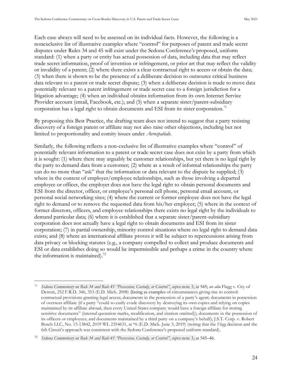Each case always will need to be assessed on its individual facts. However, the following is a nonexclusive list of illustrative examples where "control" for purposes of patent and trade secret disputes under Rules 34 and 45 will exist under the Sedona Conference's proposed, uniform standard: (1) when a party or entity has actual possession of data, including data that may reflect trade secret information, proof of invention or infringement, or prior art that may reflect the validity or invalidity of a patent; (2) where there exists a clear contractual right to access or obtain the data; (3) when there is shown to be the presence of a deliberate decision to outsource critical business data relevant to a patent or trade secret dispute; (3) when a deliberate decision is made to move data potentially relevant to a patent infringement or trade secret case to a foreign jurisdiction for a litigation advantage; (4) when an individual obtains information from its own Internet Service Provider account (email, Facebook, etc.); and (5) when a separate sister/parent-subsidiary corporation has a legal right to obtain documents and ESI from its sister corporation.<sup>71</sup>

By proposing this Best Practice, the drafting team does not intend to suggest that a party resisting discovery of a foreign parent or affiliate may not also raise other objections, including but not limited to proportionality and comity issues under *Aerospatiale*.

Similarly, the following reflects a non-exclusive list of illustrative examples where "control" of potentially relevant information to a patent or trade secret case does not exist by a party from which it is sought: (1) where there may arguably be customer relationships, but yet there is no legal right by the party to demand data from a customer; (2) where as a result of informal relationships the party can do no more than "ask" that the information or data relevant to the dispute be supplied; (3) where in the context of employer/employee relationships, such as those involving a departed employee or officer, the employer does not have the legal right to obtain personal documents and from the director, officer, or employee's personal cell phone, personal email account, or personal social networking sites; (4) where the current or former employee does not have the legal right to demand or to remove the requested data from his/her employer; (5) where in the context of former directors, officers, and employee relationships there exists no legal right by the individuals to demand particular data; (6) where it is established that a separate sister/parent-subsidiary corporation does not actually have a legal right to obtain documents and ESI from its sister corporation; (7) in partial ownership, minority control situations where no legal right to demand data exists; and (8) where an international affiliate proves it will be subject to repercussions arising from data privacy or blocking statutes (e.g., a company compelled to collect and produce documents and ESI or data establishes doing so would be impermissible and perhaps a crime in the country where the information is maintained). $^{72}$ 

<sup>71</sup> *Sedona Commentary on Rule 34 and Rule 45 "Possession, Custody, or Control"*, *supra* note 3, at 545; *see also* Flagg v. City of Detroit, 252 F.R.D. 346, 353 (E.D. Mich. 2008) (listing as examples of circumstances giving rise to control: contractual provisions granting legal access; documents in the possession of a party's agent; documents in possession of overseas affiliate (if a party "could so easily evade discovery by destroying its own copies and relying on copies maintained by its affiliate abroad, then every United States company would have a foreign affiliate for storing sensitive documents" (internal quotation marks, modification, and citation omitted)); documents in the possession of its officers or employees; and documents maintained by a third party on a company's behalf); J.S.T. Corp. v. Robert Bosch LLC, No. 15-13842, 2019 WL 2354631, at \*6 (E.D. Mich. June 3, 2019) (noting that the *Flagg* decision and the 6th Circuit's approach was consistent with the Sedona Conference's proposed uniform standard).

<sup>72</sup> *Sedona Commentary on Rule 34 and Rule 45 "Possession, Custody, or Control"*, *supra* note 3, at 545–46.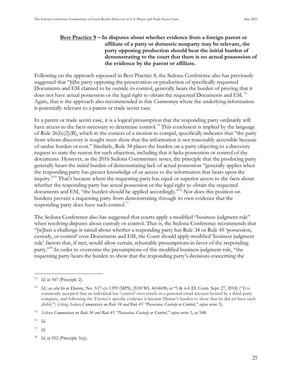#### <span id="page-33-0"></span>**Best Practice 9 – In disputes about whether evidence from a foreign parent or affiliate of a party or domestic nonparty may be relevant, the party opposing production should bear the initial burden of demonstrating to the court that there is no actual possession of the evidence by the parent or affiliate.**

Following on the approach espoused in Best Practice 8, the Sedona Conference also has previously suggested that "[t]he party opposing the preservation or production of specifically requested Documents and ESI claimed to be outside its control, generally bears the burden of proving that it does not have actual possession or the legal right to obtain the requested Documents and ESI.<sup>73</sup> Again, that is the approach also recommended in this *Commentary* where the underlying information is potentially relevant to a patent or trade secret case.

In a patent or trade secret case, it is a logical presumption that the responding party ordinarily will have access to the facts necessary to determine control.<sup>74</sup> This conclusion is implied by the language of Rule 26(b)(2)(B), which in the context of a motion to compel, specifically indicates that "the party from whom discovery is sought must show that the information is not reasonably accessible because of undue burden or cost." Similarly, Rule 34 places the burden on a party objecting to a discovery request to state the reason for such objection, including that it lacks possession or control of the documents. However, as the 2016 Sedona Commentary notes, the principle that the producing party generally bears the initial burden of demonstrating lack of actual possession "generally applies when the responding party has greater knowledge of or access to the information that bears upon the inquiry."<sup>75</sup> That's because where the requesting party has equal or superior access to the facts about whether the responding party has actual possession or the legal right to obtain the requested documents and ESI, "the burden should be applied accordingly."<sup>76</sup> Nor does this position on burdens prevent a requesting party from demonstrating through its own evidence that the responding party does have such control.<sup>77</sup>

The Sedona Conference also has suggested that courts apply a modified "business judgment rule" when resolving disputes about custody or control. That is, the Sedona Conference recommends that "[w]hen a challenge is raised about whether a responding party has Rule  $34$  or Rule  $45$  'possession, custody, or control' over Documents and ESI, the Court should apply modified 'business judgment rule' factors that, if met, would allow certain, rebuttable presumptions in favor of the responding party."<sup>78</sup> In order to overcome the presumptions of this modified business judgment rule, "the requesting party bears the burden to show that the responding party's decisions concerning the

*Id.* at 547 (Principle 2).

<sup>74</sup> *Id.*; *see also* In re Dunne, No. 3:17-cv-1399 (MPS), 2018 WL 4654698, at \*5 & n.4 (D. Conn. Sept. 27, 2018) ("It is commonly accepted that an individual has 'control' over emails in a personal email account hosted by a third-party company, and following the Trustee's specific evidence it became Dunne's burden to show that he did *not* have such ability") (citing *Sedona Commentary on Rule 34 and Rule 45 "Possession, Custody or Control," supra* note 3).

<sup>75</sup> *Sedona Commentary on Rule 34 and Rule 45 "Possession, Custody or Control," supra* note 3, at 548.

<sup>76</sup> *Id.*

<sup>77</sup> *Id.*

<sup>78</sup> *Id.* at 552 (Principle 3(a)).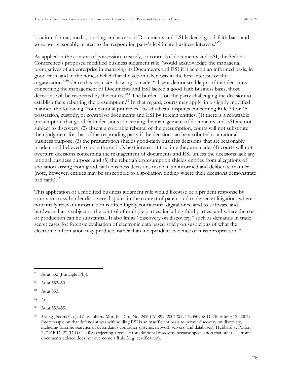location, format, media, hosting, and access to Documents and ESI lacked a good-faith basis and were not reasonably related to the responding party's legitimate business interests."<sup>79</sup>

As applied in the context of possession, custody, or control of documents and ESI, the Sedona Conference's proposed modified business judgment rule "would acknowledge the managerial prerogatives of an enterprise in managing its Documents and ESI if it acts on an informed basis, in good faith, and in the honest belief that the action taken was in the best interests of the organization." <sup>80</sup> Once this requisite showing is made, "absent demonstrable proof that decisions concerning the management of Documents and ESI lacked a good faith business basis, those decisions will be respected by the courts."<sup>81</sup> The burden is on the party challenging the decision to establish facts rebutting the presumption.<sup>82</sup> In that regard, courts may apply, in a slightly modified manner, the following "foundational principles" to adjudicate disputes concerning Rule 34 or 45 possession, custody, or control of documents and ESI by foreign entities: (1) there is a rebuttable presumption that good-faith decisions concerning the management of documents and ESI are not subject to discovery; (2) absent a colorable rebuttal of the presumption, courts will not substitute their judgment for that of the responding party if the decision can be attributed to a rational business purpose; (3) the presumption shields good-faith business decisions that are reasonably prudent and believed to be in the entity's best interest at the time they are made; (4) courts will not overturn decisions concerning the management of documents and ESI unless the decisions lack any rational business purpose; and (5) the rebuttable presumption shields entities from allegations of spoliation arising from good-faith business decisions made in an informed and deliberate manner (note, however, entities may be susceptible to a spoliation finding where their decisions demonstrate bad faith).<sup>83</sup>

This application of a modified business judgment rule would likewise be a prudent response by courts to cross-border discovery disputes in the context of patent and trade secret litigation, where potentially relevant information is often highly confidential digital or related to software and hardware that is subject to the control of multiple parties, including third parties, and where the cost of production can be substantial. t also limits "discovery on discovery," such as demands in trade secret cases for forensic evaluation of electronic data based solely on suspicions of what the electronic information may produce, rather than independent evidence of misappropriation.<sup>84</sup>

<sup>79</sup> *Id.* at 552 (Principle 3(b)).

<sup>80</sup> *Id.* at 552–53.

<sup>81</sup> *Id.* at 553.

<sup>82</sup> *Id.*

<sup>83</sup> *Id.* at 553–55.

<sup>84</sup> *See, e.g.*, Scotts Co., LLC v. Liberty Mut. Ins. Co., No. 2:06-CV-899, 2007 WL 1723509 (S.D. Ohio June 12, 2007) (mere suspicion that defendant was withholding ESI is an insufficient basis to permit discovery on discovery, including forensic searches of defendant's computer systems, network servers, and databases); Hubbard v. Potter, 247 F.R.D. 27 (D.D.C. 2008) (rejecting a request for additional discovery because speculation that other electronic documents existed does not overcome a Rule 26(g) certification).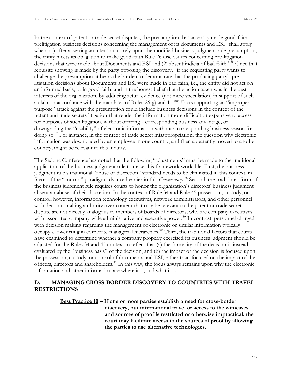In the context of patent or trade secret disputes, the presumption that an entity made good-faith prelitigation business decisions concerning the management of its documents and ESI "shall apply when: (1) after asserting an intention to rely upon the modified business judgment rule presumption, the entity meets its obligation to make good-faith Rule 26 disclosures concerning pre-litigation decisions that were made about Documents and ESI and (2) absent indicia of bad faith."<sup>85</sup> Once that requisite showing is made by the party opposing the discovery, "if the requesting party wants to challenge the presumption, it bears the burden to demonstrate that the producing party's prelitigation decisions about Documents and ESI were made in bad faith, i.e., the entity did not act on an informed basis, or in good faith, and in the honest belief that the action taken was in the best interests of the organization, by adducing actual evidence (not mere speculation) in support of such a claim in accordance with the mandates of Rules  $26(g)$  and  $11.^{86}$  Facts supporting an "improper purpose" attack against the presumption could include business decisions in the context of the patent and trade secrets litigation that render the information more difficult or expensive to access for purposes of such litigation, without offering a corresponding business advantage, or downgrading the "usability" of electronic information without a corresponding business reason for doing so.<sup>87</sup> For instance, in the context of trade secret misappropriation, the question why electronic information was downloaded by an employee in one country, and then apparently moved to another country, might be relevant to this inquiry.

The Sedona Conference has noted that the following "adjustments" must be made to the traditional application of the business judgment rule to make this framework workable. First, the business judgment rule's traditional "abuse of discretion" standard needs to be eliminated in this context, in favor of the "control" paradigm advanced earlier in this *Commentary*.<sup>88</sup> Second, the traditional form of the business judgment rule requires courts to honor the organization's directors' business judgment absent an abuse of their discretion. In the context of Rule 34 and Rule 45 possession, custody, or control, however, information technology executives, network administrators, and other personnel with decision-making authority over content that may be relevant to the patent or trade secret dispute are not directly analogous to members of boards of directors, who are company executives with associated company-wide administrative and executive power.<sup>89</sup> In contrast, personnel charged with decision making regarding the management of electronic or similar information typically occupy a lower rung in corporate managerial hierarchies.<sup>90</sup> Third, the traditional factors that courts have examined to determine whether a company properly exercised its business judgment should be adjusted for the Rules 34 and 45 context to reflect that (a) the formality of the decision is instead evaluated by the "business basis" of the decision, and (b) the impact of the decision is focused upon the possession, custody, or control of documents and ESI, rather than focused on the impact of the officers, directors and shareholders.<sup>91</sup> In this way, the focus always remains upon why the electronic information and other information are where it is, and what it is.

#### <span id="page-35-1"></span><span id="page-35-0"></span>**D. MANAGING CROSS-BORDER DISCOVERY TO COUNTRIES WITH TRAVEL RESTRICTIONS**

**Best Practice 10 – If one or more parties establish a need for cross-border discovery, but international travel or access to the witnesses and sources of proof is restricted or otherwise impractical, the court may facilitate access to the sources of proof by allowing the parties to use alternative technologies.**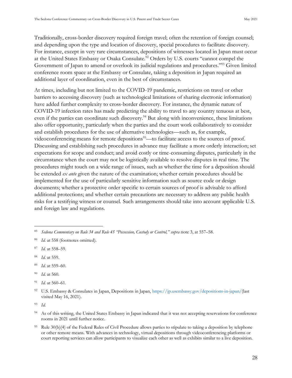Traditionally, cross-border discovery required foreign travel; often the retention of foreign counsel; and depending upon the type and location of discovery, special procedures to facilitate discovery. For instance, except in very rare circumstances, depositions of witnesses located in Japan must occur at the United States Embassy or Osaka Consulate.<sup>92</sup> Orders by U.S. courts "cannot compel the Government of Japan to amend or overlook its judicial regulations and procedures."<sup>93</sup> Given limited conference room space at the Embassy or Consulate, taking a deposition in Japan required an additional layer of coordination, even in the best of circumstances.

At times, including but not limited to the COVID-19 pandemic, restrictions on travel or other barriers to accessing discovery (such as technological limitations of sharing electronic information) have added further complexity to cross-border discovery. For instance, the dynamic nature of COVID-19 infection rates has made predicting the ability to travel to any country tenuous at best, even if the parties can coordinate such discovery.<sup>94</sup> But along with inconvenience, these limitations also offer opportunity, particularly when the parties and the court work collaboratively to consider and establish procedures for the use of alternative technologies—such as, for example, videoconferencing means for remote depositions<sup>95</sup>—to facilitate access to the sources of proof. Discussing and establishing such procedures in advance may facilitate a more orderly interaction; set expectations for scope and conduct; and avoid costly or time-consuming disputes, particularly in the circumstance when the court may not be logistically available to resolve disputes in real time. The procedures might touch on a wide range of issues, such as whether the time for a deposition should be extended *ex ante* given the nature of the examination; whether certain procedures should be implemented for the use of particularly sensitive information such as source code or design documents; whether a protective order specific to certain sources of proof is advisable to afford additional protections; and whether certain precautions are necessary to address any public health risks for a testifying witness or counsel. Such arrangements should take into account applicable U.S. and foreign law and regulations.

- <sup>89</sup> *Id.* at 559–60.
- *Id.* at 560.

<sup>93</sup> *Id.*

<sup>85</sup> *Sedona Commentary on Rule 34 and Rule 45 "Possession, Custody or Control," supra* note 3, at 557–58.

<sup>&</sup>lt;sup>86</sup> *Id.* at 558 (footnotes omitted).

<sup>87</sup> *Id.* at 558–59.

<sup>88</sup> *Id.* at 559.

<sup>91</sup> *Id.* at 560–61.

<sup>92</sup> U.S. Embassy & Consulates in Japan, Depositions in Japan, [https://jp.usembassy.gov/depositions-in-japan/\(](https://jp.usembassy.gov/depositions-in-japan/)last visited May 16, 2021).

<sup>&</sup>lt;sup>94</sup> As of this writing, the United States Embassy in Japan indicated that it was not accepting reservations for conference rooms in 2021 until further notice.

<sup>&</sup>lt;sup>95</sup> Rule 30(b)(4) of the Federal Rules of Civil Procedure allows parties to stipulate to taking a deposition by telephone or other remote means. With advances in technology, virtual depositions through videoconferencing platforms or court reporting services can allow participants to visualize each other as well as exhibits similar to a live deposition.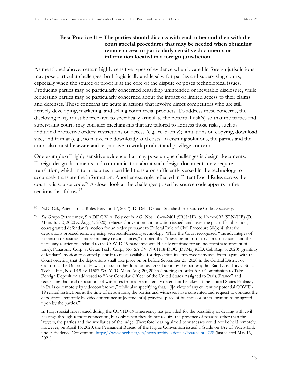#### <span id="page-37-0"></span>**Best Practice 11 – The parties should discuss with each other and then with the court special procedures that may be needed when obtaining remote access to particularly sensitive documents or information located in a foreign jurisdiction.**

As mentioned above, certain highly sensitive types of evidence when located in foreign jurisdictions may pose particular challenges, both logistically and legally, for parties and supervising courts, especially when the source of proof is at the core of the dispute or poses technological issues. Producing parties may be particularly concerned regarding unintended or inevitable disclosure, while requesting parties may be particularly concerned about the impact of limited access to their claims and defenses. These concerns are acute in actions that involve direct competitors who are still actively developing, marketing, and selling commercial products. To address these concerns, the disclosing party must be prepared to specifically articulate the potential risk(s) so that the parties and supervising courts may consider mechanisms that are tailored to address those risks, such as additional protective orders; restrictions on access (e.g., read-only); limitations on copying, download size, and format (e.g., no native file download); and costs. In crafting solutions, the parties and the court also must be aware and responsive to work product and privilege concerns.

One example of highly sensitive evidence that may pose unique challenges is design documents. Foreign design documents and communication about such design documents may require translation, which in turn requires a certified translator sufficiently versed in the technology to accurately translate the information. Another example reflected in Patent Local Rules across the country is source code.<sup>96</sup> A closer look at the challenges posed by source code appears in the sections that follow.<sup>97</sup>

<sup>96</sup> N.D. Cal., Patent Local Rules (rev. Jan 17, 2017); D. Del., Default Standard For Source Code Discovery.

<sup>97</sup> *See* Grupo Petrotemex, S.A.DE C.V. v. Polymetrix AG, Nos. 16-cv-2401 (SRN/HB) & 19-mc-092 (SRN/HB) (D. Minn. July 2, 2020 & Aug., 1. 2020): (Hague Convention authorization issued, and, over the plaintiffs' objection, court granted defendant's motion for an order pursuant to Federal Rule of Civil Procedure 30(b)(4) that the depositions proceed remotely using videoconferencing technology. While the Court recognized "the advantages of in-person depositions under ordinary circumstances," it noted that "these are not ordinary circumstances" and the necessary restrictions related to the COVID-19 pandemic would likely continue for an indeterminate amount of time); Panasonic Corp. v. Getac Tech. Corp., No. SA CV 19-01118-DOC (DFMx) (C.D. Cal. Aug. 6, 2020) (granting defendant's motion to compel plaintiff to make available for deposition its employee witnesses from Japan, with the Court ordering that the depositions shall take place on or before September 25, 2020 in the Central District of California, the District of Hawaii, or such other location as agreed upon by the parties); Bio-Rad Labs., Inc. v. Stilla Techs., Inc., No. 1:19-cv-11587-WGY (D. Mass. Aug. 20, 2020) (entering an order for a Commission to Take Foreign Deposition addressed to "Any Consular Officer of the United States Assigned to Paris, France" and requesting that oral depositions of witnesses from a French entity defendant be taken at the United States Embassy in Paris or remotely by videoconference," while also specifying that, "[i]n view of any current or potential COVID-19 related restrictions at the time of depositions, the parties and witnesses have consented and request to conduct the depositions remotely by videoconference at [defendant's] principal place of business or other location to be agreed upon by the parties.")

In Italy, special rules issued during the COVID-19 Emergency has provided for the possibility of dealing with civil hearings through remote connection, but only when they do not require the presence of persons other than the lawyers, the parties and the auxiliaries of the judge. Therefore hearing aimed to witnesses could not be held remotely. However, on April 16, 2020, the Permanent Bureau of the Hague Convention issued a Guide on Use of Video-Link under Evidence Convention, <https://www.hcch.net/en/news-archive/details/?varevent=728> (last visited May 16, 2021).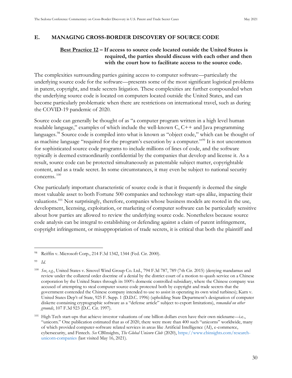#### <span id="page-38-1"></span><span id="page-38-0"></span>**E. MANAGING CROSS-BORDER DISCOVERY OF SOURCE CODE**

#### **Best Practice 12 – If access to source code located outside the United States is required, the parties should discuss with each other and then with the court how to facilitate access to the source code.**

The complexities surrounding parties gaining access to computer software—particularly the underlying source code for the software—presents some of the most significant logistical problems in patent, copyright, and trade secrets litigation. These complexities are further compounded when the underlying source code is located on computers located outside the United States, and can become particularly problematic when there are restrictions on international travel, such as during the COVID-19 pandemic of 2020.

Source code can generally be thought of as "a computer program written in a high level human readable language," examples of which include the well-known C, C++ and Java programming languages.<sup>98</sup> Source code is compiled into what is known as "object code," which can be thought of as machine language "required for the program's execution by a computer."<sup>99</sup> It is not uncommon for sophisticated source code programs to include millions of lines of code, and the software typically is deemed extraordinarily confidential by the companies that develop and license it. As a result, source code can be protected simultaneously as patentable subject matter, copyrightable content, and as a trade secret. In some circumstances, it may even be subject to national security concerns. <sup>100</sup>

One particularly important characteristic of source code is that it frequently is deemed the single most valuable asset to both Fortune 500 companies and technology start-ups alike, impacting their valuations.<sup>101</sup> Not surprisingly, therefore, companies whose business models are rooted in the use, development, licensing, exploitation, or marketing of computer software can be particularly sensitive about how parties are allowed to review the underlying source code. Nonetheless because source code analysis can be integral to establishing or defending against a claim of patent infringement, copyright infringement, or misappropriation of trade secrets, it is critical that both the plaintiff and

<sup>98</sup> Reiffin v. Microsoft Corp., 214 F.3d 1342, 1344 (Fed. Cir. 2000).

<sup>99</sup> *Id.*

<sup>100</sup> *See*, *e.g.*, United States v. Sinovel Wind Group Co. Ltd., 794 F.3d 787, 789 (7th Cir. 2015) (denying mandamus and review under the collateral order doctrine of a denial by the district court of a motion to quash service on a Chinese corporation by the United States through its 100% domestic controlled subsidiary, where the Chinese company was accused of attempting to steal computer source code protected both by copyright and trade secrets that the government contended the Chinese company intended to use to assist in operating its own wind turbines); Karn v. United States Dep't of State, 925 F. Supp. 1 (D.D.C. 1996) (upholding State Department's designation of computer diskette containing cryptographic software as a "defense article" subject to export limitations), *remanded on other grounds*, 107 F.3d 923 (D.C. Cir. 1997).

<sup>101</sup> High Tech start-ups that achieve investor valuations of one billion dollars even have their own nickname—i.e., "unicorn." One publication estimated that as of 2020, there were more than 400 such "unicorns" worldwide, many of which provided computer-software related services in areas like Artificial Intelligence (AI), e-commerce, cybersecurity, and Fintech. *See* CBInsights, *The Global Unicorn Club* (2020), [https://www.cbinsights.com/research](https://www.cbinsights.com/research-unicorn-companies)[unicorn-companies](https://www.cbinsights.com/research-unicorn-companies) (last visited May 16, 2021).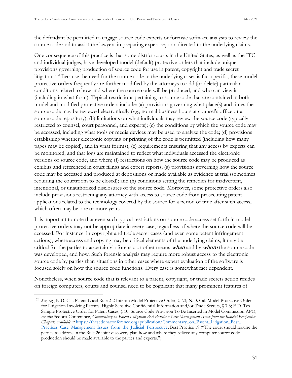the defendant be permitted to engage source code experts or forensic software analysts to review the source code and to assist the lawyers in preparing expert reports directed to the underlying claims.

One consequence of this practice is that some district courts in the United States, as well as the ITC and individual judges, have developed model (default) protective orders that include unique provisions governing production of source code for use in patent, copyright and trade secret litigation.<sup>102</sup> Because the need for the source code in the underlying cases is fact specific, these model protective orders frequently are further modified by the attorneys to add (or delete) particular conditions related to how and where the source code will be produced, and who can view it (including in what form). Typical restrictions pertaining to source code that are contained in both model and modified protective orders include: (a) provisions governing what place(s) and times the source code may be reviewed electronically (*e.g.*, normal business hours at counsel's office or a source code repository); (b) limitations on what individuals may review the source code (typically restricted to counsel, court personnel, and experts); (c) the conditions by which the source code may be accessed, including what tools or media devices may be used to analyze the code; (d) provisions establishing whether electronic copying or printing of the code is permitted (including how many pages may be copied), and in what form(s); (e) requirements ensuring that any access by experts can be monitored, and that logs are maintained to reflect what individuals accessed the electronic versions of source code, and when; (f) restrictions on how the source code may be produced as exhibits and referenced in court filings and expert reports; (g) provisions governing how the source code may be accessed and produced at depositions or made available as evidence at trial (sometimes requiring the courtroom to be closed); and (h) conditions setting the remedies for inadvertent, intentional, or unauthorized disclosures of the source code. Moreover, some protective orders also include provisions restricting any attorney with access to source code from prosecuting patent applications related to the technology covered by the source for a period of time after such access, which often may be one or more years.

It is important to note that even such typical restrictions on source code access set forth in model protective orders may not be appropriate in every case, regardless of where the source code will be accessed. For instance, in copyright and trade secret cases (and even some patent infringement actions), where access and copying may be critical elements of the underlying claims, it may be critical for the parties to ascertain via forensic or other means **when** and by **whom** the source code was developed, and how. Such forensic analysis may require more robust access to the electronic source code by parties than situations in other cases where expert evaluation of the software is focused solely on how the source code functions. Every case is somewhat fact dependent.

Nonetheless, when source code that is relevant to a patent, copyright, or trade secrets action resides on foreign computers, courts and counsel need to be cognizant that many prominent features of

<sup>102</sup> *See*, *e.g.*, N.D. Cal. Patent Local Rule 2-2 Interim Model Protective Order, § 7.3; N.D. Cal. Model Protective Order for Litigation Involving Patents, Highly Sensitive Confidential Information and/or Trade Secrets, § 7.3; E.D. Tex. Sample Protective Order for Patent Cases, § 10; Source Code Provision To Be Inserted in Model Commission APO; *see also* Sedona Conference, *Commentary on Patent Litigation Best Practices: Case Management Issues from the Judicial Perspective Chapter*, *available at* [https://thesedonaconference.org/publication/Commentary\\_on\\_Patent\\_Litigation\\_Best\\_](https://thesedonaconference.org/publication/Commentary_on_Patent_Litigation_Best_‌Practices_Case_Management_Issues_from_the_Judicial_Perspective) [Practices\\_Case\\_Management\\_Issues\\_from\\_the\\_Judicial\\_Perspective,](https://thesedonaconference.org/publication/Commentary_on_Patent_Litigation_Best_‌Practices_Case_Management_Issues_from_the_Judicial_Perspective) Best Practice 19 ("The court should require the parties to address in the Rule 26 joint discovery plan how and where they believe any computer source code production should be made available to the parties and experts.").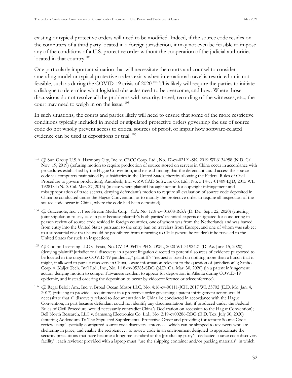existing or typical protective orders will need to be modified. Indeed, if the source code resides on the computers of a third party located in a foreign jurisdiction, it may not even be feasible to impose any of the conditions of a U.S. protective order without the cooperation of the judicial authorities located in that country.<sup>103</sup>

One particularly important situation that will necessitate the courts and counsel to consider amending model or typical protective orders exists when international travel is restricted or is not feasible, such as during the COVID-19 crisis of 2020.<sup>104</sup> This likely will require the parties to initiate a dialogue to determine what logistical obstacles need to be overcome, and how. Where those discussions do not resolve all the problems with security, travel, recording of the witnesses, etc., the court may need to weigh in on the issue.<sup>105</sup>

In such situations, the courts and parties likely will need to ensure that some of the more restrictive conditions typically included in model or stipulated protective orders governing the use of source code do not wholly prevent access to critical sources of proof, or impair how software-related evidence can be used at depositions or trial. <sup>106</sup>

<sup>104</sup> *Cf.* Gracenote, Inc. v. Free Stream Media Corp., C.A. No. 1:18-cv-01608-RGA (D. Del. Sept. 22, 2020) (entering joint stipulation to stay case in part because plaintiff's both parties' technical experts designated for conducting inperson review of source code resided in foreign countries, one of whom was from the Netherlands and was barred from entry into the United States pursuant to the entry ban on travelers from Europe, and one of whom was subject to a substantial risk that he would be prohibited from returning to Chile (where he resided) if he traveled to the United States for such an inspection).

<sup>103</sup> *Cf.* Sun Group U.S.A. Harmony City, Inc. v. CRCC Corp. Ltd., No. 17-cv-02191-SK, 2019 WL6134958 (N.D. Cal. Nov. 19, 2019) (refusing motion to require production of source stored on servers in China occur in accordance with procedures established by the Hague Convention, and instead finding that the defendant could access the source code via computers maintained by subsidiaries in the United States, thereby allowing the Federal Rules of Civil Procedure to govern production); Autodesk, Inc. v. ZWCAD Software Co. Ltd., No. 5:14-cv-01409-EJD, 2015 WL 1928184 (N.D. Cal. Mar. 27, 2015) (in case where plaintiff brought action for copyright infringement and misappropriation of trade secrets, denying defendant's motion to require all evaluation of source code deposited in China be conducted under the Hague Convention, or to modify the protective order to require all inspection of the source code occur in China, where the code had been deposited).

<sup>105</sup> *Cf.* Coolpo Licensing LLC v. Festa, No. CV-19-05473-PHX-DWL, 2020 WL 3192421 (D. Az. June 15, 2020) (denying plaintiff jurisdictional discovery in a patent litigation directed to potential sources of evidence purported to be located in the ongoing COVID-19 pandemic," plaintiff's "request is based on nothing more than a hunch that it might, if allowed to pursue discovery in China, locate information relevant to the question of jurisdiction"); Sanho Corp. v. Kaijet Tech. Int'l Ltd., Inc., No. 1:18-cv-05385-SDG (N.D. Ga. Mar. 30, 2020) (in a patent infringement action, denying motion to compel Taiwanese resident to appear for deposition in Atlanta during COVID-19 epidemic, and instead ordering the deposition to occur by videoconference or teleconference).

<sup>106</sup> *Cf.* Regal Beloit Am., Inc. v. Broad Ocean Motor LLC, No. 4:16-cv-00111-JCH, 2017 WL 35702 (E.D. Mo. Jan. 4, 2017) (refusing to provide a requirement in a protective order governing a patent infringement action would necessitate that all discovery related to documentation in China be conducted in accordance with the Hague Convention, in part because defendant could not identify any documentation that, if produced under the Federal Rules of Civil Procedure, would necessarily contradict China's Declaration on accession to the Hague Convention); Bell North Research, LLC v. Samsung Electronics Co. Ltd., No. 2:19-cv00286-RBG (E.D. Tex. July 30, 2020) (entering Addendum To The Stipulated Supplemental Protective Order and providing for remote Source Code review using "specially-configured source code discovery laptops . . . which can be shipped to reviewers who are sheltering in place, and enable the recipient . . . to review code in an environment designed to approximate the security precautions that have become a longtime standard at the [producing party's] dedicated source code discovery facility"; each reviewer provided with a laptop must "use the shipping container and/or packing materials" in which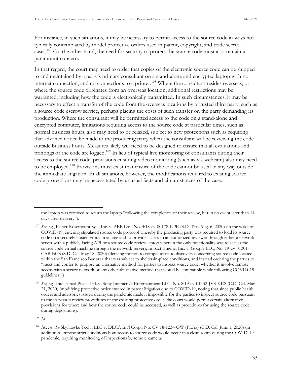For instance, in such situations, it may be necessary to permit access to the source code in ways not typically contemplated by model protective orders used in patent, copyright, and trade secret cases.<sup>107</sup> On the other hand, the need for security to protect the source code must also remain a paramount concern.

In that regard, the court may need to order that copies of the electronic source code can be shipped to and maintained by a party's primary consultant on a stand-alone and encrypted laptop with no internet connection, and no connections to a printer.<sup>108</sup> Where the consultant resides overseas, or where the source code originates from an overseas location, additional restrictions may be warranted, including how the code is electronically transmitted. In such circumstances, it may be necessary to effect a transfer of the code from the overseas locations by a trusted third party, such as a source code escrow service, perhaps placing the costs of such transfer on the party demanding its production. Where the consultant will be permitted access to the code on a stand-alone and encrypted computer, limitations requiring access to the source code at particular times, such as normal business hours, also may need to be relaxed, subject to new protections such as requiring that advance notice be made to the producing party when the consultant will be reviewing the code outside business hours. Measures likely will need to be designed to ensure that all evaluations and printings of the code are logged.<sup>109</sup> In lieu of typical live monitoring of consultants during their access to the source code, provisions ensuring video monitoring (such as via webcam) also may need to be employed.<sup>110</sup> Provisions must exist that ensure of the code cannot be used in any way outside the immediate litigation. In all situations, however, the modifications required to existing source code protections may be necessitated by unusual facts and circumstances of the case.

the laptop was received to return the laptop "following the completion of their review, but in no event later than 14 days after delivery").

<sup>107</sup> *See*, *e.g.*, Fisher-Rosemount Sys., Inc. v. ABB Ltd., No. 4:18-cv-00178-KPE (S.D. Tex. Aug. 6, 2020) (in the wake of COVID-19, entering stipulated source code protocol whereby the producing party was required to load its source code on a securely hosted virtual machine and to provide access to an authorized reviewer through either a network server with a publicly facing API or a source code review laptop wherein the only functionality was to access the source code virtual machine through the network server); Impact Engine, Inc. v. Google LLC, No. 19-cv-01301- CAB-BGS (S.D. Cal. May 18, 2020) (denying motion to compel relate to discovery concerning source code located within the San Francisco Bay area that was subject to shelter-in-place conditions, and instead ordering the parties to "meet and confer to propose an alternative method for parties to inspect source code, whether it involve remote access with a secure network or any other alternative method that would be compatible while following COVID-19 guidelines.")

<sup>108</sup> *See, e.g.,* Intellectual Pixels Ltd. v. Sony Interactive Entertainment LLC, No. 8:19-cv-01432-JVS-KES (C.D. Cal. May 21, 2020) (modifying protective order entered in patent litigation due to COVID-19, noting that since public health orders and advisories issued during the pandemic made it impossible for the parties to inspect source code pursuant to the in-person review procedures of the existing protective order, the court would permit certain alternative provisions for where and how the source code could be accessed, as well as procedures for using the source code during depositions).

<sup>109</sup> *Id.*

<sup>&</sup>lt;sup>110</sup> Id.; see also SkyHawke Tech., LLC v. DECA Int'l Corp., No. CV 18-1234-GW (PLAx) (C.D. Cal. June 1, 2020) (in addition to impose strict conditions how access to source code would occur in a clean room during the COVID-19 pandemic, requiring monitoring of inspections by remote camera).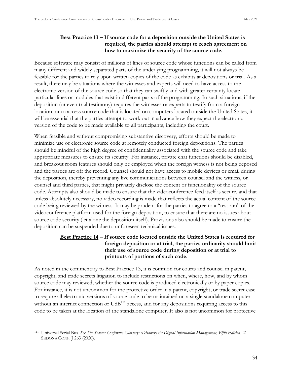#### **Best Practice 13 – If source code for a deposition outside the United States is required, the parties should attempt to reach agreement on how to maximize the security of the source code.**

<span id="page-42-0"></span>Because software may consist of millions of lines of source code whose functions can be called from many different and widely separated parts of the underlying programming, it will not always be feasible for the parties to rely upon written copies of the code as exhibits at depositions or trial. As a result, there may be situations where the witnesses and experts will need to have access to the electronic version of the source code so that they can swiftly and with greater certainty locate particular lines or modules that exist in different parts of the programming. In such situations, if the deposition (or even trial testimony) requires the witnesses or experts to testify from a foreign location, or to access source code that is located on computers located outside the United States, it will be essential that the parties attempt to work out in advance how they expect the electronic version of the code to be made available to all participants, including the court.

When feasible and without compromising substantive discovery, efforts should be made to minimize use of electronic source code at remotely conducted foreign depositions. The parties should be mindful of the high degree of confidentiality associated with the source code and take appropriate measures to ensure its security. For instance, private chat functions should be disabled, and breakout room features should only be employed when the foreign witness is not being deposed and the parties are off the record. Counsel should not have access to mobile devices or email during the deposition, thereby preventing any live communications between counsel and the witness, or counsel and third parties, that might privately disclose the content or functionality of the source code. Attempts also should be made to ensure that the videoconference feed itself is secure, and that unless absolutely necessary, no video recording is made that reflects the actual content of the source code being reviewed by the witness. It may be prudent for the parties to agree to a "test run" of the videoconference platform used for the foreign deposition, to ensure that there are no issues about source code security (let alone the deposition itself). Provisions also should be made to ensure the deposition can be suspended due to unforeseen technical issues.

#### <span id="page-42-1"></span>**Best Practice 14 – If source code located outside the United States is required for foreign deposition or at trial, the parties ordinarily should limit their use of source code during deposition or at trial to printouts of portions of such code.**

As noted in the commentary to Best Practice 13, it is common for courts and counsel in patent, copyright, and trade secrets litigation to include restrictions on when, where, how, and by whom source code may reviewed, whether the source code is produced electronically or by paper copies. For instance, it is not uncommon for the protective order in a patent, copyright, or trade secret case to require all electronic versions of source code to be maintained on a single standalone computer without an internet connection or  $\mathrm{USB}^{111}$  access, and for any depositions requiring access to this code to be taken at the location of the standalone computer. It also is not uncommon for protective

<sup>111</sup> Universal Serial Bus. *See The Sedona Conference Glossary: eDiscovery & Digital Information Management, Fifth Edition*, 21 SEDONA CONF. J 263 (2020).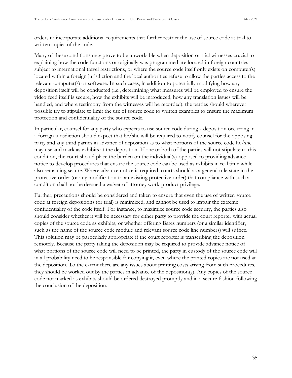orders to incorporate additional requirements that further restrict the use of source code at trial to written copies of the code.

Many of these conditions may prove to be unworkable when deposition or trial witnesses crucial to explaining how the code functions or originally was programmed are located in foreign countries subject to international travel restrictions, or where the source code itself only exists on computer(s) located within a foreign jurisdiction and the local authorities refuse to allow the parties access to the relevant computer(s) or software. In such cases, in addition to potentially modifying how any deposition itself will be conducted (i.e., determining what measures will be employed to ensure the video feed itself is secure, how the exhibits will be introduced, how any translation issues will be handled, and where testimony from the witnesses will be recorded), the parties should wherever possible try to stipulate to limit the use of source code to written examples to ensure the maximum protection and confidentiality of the source code.

In particular, counsel for any party who expects to use source code during a deposition occurring in a foreign jurisdiction should expect that he/she will be required to notify counsel for the opposing party and any third parties in advance of deposition as to what portions of the source code he/she may use and mark as exhibits at the deposition. If one or both of the parties will not stipulate to this condition, the court should place the burden on the individual(s) opposed to providing advance notice to develop procedures that ensure the source code can be used as exhibits in real time while also remaining secure. Where advance notice is required, courts should as a general rule state in the protective order (or any modification to an existing protective order) that compliance with such a condition shall not be deemed a waiver of attorney work-product privilege.

Further, precautions should be considered and taken to ensure that even the use of written source code at foreign depositions (or trial) is minimized, and cannot be used to impair the extreme confidentiality of the code itself. For instance, to maximize source code security, the parties also should consider whether it will be necessary for either party to provide the court reporter with actual copies of the source code as exhibits, or whether offering Bates numbers (or a similar identifier, such as the name of the source code module and relevant source code line numbers) will suffice. This solution may be particularly appropriate if the court reporter is transcribing the deposition remotely. Because the party taking the deposition may be required to provide advance notice of what portions of the source code will need to be printed, the party in custody of the source code will in all probability need to be responsible for copying it, even where the printed copies are not used at the deposition. To the extent there are any issues about printing costs arising from such procedures, they should be worked out by the parties in advance of the deposition(s). Any copies of the source code not marked as exhibits should be ordered destroyed promptly and in a secure fashion following the conclusion of the deposition.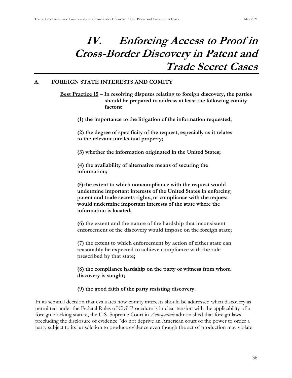### <span id="page-44-0"></span>**IV. Enforcing Access to Proof in Cross-Border Discovery in Patent and Trade Secret Cases**

#### <span id="page-44-2"></span><span id="page-44-1"></span>**A. FOREIGN STATE INTERESTS AND COMITY**

**Best Practice 15 – In resolving disputes relating to foreign discovery, the parties should be prepared to address at least the following comity factors:** 

**(1) the importance to the litigation of the information requested;** 

**(2) the degree of specificity of the request, especially as it relates to the relevant intellectual property;** 

**(3) whether the information originated in the United States;**

**(4) the availability of alternative means of securing the information;**

**(5) the extent to which noncompliance with the request would undermine important interests of the United States in enforcing patent and trade secrets rights, or compliance with the request would undermine important interests of the state where the information is located;**

**(6) the extent and the nature of the hardship that inconsistent enforcement of the discovery would impose on the foreign state;** 

**(7) the extent to which enforcement by action of either state can reasonably be expected to achieve compliance with the rule prescribed by that state;**

**(8) the compliance hardship on the party or witness from whom discovery is sought;**

#### **(9) the good faith of the party resisting discovery.**

In its seminal decision that evaluates how comity interests should be addressed when discovery as permitted under the Federal Rules of Civil Procedure is in clear tension with the applicability of a foreign blocking statute, the U.S. Supreme Court in *Aerospatiale* admonished that foreign laws precluding the disclosure of evidence "do not deprive an merican court of the power to order a party subject to its jurisdiction to produce evidence even though the act of production may violate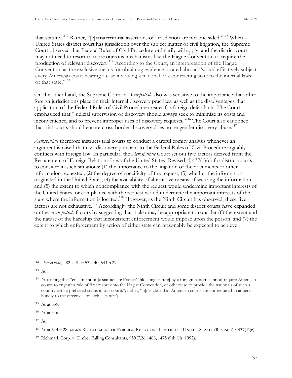that statute."<sup>112</sup> Rather, "[e]xtraterritorial assertions of jurisdiction are not one sided."<sup>113</sup> When a United States district court has jurisdiction over the subject matter of civil litigation, the Supreme Court observed that Federal Rules of Civil Procedure ordinarily will apply, and the district court may not need to resort to more onerous mechanisms like the Hague Convention to require the production of relevant discovery.<sup>114</sup> According to the Court, an interpretation of the Hague Convention as the exclusive means for obtaining evidence located abroad "would effectively subject every American court hearing a case involving a national of a contracting state to the internal laws of that state."<sup>115</sup>

On the other hand, the Supreme Court in *Aerospatiale* also was sensitive to the importance that other foreign jurisdictions place on their internal discovery practices, as well as the disadvantages that application of the Federal Rules of Civil Procedure creates for foreign defendants. The Court emphasized that "judicial supervision of discovery should always seek to minimize its costs and inconvenience, and to prevent improper uses of discovery requests."<sup>116</sup> The Court also cautioned that trial courts should ensure cross-border discovery does not engender discovery abuse.<sup>117</sup>

*Aerospatiale* therefore instructs trial courts to conduct a careful comity analysis whenever an argument is raised that civil discovery pursuant to the Federal Rules of Civil Procedure arguably conflicts with foreign law. In particular, the *Aerospatiale* Court set out five factors derived from the Restatement of Foreign Relations Law of the United States (Revised) § 437(1)(c) for district courts to consider in such situations: (1) the importance to the litigation of the documents or other information requested; (2) the degree of specificity of the request; (3) whether the information originated in the United States; (4) the availability of alternative means of securing the information; and (5) the extent to which noncompliance with the request would undermine important interests of the United States, or compliance with the request would undermine the important interests of the state where the information is located.<sup>118</sup> However, as the Ninth Circuit has observed, these five factors are not exhaustive.<sup>119</sup> Accordingly, the Ninth Circuit and some district courts have expanded on the *Aerospatiale* factors by suggesting that it also may be appropriate to consider (6) the extent and the nature of the hardship that inconsistent enforcement would impose upon the person; and (7) the extent to which enforcement by action of either state can reasonably be expected to achieve

<sup>112</sup> *Aerospatiale,* 482 U.S. at 539–40, 544 n.29.

<sup>113</sup> *Id.*

<sup>&</sup>lt;sup>114</sup> *Id.* (stating that "enactment of [a statute like France's blocking statute] by a foreign nation [cannot] require American courts to engraft a rule of first resort onto the Hague Convention, or otherwise to provide the nationals of such a country with a preferred status in our courts"; rather, "[i]t is clear that merican courts are not required to adhere blindly to the directives of such a statute').

<sup>115</sup> *Id.* at 539.

<sup>116</sup> *Id.* at 546.

<sup>117</sup> *Id.*

<sup>118</sup> *Id.* at 544 n.28; *see also* RESTATEMENT OF FOREIGN RELATIONS LAW OF THE UNITED STATES (REVISED) § 437(1)(c).

<sup>119</sup> Richmark Corp. v. Timber Falling Consultants, 959 F.2d 1468, 1475 (9th Cir. 1992).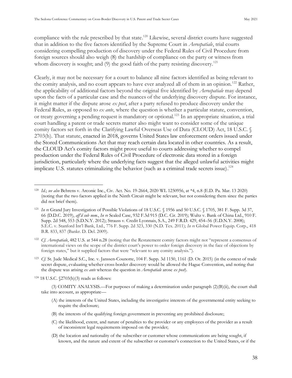compliance with the rule prescribed by that state.<sup>120</sup> Likewise, several district courts have suggested that in addition to the five factors identified by the Supreme Court in *Aerospatiale*, trial courts considering compelling production of discovery under the Federal Rules of Civil Procedure from foreign sources should also weigh (8) the hardship of compliance on the party or witness from whom discovery is sought; and  $(9)$  the good faith of the party resisting discovery.<sup>121</sup>

Clearly, it may not be necessary for a court to balance all nine factors identified as being relevant to the comity analysis, and no court appears to have ever analyzed all of them in an opinion.<sup>122</sup> Rather, the applicability of additional factors beyond the original five identified by *Aerospatiale* may depend upon the facts of a particular case and the nuances of the underlying discovery dispute. For instance, it might matter if the dispute arose *ex post*, after a party refused to produce discovery under the Federal Rules, as opposed to *ex ante*, where the question is whether a particular statute, convention, or treaty governing a pending request is mandatory or optional.<sup>123</sup> In an appropriate situation, a trial court handling a patent or trade secrets matter also might want to consider some of the unique comity factors set forth in the Clarifying Lawful Overseas Use of Data (CLOUD) Act, 18 U.S.C. § 2703(h). That statute, enacted in 2018, governs United States law enforcement orders issued under the Stored Communications Act that may reach certain data located in other countries. As a result, the CLOUD Act's comity factors might prove useful to courts addressing whether to compel production under the Federal Rules of Civil Procedure of electronic data stored in a foreign jurisdiction, particularly where the underlying facts suggest that the alleged unlawful activities might implicate U.S. statutes criminalizing the behavior (such as a criminal trade secrets issue).<sup>124</sup>

- <sup>123</sup> *Cf.* St. Jude Medical S.C., Inc. v. Janssen-Counotte, 104 F. Supp. 3d 1150, 1161 (D. Or. 2015) (in the context of trade secret dispute, evaluating whether cross-border discovery would be allowed the Hague Convention, and noting that the dispute was arising *ex ante* whereas the question in *Aerospatiale* arose *ex post*).
- <sup>124</sup> 18 U.S.C. §2703(h)(3) reads as follows:
	- (3) COMITY ANALYSIS.—For purposes of making a determination under paragraph (2)(B)(ii), the court shall take into account, as appropriate—
		- (A) the interests of the United States, including the investigative interests of the governmental entity seeking to require the disclosure;
		- (B) the interests of the qualifying foreign government in preventing any prohibited disclosure;
		- (C) the likelihood, extent, and nature of penalties to the provider or any employees of the provider as a result of inconsistent legal requirements imposed on the provider;
		- (D) the location and nationality of the subscriber or customer whose communications are being sought, if known, and the nature and extent of the subscriber or customer's connection to the United States, or if the

<sup>120</sup> *Id.*; *see also* Behrens v. Arconic Inc., Civ. Act. No. 19-2664, 2020 WL 1250956, at \*4, n.8 (E.D. Pa. Mar. 13 2020) (noting that the two factors applied in the Ninth Circuit might be relevant, but not considering them since the parties did not brief them).

<sup>121</sup> *In re* Grand Jury Investigation of Possible Violations of 18 U.S.C. § 1956 and 50 U.S.C. § 1705, 381 F. Supp. 3d 37, 66 (D.D.C. 2019), *aff'd sub nom.*, *In re* Sealed Case, 932 F.3d 915 (D.C. Cir. 2019); Wultz v. Bank of China Ltd., 910 F. Supp. 2d 548, 553 (S.D.N.Y. 2012); Strauss v. Credit Lyonnais, S.A., 249 F.R.D. 429, 454–56 (E.D.N.Y. 2008); . . . v. tanford nt'l Bank, Ltd., 776 F. Supp. 2d 323, 330 (N.D. Tex. 2011); *In re* Global Power Equip. Corp., 418 B.R. 833, 837 (Bankr. D. Del. 2009).

<sup>122</sup> *Cf. Aerospatiale*, 482 U.S. at 544 n.28 (noting that the estatement comity factors might not "represent a consensus of international views on the scope of the district court's power to order foreign discovery in the face of objections by foreign states," but it supplied factors that were "relevant to any comity analysis.").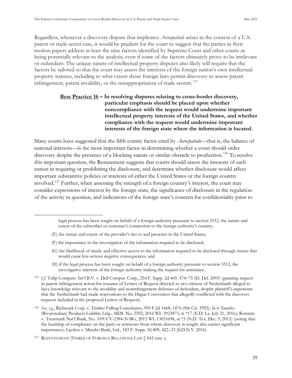Regardless, whenever a discovery dispute that implicates *Aerospatiale* arises in the context of a U.S. patent or trade secret case, it would be prudent for the court to suggest that the parties in their motion papers address at least the nine factors identified by Supreme Court and other courts as being potentially relevant to the analysis, even if some of the factors ultimately prove to be irrelevant or redundant. The unique nature of intellectual property disputes also likely will require that the factors be tailored so that the court may assess the interests of the foreign nation's own intellectual property statutes, including to what extent those foreign laws permit discovery to assess patent infringement, patent invalidity, or the misappropriation of trade secrets.<sup>125</sup>

#### <span id="page-47-0"></span>**Best Practice 16 – In resolving disputes relating to cross-border discovery, particular emphasis should be placed upon whether noncompliance with the request would undermine important intellectual property interests of the United States, and whether compliance with the request would undermine important interests of the foreign state where the information is located.**

Many courts have suggested that the fifth comity factor cited by *Aerospatiale*—that is, the balance of national interests—is the most important factor in determining whether a court should order discovery despite the presence of a blocking statute or similar obstacle to production.<sup>126</sup> To resolve this important question, the Restatement suggests that courts should assess the interests of each nation in requiring or prohibiting the disclosure, and determine whether disclosure would affect important substantive policies or interests of either the United States or the foreign country involved.<sup>127</sup> Further, when assessing the strength of a foreign country's interest, the court may consider expressions of interest by the foreign state, the significance of disclosure in the regulation of the activity in question, and indications of the foreign state's concern for confidentiality prior to

- (E) the nature and extent of the provider's ties to and presence in the United States;
- (F) the importance to the investigation of the information required to be disclosed;
- (G) the likelihood of timely and effective access to the information required to be disclosed through means that would cause less serious negative consequences; and
- (H) if the legal process has been sought on behalf of a foreign authority pursuant to section 3512, the investigative interests of the foreign authority making the request for assistance.

legal process has been sought on behalf of a foreign authority pursuant to section 3512, the nature and extent of the subscriber or customer's connection to the foreign authority's country;

<sup>&</sup>lt;sup>125</sup> *Cf.* Tulip Computs. Int'l B.V. v. Dell Comput. Corp., 254 F. Supp. 2d 469, 474–75 (D. Del. 2003) (granting request in patent infringement action for issuance of Letters of Request directed to two citizens of Netherlands alleged to have knowledge relevant to the invalidity and noninfringement defenses of defendant, despite plaintiff's arguments that the Netherlands had made reservations to the Hague Convention that allegedly conflicted with the discovery requests included in the proposed Letters of Request).

<sup>126</sup> *See*, *e.g.*, Richmark Corp. v. Timber Falling Consultants, 959 F.2d 1468, 1476 (9th Cir. 1992); *In re* Xarelto (Rivaroxaban) Products Liability Litig., MDL No. 2592, 2016 WL 3923873, at \*17 (E.D. La. July 21, 2016); Rotstain v. Trustmark Nat'l Bank, No. 3:09-CV-2384-N-BG, 2015 WL 13031698, at \*3 (N.D. Tex. Dec. 9, 2015) (noting that the hardship of compliance on the party or witnesses from whom discovery is sought also carries significant importance); Laydon v. Mizuho Bank, Ltd., 183 F. Supp. 3d 409, 422–23 (S.D.N.Y. 2016).

<sup>127</sup> RESTATEMENT (THIRD) OF FOREIGN RELATIONS LAW § 442 cmt. c.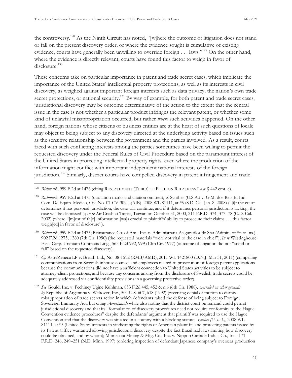the controversy.<sup>128</sup> As the Ninth Circuit has noted, "[w]here the outcome of litigation does not stand or fall on the present discovery order, or where the evidence sought is cumulative of existing evidence, courts have generally been unwilling to override foreign . . . laws."<sup>129</sup> On the other hand, where the evidence is directly relevant, courts have found this factor to weigh in favor of disclosure.<sup>130</sup>

These concerns take on particular importance in patent and trade secret cases, which implicate the importance of the United States' intellectual property protections, as well as its interests in civil discovery, as weighed against important foreign interests such as data privacy, the nation's own trade secret protections, or national security.<sup>131</sup> By way of example, for both patent and trade secret cases, jurisdictional discovery may be outcome determinative of the action to the extent that the central issue in the case is not whether a particular product infringes the relevant patent, or whether some kind of unlawful misappropriation occurred, but rather *where* such activities happened. On the other hand, foreign nations whose citizens or business entities are at the heart of such questions of locale may object to being subject to any discovery directed at the underlying activity based on issues such as the sensitive relationship between the government and the parties involved. As a result, courts faced with such conflicting interests among the parties sometimes have been willing to permit the requested discovery under the Federal Rules of Civil Procedure based on the paramount interest of the United States in protecting intellectual property rights, even where the production of the information might conflict with important independent national interests of the foreign jurisdiction.<sup>132</sup> Similarly, district courts have compelled discovery in patent infringement and trade

<sup>128</sup> Richmark, 959 F.2d at 1476 (citing RESTATEMENT (THIRD) OF FOREIGN RELATIONS LAW § 442 cmt. c).

<sup>129</sup> *Richmark*, 959 F.2d at 1475 (quotation marks and citation omitted); *cf.* Synthes (U.S.A.) v. G.M. dos Reis Jr. Ind. Com. De Equip. Medico, Civ. No. 07-CV-309-L(AJB), 2008 WL 81111, at \*5 (S.D. Cal. Jan. 8, 2008) ("filf the court determines it has personal jurisdiction, the case will continue, and if it determines personal jurisdiction is lacking, the case will be dismissed"); *In re* Air Crash at Taipei, Taiwan on October 31, 2000, 211 F.R.D. 374, 377–78 (C.D. Cal. 2002) (where "[m]ost of th[e] information [wa]s crucial to plaintiffs' ability to prosecute their claims . . . this factor weigh[ed] in favor of disclosure").

<sup>130</sup> *Richmark*, 959 F.2d at 1475; Reinsurance Co. of Am., Inc. v. Administratia Asigurarilor de Stat (Admin. of State Ins.), 902 F.2d 1275, 1280 (7th Cir. 1990) (the requested materials "were not vital to the case in chief"); *In re* Westinghouse Elec. Corp. Uranium Contracts Litig., 563 F.2d 992, 999 (10th Cir. 1977) (outcome of litigation did not "stand or fall" based on the requested discovery).

<sup>131</sup> *Cf.* AstraZeneca LP v. Breath Ltd., No. 08-1512 (RMB/AMD), 2011 WL 1421800 (D.N.J. Mar 31, 2011) (compelling communications from Swedish inhouse counsel and employees related to prosecution of foreign patent applications because the communications did not have a sufficient connection to United States activities to be subject to attorney-client protections, and because any concerns arising from the disclosure of Swedish trade secrets could be adequately addressed via confidentiality provisions in a governing protective order).

<sup>132</sup> *See* Gould, Inc. v. Pechiney Ugine Kuhlman, 853 F.2d 445, 452 & n.6 (6th Cir. 1988), *overruled on other grounds by* Republic of Argentina v. Weltover, Inc., 504 U.S. 607, 618 (1992) (reversing denial of motion to dismiss misappropriation of trade secrets action in which defendants raised the defense of being subject to Foreign Sovereign Immunity Act, but citing *Aerospatiale* while also noting that the district court on remand could permit jurisdictional discovery and that its "formulation of discovery procedures need not require conformity to the Hague Convention evidence procedures" despite the defendants' argument that plaintiff was required to use the Hague Convention and that the discovery was situated in a country with a blocking statute; *Synthes (U.S.A.)*, 2008 WL 81111, at \*5 (United States interests in vindicating the rights of American plaintiffs and protecting patents issued by its Patent Office warranted allowing jurisdictional discovery despite the fact Brazil had laws limiting how discovery could be obtained, and by whom); Minnesota Mining & Mfg. Co., Inc. v. Nippon Carbide Indus. Co., Inc., 171 F.R.D. 246, 249–251 (N.D. Minn. 1997) (ordering inspection of defendant Japanese company's overseas production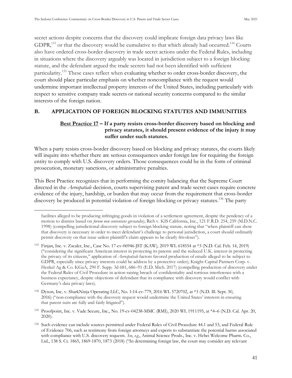secret actions despite concerns that the discovery could implicate foreign data privacy laws like GDPR,<sup>133</sup> or that the discovery would be cumulative to that which already had occurred.<sup>134</sup> Courts also have ordered cross-border discovery in trade secret actions under the Federal Rules, including in situations where the discovery arguably was located in jurisdiction subject to a foreign blocking statute, and the defendant argued the trade secrets had not been identified with sufficient particularity.<sup>135</sup> These cases reflect when evaluating whether to order cross-border discovery, the court should place particular emphasis on whether noncompliance with the request would undermine important intellectual property interests of the United States, including particularly with respect to sensitive company trade secrets or national security concerns compared to the similar interests of the foreign nation.

#### <span id="page-49-1"></span><span id="page-49-0"></span>**B. APPLICATION OF FOREIGN BLOCKING STATUTES AND IMMUNITIES**

#### **Best Practice 17 – If a party resists cross-border discovery based on blocking and privacy statutes, it should present evidence of the injury it may suffer under such statutes.**

When a party resists cross-border discovery based on blocking and privacy statutes, the courts likely will inquire into whether there are serious consequences under foreign law for requiring the foreign entity to comply with U.S. discovery orders. Those consequences could be in the form of criminal prosecution, monetary sanctions, or administrative penalties.

This Best Practice recognizes that in performing the comity balancing that the Supreme Court directed in the *Aerospatiale* decision, courts supervising patent and trade secret cases require concrete evidence of the injury, hardship, or burden that may occur from the requirement that cross-border discovery be produced in potential violation of foreign blocking or privacy statutes.<sup>136</sup> The party

facilities alleged to be producing infringing goods in violation of a settlement agreement, despite the pendency of a motion to dismiss based on *forum non conveniens* grounds); Rich v. KIS California, Inc., 121 F.R.D. 254, 259 (M.D.N.C. 1998) (compelling jurisdictional discovery subject to foreign blocking statute, noting that "when plaintiff can show that discovery is necessary in order to meet defendant's challenge to personal jurisdiction, a court should ordinarily permit discovery on that issue unless plaintiff's claim appears to be clearly frivolous").

<sup>133</sup> Finjan, Inc. v. Zscaler, Inc., Case No. 17-cv-06946-JST (KAW), 2019 WL 618554 at \*3 (N.D. Cal. Feb. 14, 2019) ("considering the significant American interest in protecting its patents and the reduced U.K. interest in protecting the privacy of its citizens," application of *Aerospatiale* factors favored production of emails alleged to be subject to GDPR, especially since privacy interests could be address by a protective order); Knight Capital Partners Corp. v. Henkel Ag & Co. KGaA, 290 F. Supp. 3d 681, 686–91 (E.D. Mich. 2017) (compelling production of discovery under the Federal Rules of Civil Procedure in action raising breach of confidentiality and tortious interference with a business expectancy, despite objections of defendant that its compliance with discovery would conflict with Germany's data privacy laws).

<sup>134</sup> Dyson, Inc. v. SharkNinja Operating LLC, No. 1:14-cv-779, 2016 WL 5720702, at \*3 (N.D. Ill. Sept. 30, 2016) ("non-compliance with the discovery request would undermine the United States' interests in ensuring that patent suits are fully and fairly litigated").

<sup>135</sup> Proofpoint, Inc. v. Vade Secure, Inc., No. 19-cv-04238-MMC (RMI), 2020 WL 1911195, at \*4–6 (N.D. Cal. Apr. 20, 2020).

<sup>136</sup> Such evidence can include sources permitted under Federal Rules of Civil Procedure 44.1 and 53, and Federal Rule of Evidence 706, such as testimony from foreign attorneys and experts to substantiate the potential harms associated with compliance with U.S. discovery requests. *See*, *e.g.*, Animal Science Prods., Inc. v. Hebei Welcome Pharm. Co., Ltd., 138 S. Ct. 1865, 1869-1870, 1873 (2018) ("In determining foreign law, the court may consider any relevant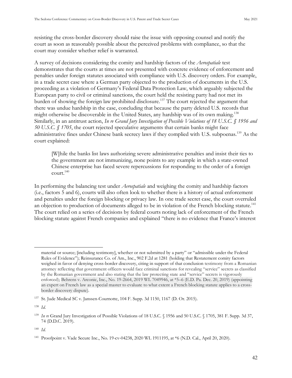resisting the cross-border discovery should raise the issue with opposing counsel and notify the court as soon as reasonably possible about the perceived problems with compliance, so that the court may consider whether relief is warranted.

A survey of decisions considering the comity and hardship factors of the *Aerospatiale* test demonstrates that the courts at times are not presented with concrete evidence of enforcement and penalties under foreign statutes associated with compliance with U.S. discovery orders. For example, in a trade secret case where a German party objected to the production of documents in the U.S. proceeding as a violation of Germany's Federal Data Protection Law, which arguably subjected the European party to civil or criminal sanctions, the court held the resisting party had not met its burden of showing the foreign law prohibited disclosure.<sup>137</sup> The court rejected the argument that there was undue hardship in the case, concluding that because the party deleted U.S. records that might otherwise be discoverable in the United States, any hardship was of its own making.<sup>138</sup> Similarly, in an antitrust action, *In re Grand Jury Investigation of Possible Violations of 18 U.S.C. § 1956 and 50 U.S.C. § 1705*, the court rejected speculative arguments that certain banks might face administrative fines under Chinese bank secrecy laws if they complied with U.S. subpoenas.<sup>139</sup> As the court explained:

[W]hile the banks list laws authorizing severe administrative penalties and insist their ties to the government are not immunizing, none points to any example in which a state-owned Chinese enterprise has faced severe repercussions for responding to the order of a foreign  $\text{count}^{140}$ 

In performing the balancing test under *Aerospatiale* and weighing the comity and hardship factors (i.e., factors 5 and 6), courts will also often look to whether there is a history of actual enforcement and penalties under the foreign blocking or privacy law. In one trade secret case, the court overruled an objection to production of documents alleged to be in violation of the French blocking statute.<sup>141</sup> The court relied on a series of decisions by federal courts noting lack of enforcement of the French blocking statute against French companies and explained "there is no evidence that France's interest

<sup>138</sup> *Id*.

material or source; [including testimony], whether or not submitted by a party" or "admissible under the Federal Rules of Evidence"); Reinsurance Co. of Am., Inc., 902 F.2d at 1281 (holding that Restatement comity factors weighed in favor of denying cross-border discovery, citing in support of that conclusion testimony from a Romanian attorney reflecting that government officers would face criminal sanctions for revealing "service" secrets as classified by the Romanian government and also stating that the law protecting state and "service" secrets is vigorously enforced); Behrens v. Arconic, Inc., No. 19-2664, 2019 WL 7049946, at \*5–6 (E.D. Pa. Dec. 20, 2019) (appointing an expert on French law as a special master to evaluate to what extent a French blocking statute applies to a crossborder discovery dispute).

<sup>137</sup> St. Jude Medical SC v. Janssen-Cournotte, 104 F. Supp. 3d 1150, 1167 (D. Or. 2015).

<sup>139</sup> *In re* Grand Jury Investigation of Possible Violations of 18 U.S.C. § 1956 and 50 U.S.C. § 1705, 381 F. Supp. 3d 37, 74 (D.D.C. 2019).

<sup>140</sup> *Id.*

<sup>141</sup> Proofpoint v. Vade Secure Inc., No. 19-cv-04238, 2020 WL 1911195, at \*6 (N.D. Cal., April 20, 2020).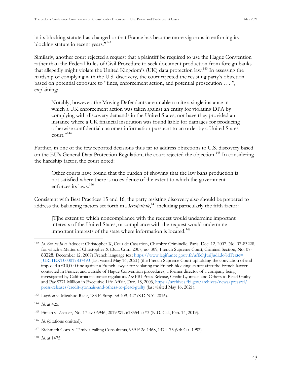in its blocking statute has changed or that France has become more vigorous in enforcing its blocking statute in recent years."<sup>142</sup>

Similarly, another court rejected a request that a plaintiff be required to use the Hague Convention rather than the Federal Rules of Civil Procedure to seek document production from foreign banks that allegedly might violate the United Kingdom's (UK) data protection law.<sup>143</sup> In assessing the hardship of complying with the U.S. discovery, the court rejected the resisting party's objection based on potential exposure to "fines, enforcement action, and potential prosecution . . . ", explaining:

Notably, however, the Moving Defendants are unable to cite a single instance in which a UK enforcement action was taken against an entity for violating DPA by complying with discovery demands in the United States; nor have they provided an instance where a UK financial institution was found liable for damages for producing otherwise confidential customer information pursuant to an order by a United States  $\text{count}$ ."144

Further, in one of the few reported decisions thus far to address objections to U.S. discovery based on the EU's General Data Protection Regulation, the court rejected the objection.<sup>145</sup> In considering the hardship factor, the court noted:

Other courts have found that the burden of showing that the law bans production is not satisfied where there is no evidence of the extent to which the government enforces its laws.<sup>146</sup>

Consistent with Best Practices 15 and 16, the party resisting discovery also should be prepared to address the balancing factors set forth in *Aerospatiale*,<sup>147</sup> including particularly the fifth factor:

[T]he extent to which noncompliance with the request would undermine important interests of the United States, or compliance with the request would undermine important interests of the state where information is located.<sup>148</sup>

<sup>148</sup> *Id*. at 1475.

<sup>142</sup> *Id*. *But see In re* Advocat Christopher X, Cour de Cassation, Chambre Criminelle, Paris, Dec. 12, 2007, No. 07-83228, for which a Matter of Christopher X (Bull. Crim. 2007, no. 309, French Supreme Court, Criminal Section, No. 07- 83228, December 12, 2007) French language text [https://www.legifrance.gouv.fr/affichJuriJudi.do?idTexte=](https://www.legifrance.gouv.fr/affichJuriJudi.do?idTexte=‌JURITEXT000017837490) [JURITEXT000017837490](https://www.legifrance.gouv.fr/affichJuriJudi.do?idTexte=‌JURITEXT000017837490) (last visited May 16, 2021) (the French Supreme Court upholding the conviction of and imposed a  $€10,000$  fine against a French lawyer for violating the French blocking statute after the French lawyer contacted in France, and outside of Hague Convention procedures, a former director of a company being investigated by California insurance regulators. *See* FBI Press Release, Credit Lyonnais and Others to Plead Guilty and Pay \$771 Million in Executive Life Affair, Dec. 18, 2003, [https://archives.fbi.gov/archives/news/pressrel/](https://archives.fbi.gov/archives/news/pressrel/press-releases/credit-lyonnais-and-others-to-plead-guilty) [press-releases/credit-lyonnais-and-others-to-plead-guilty](https://archives.fbi.gov/archives/news/pressrel/press-releases/credit-lyonnais-and-others-to-plead-guilty) (last visited May 16, 2021).

<sup>143</sup> Laydon v. Mizuhuo Rack, 183 F. Supp. 3d 409, 427 (S.D.N.Y. 2016).

<sup>144</sup> *Id*. at 425.

<sup>145</sup> Finjan v. Zscaler, No. 17-cv-06946, 2019 WL 618554 at \*3 (N.D. Cal., Feb. 14, 2019).

<sup>146</sup> *Id*. (citations omitted).

<sup>147</sup> Richmark Corp. v. Timber Falling Consultants, 959 F.2d 1468, 1474–75 (9th Cir. 1992).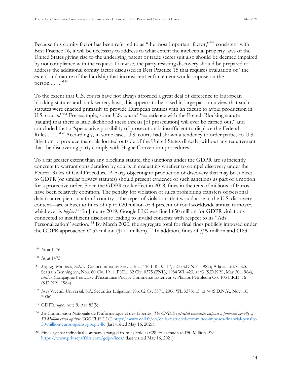Because this comity factor has been referred to as "the most important factor,"<sup>149</sup> consistent with Best Practice 16, it will be necessary to address to what extent the intellectual property laws of the United States giving rise to the underlying patent or trade secret suit also should be deemed impaired by noncompliance with the request. Likewise, the party resisting discovery should be prepared to address the additional comity factor discussed in Best Practice 15 that requires evaluation of "the extent and nature of the hardship that inconsistent enforcement would impose on the person  $\dots$ ."<sup>150</sup>

To the extent that U.S. courts have not always afforded a great deal of deference to European blocking statutes and bank secrecy laws, this appears to be based in large part on a view that such statutes were enacted primarily to provide European entities with an excuse to avoid production in U.S. courts."<sup>151</sup> For example, some U.S. courts' "experience with the French Blocking statute [taught] that there is little likelihood these threats [of prosecution] will ever be carried out," and concluded that a "speculative possibility of prosecution is insufficient to displace the Federal Rules . . . .<sup>"152</sup> Accordingly, in some cases U.S. courts had shown a tendency to order parties to U.S. litigation to produce materials located outside of the United States directly, without any requirement that the discovering party comply with Hague Convention procedures.

To a far greater extent than any blocking statute, the sanctions under the GDPR are sufficiently concrete to warrant consideration by courts in evaluating whether to compel discovery under the Federal Rules of Civil Procedure. A party objecting to production of discovery that may be subject to GDPR (or similar privacy statutes) should present evidence of such sanctions as part of a motion for a protective order. Since the GDPR took effect in 2018, fines in the tens of millions of Euros have been relatively common. The penalty for violation of rules prohibiting transfers of personal data to a recipient in a third country—the types of violations that would arise in the U.S. discovery context—are subject to fines of up to €20 million or 4 percent of total worldwide annual turnover, whichever is *higher.*<sup>153</sup> In January 2019, Google LLC was fined €50 million for GDPR violations connected to insufficient disclosure leading to invalid consents with respect to its "Ads Personalization" section.<sup>154</sup> By March 2020, the aggregate total for final fines publicly imposed under the GDPR approached  $\epsilon$ 153 million (\$170 million).<sup>155</sup> In addition, fines of  $\ell$ ,99 million and  $\epsilon$ 183

<sup>149</sup> *Id*. at 1476.

<sup>150</sup> *Id.* at 1475.

<sup>151</sup> *See, e.g.,* Minpeco, S.A. v. Conticommodity Servs., Inc., 116 F.R.D. 517, 524 (S.D.N.Y. 1987); Adidas Ltd. v. S.S. Seatrain Bennington, Nos. 80 Civ. 1911 (PNL), 82 Civ. 0375 (PNL), 1984 WL 423, at \*3 (S.D.N.Y., May 30, 1984), *cited in* Compagnie Francaise d'Assurance Pour le Commerce Exterieur v. Phillips Petroleum Co. 105 F.R.D. 16 (S.D.N.Y. 1984).

<sup>152</sup> *In re* Vivendi Universal, S.A. Securities Litigation, No. 02 Cv. 5571, 2006 WL 3378115, at \*4 (S.D.N.Y., Nov. 16, 2006).

<sup>153</sup> GDPR, *supra* note 9, Art. 83(5).

<sup>154</sup> *See* Commission Nationale de l'Informatique et des Libertés, *The CNIL's restricted committee imposes a financial penalty of 50 Million euros against GOOGLE LLC*, [https://www.cnil.fr/en/cnils-restricted-committee-imposes-financial-penalty-](https://www.cnil.fr/en/cnils-restricted-committee-imposes-financial-penalty-50-million-euros-against-google-llc)[50-million-euros-against-google-llc](https://www.cnil.fr/en/cnils-restricted-committee-imposes-financial-penalty-50-million-euros-against-google-llc) (last visited May 16, 2021).

<sup>&</sup>lt;sup>155</sup> Fines against individual companies ranged from as little as  $\epsilon$ 28, to as much as  $\epsilon$ 50 Million. *See* <https://www.privacyaffairs.com/gdpr-fines/> (last visited May 16, 2021).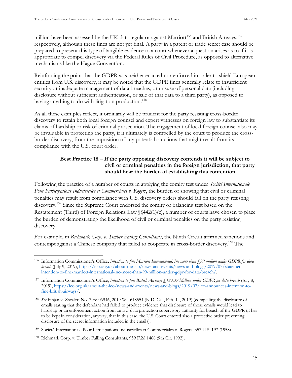million have been assessed by the UK data regulator against Marriott<sup>156</sup> and British Airways,  $157$ respectively, although these fines are not yet final. A party in a patent or trade secret case should be prepared to present this type of tangible evidence to a court whenever a question arises as to if it is appropriate to compel discovery via the Federal Rules of Civil Procedure, as opposed to alternative mechanisms like the Hague Convention.

Reinforcing the point that the GDPR was neither enacted nor enforced in order to shield European entities from U.S. discovery, it may be noted that the GDPR fines generally relate to insufficient security or inadequate management of data breaches, or misuse of personal data (including disclosure without sufficient authentication, or sale of that data to a third party), as opposed to having anything to do with litigation production.<sup>158</sup>

As all these examples reflect, it ordinarily will be prudent for the party resisting cross-border discovery to retain both local foreign counsel and expert witnesses on foreign law to substantiate its claims of hardship or risk of criminal prosecution. The engagement of local foreign counsel also may be invaluable in protecting the party, if it ultimately is compelled by the court to produce the crossborder discovery, from the imposition of any potential sanctions that might result from its compliance with the U.S. court order.

#### **Best Practice 18 – If the party opposing discovery contends it will be subject to civil or criminal penalties in the foreign jurisdiction, that party should bear the burden of establishing this contention.**

<span id="page-53-0"></span>Following the practice of a number of courts in applying the comity test under *Société Internationale Pour Participations Industrielles et Commerciales v. Rogers*, the burden of showing that civil or criminal penalties may result from compliance with U.S. discovery orders should fall on the party resisting discovery.<sup>159</sup> Since the Supreme Court endorsed the comity or balancing test based on the Restatement (Third) of Foreign Relations Law §§442(1)(c), a number of courts have chosen to place the burden of demonstrating the likelihood of civil or criminal penalties on the party resisting discovery.

For example, in *Richmark Corp. v. Timber Falling Consultants*, the Ninth Circuit affirmed sanctions and contempt against a Chinese company that failed to cooperate in cross-border discovery.<sup>160</sup> The

<sup>&</sup>lt;sup>156</sup> Information Commissioner's Office, *Intention to fine Marriott International*, Inc more than £99 million under GDPR for data *breach* (July 9, 2019)[, https://ico.org.uk/about-the-ico/news-and-events/news-and-blogs/2019/07/statement](https://ico.org.uk/about-the-ico/news-and-events/news-and-blogs/2019/07/statement-intention-to-fine-marriott-international-inc-more-than-99-million-under-gdpr-for-data-breach/)[intention-to-fine-marriott-international-inc-more-than-99-million-under-gdpr-for-data-breach/.](https://ico.org.uk/about-the-ico/news-and-events/news-and-blogs/2019/07/statement-intention-to-fine-marriott-international-inc-more-than-99-million-under-gdpr-for-data-breach/)

<sup>&</sup>lt;sup>157</sup> Information Commissioner's Office, *Intention to fine British Airways £183.39 Million under GDPR for data breach* (July 8, 2019), [https://ico.org.uk/about-the-ico/news-and-events/news-and-blogs/2019/07/ico-announces-intention-to](https://ico.org.uk/about-the-ico/news-and-events/news-and-blogs/2019/07/ico-announces-intention-to-fine-british-airways/)[fine-british-airways/.](https://ico.org.uk/about-the-ico/news-and-events/news-and-blogs/2019/07/ico-announces-intention-to-fine-british-airways/)

<sup>158</sup> *See* Finjan v. Zscaler, No. 7-cv-06946, 2019 WL 618554 (N.D. Cal., Feb. 14, 2019) (compelling the disclosure of emails stating that the defendant had failed to produce evidence that disclosure of those emails would lead to hardship or an enforcement action from an EU data protection supervisory authority for breach of the GDPR (it has to be kept in consideration, anyway, that in this case, the U.S. Court entered also a protective order preventing disclosure of the secret information included in the emails).

<sup>159</sup> Société Internationale Pour Participations Industrielles et Commerciales v. Rogers, 357 U.S. 197 (1958).

<sup>160</sup> Richmark Corp. v. Timber Falling Consultants, 959 F.2d 1468 (9th Cir. 1992).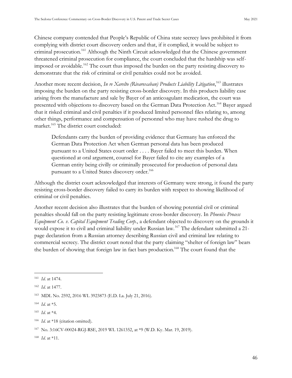Chinese company contended that People's Republic of China state secrecy laws prohibited it from complying with district court discovery orders and that, if it complied, it would be subject to criminal prosecution.<sup>161</sup> Although the Ninth Circuit acknowledged that the Chinese government threatened criminal prosecution for compliance, the court concluded that the hardship was selfimposed or avoidable.<sup>162</sup> The court thus imposed the burden on the party resisting discovery to demonstrate that the risk of criminal or civil penalties could not be avoided.

Another more recent decision, *In re Xarelto (Rivaroxaban) Products Liability Litigation*, <sup>163</sup> illustrates imposing the burden on the party resisting cross-border discovery. In this products liability case arising from the manufacture and sale by Bayer of an anticoagulant medication, the court was presented with objections to discovery based on the German Data Protection Act.<sup>164</sup> Bayer argued that it risked criminal and civil penalties if it produced limited personnel files relating to, among other things, performance and compensation of personnel who may have rushed the drug to market.<sup>165</sup> The district court concluded:

Defendants carry the burden of providing evidence that Germany has enforced the German Data Protection Act when German personal data has been produced pursuant to a United States court order . . . . Bayer failed to meet this burden. When questioned at oral argument, counsel for Bayer failed to cite any examples of a German entity being civilly or criminally prosecuted for production of personal data pursuant to a United States discovery order.<sup>166</sup>

Although the district court acknowledged that interests of Germany were strong, it found the party resisting cross-border discovery failed to carry its burden with respect to showing likelihood of criminal or civil penalties.

Another recent decision also illustrates that the burden of showing potential civil or criminal penalties should fall on the party resisting legitimate cross-border discovery. In *Phoenix Process Equipment Co. v. Capital Equipment Trading Corp.*, a defendant objected to discovery on the grounds it would expose it to civil and criminal liability under Russian law.<sup>167</sup> The defendant submitted a 21page declaration from a Russian attorney describing Russian civil and criminal law relating to commercial secrecy. The district court noted that the party claiming "shelter of foreign law" bears the burden of showing that foreign law in fact bars production.<sup>168</sup> The court found that the

<sup>161</sup> *Id*. at 1474.

<sup>162</sup> *Id*. at 1477.

<sup>163</sup> MDL No. 2592, 2016 WL 3923873 (E.D. La. July 21, 2016).

<sup>164</sup> *Id*. at \*5.

<sup>165</sup> *Id*. at \*4.

<sup>&</sup>lt;sup>166</sup> *Id.* at \*18 (citation omitted).

<sup>167</sup> No. 3:16CV-00024-RGJ-RSE, 2019 WL 1261352, at \*9 (W.D. Ky. Mar. 19, 2019).

<sup>168</sup> *Id*. at \*11.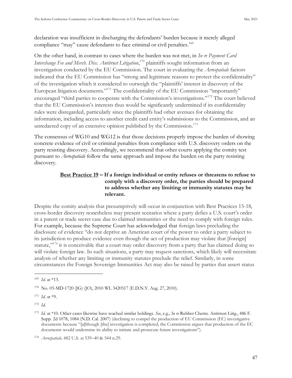declaration was insufficient in discharging the defendants' burden because it merely alleged compliance "may" cause defendants to face criminal or civil penalties.<sup>169</sup>

On the other hand, in contrast to cases where the burden was not met, in *In re Payment Card Interchange Fee and Merch. Disc. Antitrust Litigation*, <sup>170</sup> plaintiffs sought information from an investigation conducted by the EU Commission. The court in evaluating the *Aerospatiale* factors indicated that the EU Commission has "strong and legitimate reasons to protect the confidentiality" of the investigation which it considered to outweigh the "plaintiffs' interest in discovery of the European litigation documents."<sup>171</sup> The confidentiality of the EU Commission "importantly" encouraged "third parties to cooperate with the Commission's investigations."<sup>172</sup> The court believed that the EU Commission's interests thus would be significantly undermined if its confidentiality rules were disregarded, particularly since the plaintiffs had other avenues for obtaining the information, including access to another credit card entity's submissions to the Commission, and an unredacted copy of an extensive opinion published by the Commission.<sup>173</sup>

The consensus of WG10 and WG12 is that those decisions properly impose the burden of showing concrete evidence of civil or criminal penalties from compliance with U.S. discovery orders on the party resisting discovery. Accordingly, we recommend that other courts applying the comity test pursuant to *Aerospatiale* follow the same approach and impose the burden on the party resisting discovery.

#### <span id="page-55-0"></span>**Best Practice 19 – If a foreign individual or entity refuses or threatens to refuse to comply with a discovery order, the parties should be prepared to address whether any limiting or immunity statutes may be relevant.**

Despite the comity analysis that presumptively will occur in conjunction with Best Practices 15-18, cross-border discovery nonetheless may present scenarios where a party defies a U.S. court's order in a patent or trade secret case due to claimed immunities or the need to comply with foreign rules. For example, because the Supreme Court has acknowledged that foreign laws precluding the disclosure of evidence "do not deprive an American court of the power to order a party subject to its jurisdiction to produce evidence even though the act of production may violate that [foreign] statute,<sup>"174</sup> it is conceivable that a court may order discovery from a party that has claimed doing so will violate foreign law. In such situations, a party may request sanctions, which likely will necessitate analysis of whether any limiting or immunity statutes preclude the relief. Similarly, in some circumstances the Foreign Sovereign Immunities Act may also be raised by parties that assert status

<sup>169</sup> *Id.* at \*13.

<sup>170</sup> No. 05-MD-1720 (JG) (JO), 2010 WL 3420517 (E.D.N.Y. Aug. 27, 2010).

<sup>171</sup> *Id.* at \*9.

<sup>172</sup> *Id.*

<sup>173</sup> *Id.* at \*10. Other cases likewise have reached similar holdings. *See*, e.g.*, In re* Rubber Chems. Antitrust Litig., 486 F. Supp. 2d 1078, 1084 (N.D. Cal. 2007) (declining to compel the production of EU Commission (EC) investigative documents because "[a]lthough [the] investigation is completed, the Commission argues that production of the EC documents would undermine its ability to initiate and prosecute future investigations").

<sup>174</sup> *Aerospatiale,* 482 U.S. at 539–40 & 544 n.29.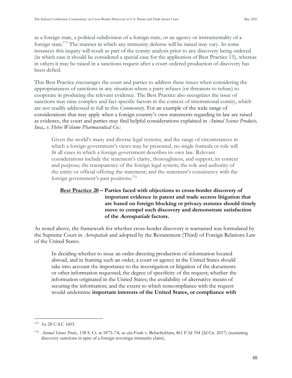as a foreign state, a political subdivision of a foreign state, or an agency or instrumentality of a foreign state.<sup>175</sup> The manner in which any immunity defense will be raised may vary. In some instances this inquiry will result as part of the comity analysis prior to any discovery being ordered (in which case it should be considered a special case for the application of Best Practice 15), whereas in others it may be raised in a sanctions request after a court ordered production of discovery has been defied.

This Best Practice encourages the court and parties to address these issues when considering the appropriateness of sanctions in any situation where a party refuses (or threatens to refuse) to cooperate in producing the relevant evidence. The Best Practice also recognizes the issue of sanctions may raise complex and fact-specific factors in the context of international comity, which are not readily addressed in full in this *Commentary*. For an example of the wide range of considerations that may apply when a foreign country's own statements regarding its law are raised as evidence, the court and parties may find helpful considerations explained in *Animal Science Products, Inca., v. Hebei Welcome Pharmaceutical Co.*:

Given the world's many and diverse legal systems, and the range of circumstances in which a foreign government's views may be presented, no single formula or rule will fit all cases in which a foreign government describes its own law. Relevant considerations include the statement's clarity, thoroughness, and support; its context and purpose; the transparency of the foreign legal system; the role and authority of the entity or official offering the statement; and the statement's consistency with the foreign government's past positions.<sup>176</sup>

#### <span id="page-56-0"></span>**Best Practice 20 – Parties faced with objections to cross-border discovery of important evidence in patent and trade secrets litigation that are based on foreign blocking or privacy statutes should timely move to compel such discovery and demonstrate satisfaction of the Aerospatiale factors.**

As noted above, the framework for whether cross-border discovery is warranted was formulated by the Supreme Court in *Aerospatiale* and adopted by the Restatement (Third) of Foreign Relations Law of the United States.

In deciding whether to issue an order directing production of information located abroad, and in framing such an order, a court or agency in the United States should take into account the importance to the investigation or litigation of the documents or other information requested; the degree of specificity of the request; whether the information originated in the United States; the availability of alternative means of securing the information; and the extent to which noncompliance with the request would undermine **important interests of the United States, or compliance with** 

<sup>175</sup> *See* 28 U.S.C 1603.

<sup>176</sup> *Animal Science Prods.*, 138 S. Ct. at 1873–74; *see also* Funk v. Belneftekhim, 861 F.3d 354 (2d Cir. 2017) (sustaining discovery sanctions in spite of a foreign sovereign immunity claim).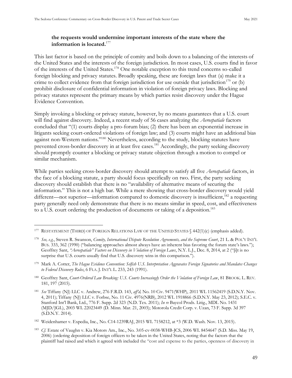#### **the requests would undermine important interests of the state where the information is located.**<sup>177</sup>

This last factor is based on the principle of comity and boils down to a balancing of the interests of the United States and the interests of the foreign jurisdiction. In most cases, U.S. courts find in favor of the interests of the United States.<sup>178</sup> One notable exception to this trend concerns so-called foreign blocking and privacy statutes. Broadly speaking, these are foreign laws that (a) make it a crime to collect evidence from that foreign jurisdiction for use outside that jurisdiction<sup>179</sup> or (b) prohibit disclosure of confidential information in violation of foreign privacy laws. Blocking and privacy statutes represent the primary means by which parties resist discovery under the Hague Evidence Convention.

Simply invoking a blocking or privacy statute, however, by no means guarantees that a U.S. court will find against discovery. Indeed, a recent study of 56 cases analyzing the *Aerospatiale* factors concluded that "(1) courts display a pro-forum bias; (2) there has been an exponential increase in litigants seeking court-ordered violations of foreign law; and (3) courts might have an additional bias against non-Western nations."<sup>180</sup> Nevertheless, according to the study, blocking statutes have prevented cross-border discovery in at least five cases.<sup>181</sup> Accordingly, the party seeking discovery should promptly counter a blocking or privacy statute objection through a motion to compel or similar mechanism.

While parties seeking cross-border discovery should attempt to satisfy all five *Aerospatiale* factors, in the face of a blocking statute, a party should focus specifically on two. First, the party seeking discovery should establish that there is no "availability of alternative means of securing the information." This is not a high bar. While a mere showing that cross-border discovery would yield different—not superior—information compared to domestic discovery is insufficient,<sup>182</sup> a requesting party generally need only demonstrate that there is no means similar in speed, cost, and effectiveness to a U.S. court ordering the production of documents or taking of a deposition. 183

<sup>&</sup>lt;sup>177</sup> RESTATEMENT (THIRD) OF FOREIGN RELATIONS LAW OF THE UNITED STATES § 442(1)(c) (emphasis added).

<sup>178</sup> *See, e.g.*, Steven R. Swanson, *Comity, International Dispute Resolution Agreements, and the Supreme Court*, 21 L. & POL'Y INT'L BUS. 333, 362 (1990) ("balancing approaches almost always have an inherent bias favoring the forum state's laws."); Geoffrey Sant, *"Aerospatiale" Factors on Discovery in Violation of Foreign Laws*, N.Y. L.J., Dec. 8, 2014, at 2 ("[i]t is no surprise that U.S. courts usually find that U.S. discovery wins in this comparison.").

<sup>179</sup> Mark A. Cotter, *The Hague Evidence Convention: Selfish U.S. Interpretation Aggravates Foreign Signatories and Mandates Changes to Federal Discovery Rules*, 6 FLA. J. INT'L L. 233, 243 (1991).

<sup>180</sup> Geoffrey Sant, *Court-Ordered Law Breaking: U.S. Courts Increasingly Order the Violation of Foreign Law*, 81 BROOK. L. REV. 181, 197 (2015).

<sup>181</sup> *See* Tiffany (NJ) LLC v. Andrew, 276 F.R.D. 143, *aff'd,* No. 10 Civ. 9471(WHP), 2011 WL 11562419 (S.D.N.Y. Nov. 4, 2011); Tiffany (NJ) LLC v. Forbse, No. 11 Civ. 4976(NRB), 2012 WL 1918866 (S.D.N.Y. May 23, 2012); S.E.C. v. Stanford Int'l Bank, Ltd., 776 F. Supp. 2d 323 (N.D. Tex. 2011); *In re* Baycol Prods. Litig., MDL No. 1431 (MJD/JGL), 2003 WL 22023449 (D. Minn. Mar. 21, 2003); Motorola Credit Corp. v. Uzan, 73 F. Supp. 3d 397 (S.D.N.Y. 2014).

<sup>182</sup> Weidenhamer v. Expedia, Inc., No. C14-1239RAJ, 2015 WL 7158212, at \*3 (W.D. Wash. Nov. 13, 2015).

<sup>183</sup> *Cf.* Estate of Vaughn v. Kia Motors Am., Inc., No. 3:05-cv-0038-WHB-JCS, 2006 WL 8454647 (S.D. Miss. May 19, 2006) (ordering deposition of foreign officers to be taken in the United States, noting that the factors that the plaintiff had raised and which it agreed with included the "cost and expense to the parties, openness of discovery in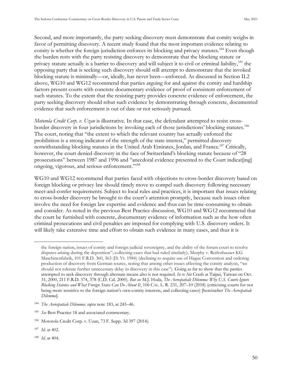Second, and more importantly, the party seeking discovery must demonstrate that comity weighs in favor of permitting discovery. A recent study found that the most important evidence relating to comity is whether the foreign jurisdiction enforces its blocking and privacy statutes.<sup>184</sup> Even though the burden rests with the party resisting discovery to demonstrate that the blocking statute or privacy statute actually is a barrier to discovery and will subject it to civil or criminal liability,<sup>185</sup> the opposing party that is seeking such discovery should still attempt to demonstrate that the invoked blocking statute is minimally—or, ideally, has never been—enforced. As discussed in Section II.2 above, WG10 and WG12 recommend that parties arguing for and against the comity and hardship factors present courts with concrete documentary evidence of proof of consistent enforcement of such statutes. To the extent that the resisting party provides concrete evidence of enforcement, the party seeking discovery should rebut such evidence by demonstrating through concrete, documented evidence that such enforcement is out of date or not seriously pursued.

*Motorola Credit Corp. v. Uzan* is illustrative. In that case, the defendant attempted to resist crossborder discovery in four jurisdictions by invoking each of those jurisdictions' blocking statutes.<sup>186</sup> The court, noting that "the extent to which the relevant country has actually enforced the prohibition is a strong indicator of the strength of the state interest," permitted discovery notwithstanding blocking statutes in the United Arab Emirates, Jordan, and France.<sup>187</sup> Critically, however, the court denied discovery in the face of Switzerland's blocking statute because of "28 prosecutions" between 1987 and 1996 and "anecdotal evidence presented to the Court indicat[ing] ongoing, vigorous, and serious enforcement."<sup>188</sup>

WG10 and WG12 recommend that parties faced with objections to cross-border discovery based on foreign blocking or privacy law should timely move to compel such discovery following necessary meet-and-confer requirements. Subject to local rules and practices, it is important that issues relating to cross-border discovery be brought to the court's attention promptly, because such issues often involve the need for foreign law expertise and evidence and thus can be time-consuming to obtain and consider. As noted in the previous Best Practice discussion, WG10 and WG12 recommend that the court be furnished with concrete, documentary evidence of information such as the how often criminal prosecutions and civil penalties are imposed for complying with U.S. discovery orders. It will likely take extensive time and effort to obtain such evidence in many cases, and thus it is

the foreign nation, issues of comity and foreign judicial sovereignty, and the ability of the forum court to resolve disputes arising during the deposition"; collecting cases that had ruled similarly); Murphy v. Reifenhauser KG Maschinenfabrik, 101 F.R.D. 360, 363 (D. Vt. 1984) (declining to require use of Hague Convention and ordering production of discovery from German source, noting that among other issues affecting the comity analysis, "we should not tolerate further unnecessary delay in discovery in this case"). Going as far to show that the parties attempted to seek discovery through alternate means also is not required. *In re* Air Crash at Taipei, Taiwan on Oct. 31, 2000, 211 F.R.D. 374, 378 (C.D. Cal. 2000). *But see* M.J. Hoda, *The Aerospatiale Dilemma: Why U.S. Courts Ignore Blocking Statutes and What Foreign States Can Do About It*, 106 CAL. L. R. 231, 207–10 (2018) (criticizing courts for not being more sensitive to the foreign nation's own comity interests, and collecting cases) [hereinafter *The Aerospatiale Dilemma*].

<sup>184</sup> *The Aerospatiale Dilemma: supra* note 183, at 245–46.

<sup>185</sup> *See* Best Practice 18 and associated commentary.

<sup>186</sup> Motorola Credit Corp. v. Uzan, 73 F. Supp. 3d 397 (2014).

<sup>187</sup> *Id*. at 402.

<sup>188</sup> *Id*. at 404.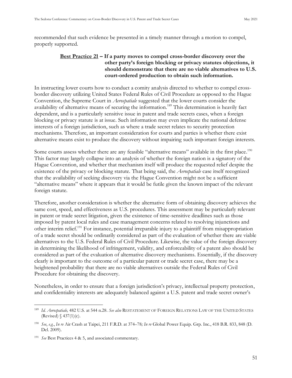<span id="page-59-0"></span>recommended that such evidence be presented in a timely manner through a motion to compel, properly supported.

#### **Best Practice 21 – If a party moves to compel cross-border discovery over the other party's foreign blocking or privacy statutes objections, it should demonstrate that there are no viable alternatives to U.S. court-ordered production to obtain such information.**

In instructing lower courts how to conduct a comity analysis directed to whether to compel crossborder discovery utilizing United States Federal Rules of Civil Procedure as opposed to the Hague Convention, the Supreme Court in *Aerospatiale* suggested that the lower courts consider the availability of alternative means of securing the information.<sup>189</sup> This determination is heavily fact dependent, and is a particularly sensitive issue in patent and trade secrets cases, when a foreign blocking or privacy statute is at issue. Such information may even implicate the national defense interests of a foreign jurisdiction, such as where a trade secret relates to security protection mechanisms. Therefore, an important consideration for courts and parties is whether there exist alternative means exist to produce the discovery without impairing such important foreign interests.

Some courts assess whether there are any feasible "alternative means" available in the first place.<sup>190</sup> This factor may largely collapse into an analysis of whether the foreign nation is a signatory of the Hague Convention, and whether that mechanism itself will produce the requested relief despite the existence of the privacy or blocking statute. That being said, the *Aerospatiale* case itself recognized that the availability of seeking discovery via the Hague Convention might not be a sufficient "alternative means" where it appears that it would be futile given the known impact of the relevant foreign statute.

Therefore, another consideration is whether the alternative form of obtaining discovery achieves the same cost, speed, and effectiveness as U.S. procedures. This assessment may be particularly relevant in patent or trade secret litigation, given the existence of time-sensitive deadlines such as those imposed by patent local rules and case management concerns related to resolving injunctions and other interim relief.<sup>191</sup> For instance, potential irreparable injury to a plaintiff from misappropriation of a trade secret should be ordinarily considered as part of the evaluation of whether there are viable alternatives to the U.S. Federal Rules of Civil Procedure. Likewise, the value of the foreign discovery in determining the likelihood of infringement, validity, and enforceability of a patent also should be considered as part of the evaluation of alternative discovery mechanisms. Essentially, if the discovery clearly is important to the outcome of a particular patent or trade secret case, there may be a heightened probability that there are no viable alternatives outside the Federal Rules of Civil Procedure for obtaining the discovery.

Nonetheless, in order to ensure that a foreign jurisdiction's privacy, intellectual property protection, and confidentiality interests are adequately balanced against a U.S. patent and trade secret owner's

<sup>189</sup> *Id. Aerospatiale,* 482 U.S. at 544 n.28. *See also* RESTATEMENT OF FOREIGN RELATIONS LAW OF THE UNITED STATES (Revised)  $\sqrt{437(1)(c)}$ .

<sup>190</sup> *See*, *e.g.*, *In re* Air Crash at Taipei, 211 F.R.D. at 374–78*; In re* Global Power Equip. Grp. Inc., 418 B.R. 833, 848 (D. Del. 2009).

<sup>191</sup> *See* Best Practices 4 & 5, and associated commentary.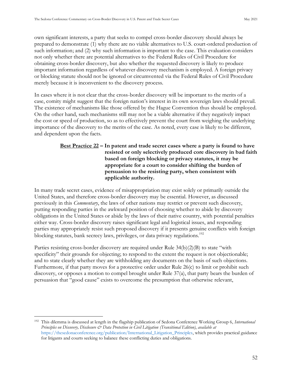own significant interests, a party that seeks to compel cross-border discovery should always be prepared to demonstrate (1) why there are no viable alternatives to U.S. court-ordered production of such information; and (2) why such information is important to the case. This evaluation considers not only whether there are potential alternatives to the Federal Rules of Civil Procedure for obtaining cross-border discovery, but also whether the requested discovery is likely to produce important information regardless of whatever discovery mechanism is employed. A foreign privacy or blocking statute should not be ignored or circumvented via the Federal Rules of Civil Procedure merely because it is inconvenient to the discovery process.

In cases where it is not clear that the cross-border discovery will be important to the merits of a case, comity might suggest that the foreign nation's interest in its own sovereign laws should prevail. The existence of mechanisms like those offered by the Hague Convention thus should be employed. On the other hand, such mechanisms still may not be a viable alternative if they negatively impact the cost or speed of production, so as to effectively prevent the court from weighing the underlying importance of the discovery to the merits of the case. As noted, every case is likely to be different, and dependent upon the facts.

#### <span id="page-60-0"></span>**Best Practice 22 – In patent and trade secret cases where a party is found to have resisted or only selectively produced core discovery in bad faith based on foreign blocking or privacy statutes, it may be appropriate for a court to consider shifting the burden of persuasion to the resisting party, when consistent with applicable authority.**

In many trade secret cases, evidence of misappropriation may exist solely or primarily outside the United States, and therefore cross-border discovery may be essential. However, as discussed previously in this *Commentary*, the laws of other nations may restrict or prevent such discovery, putting responding parties in the awkward position of choosing whether to abide by discovery obligations in the United States or abide by the laws of their native country, with potential penalties either way. Cross-border discovery raises significant legal and logistical issues, and responding parties may appropriately resist such proposed discovery if it presents genuine conflicts with foreign blocking statutes, bank secrecy laws, privileges, or data privacy regulations.<sup>192</sup>

Parties resisting cross-border discovery are required under Rule  $34(b)(2)(B)$  to state "with specificity" their grounds for objecting; to respond to the extent the request is not objectionable; and to state clearly whether they are withholding any documents on the basis of such objections. Furthermore, if that party moves for a protective order under Rule 26(c) to limit or prohibit such discovery, or opposes a motion to compel brought under Rule 37(a), that party bears the burden of persuasion that "good cause" exists to overcome the presumption that otherwise relevant,

<sup>192</sup> This dilemma is discussed at length in the flagship publication of Sedona Conference Working Group 6, *International Principles on Discovery, Disclosure & Data Protection in Civil Litigation (Transitional Edition)*, *available at* [https://thesedonaconference.org/publication/International\\_Litigation\\_Principles,](https://thesedonaconference.org/publication/International_Litigation_Principles) which provides practical guidance for litigants and courts seeking to balance these conflicting duties and obligations.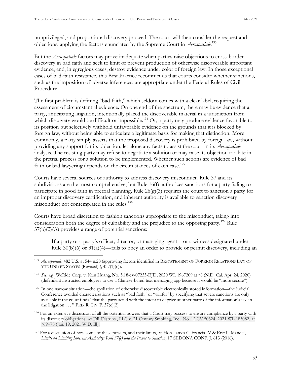nonprivileged, and proportional discovery proceed. The court will then consider the request and objections, applying the factors enunciated by the Supreme Court in *Aerospatiale*. 193

But the *Aerospatiale* factors may prove inadequate when parties raise objections to cross-border discovery in bad faith and seek to limit or prevent production of otherwise discoverable important evidence, and, in egregious cases, destroy evidence under color of foreign law. In those exceptional cases of bad-faith resistance, this Best Practice recommends that courts consider whether sanctions, such as the imposition of adverse inferences, are appropriate under the Federal Rules of Civil Procedure.

The first problem is defining "bad faith," which seldom comes with a clear label, requiring the assessment of circumstantial evidence. On one end of the spectrum, there may be evidence that a party, anticipating litigation, intentionally placed the discoverable material in a jurisdiction from which discovery would be difficult or impossible.<sup>194</sup> Or, a party may produce evidence favorable to its position but selectively withhold unfavorable evidence on the grounds that it is blocked by foreign law, without being able to articulate a legitimate basis for making that distinction. More commonly, a party simply asserts that the proposed discovery is prohibited by foreign law, without providing any support for its objection, let alone any facts to assist the court in its *Aerospatiale* analysis. The resisting party may refuse to negotiate a solution or may raise its objection too late in the pretrial process for a solution to be implemented. Whether such actions are evidence of bad faith or bad lawyering depends on the circumstances of each case.<sup>195</sup>

Courts have several sources of authority to address discovery misconduct. Rule 37 and its subdivisions are the most comprehensive, but Rule 16(f) authorizes sanctions for a party failing to participate in good faith in pretrial planning, Rule  $26(g)(3)$  requires the court to sanction a party for an improper discovery certification, and inherent authority is available to sanction discovery misconduct not contemplated in the rules.<sup>196</sup>

Courts have broad discretion to fashion sanctions appropriate to the misconduct, taking into consideration both the degree of culpability and the prejudice to the opposing party.<sup>197</sup> Rule  $37(b)(2)(A)$  provides a range of potential sanctions:

If a party or a party's officer, director, or managing agent—or a witness designated under Rule 30(b)(6) or 31(a)(4)—fails to obey an order to provide or permit discovery, including an

<sup>193</sup> *Aerospatiale,* 482 U.S. at 544 n.28 (approving factors identified in RESTATEMENT OF FOREIGN RELATIONS LAW OF THE UNITED STATES (Revised) § 437(1)(c)).

<sup>194</sup> *See, e.g.,* WeRide Corp. v. Kun Huang, No. 5:18-cv-07233-EJD, 2020 WL 1967209 at \*8 (N.D. Cal. Apr. 24, 2020) (defendant instructed employees to use a Chinese-based text messaging app because it would be "more secure").

<sup>195</sup> In one narrow situation—the spoliation of otherwise discoverable electronically stored information—the Judicial onference avoided characterizations such as "bad faith" or "willful" by specifying that severe sanctions are only available if the court finds "that the party acted with the intent to deprive another party of the information's use in the litigation . . . " FED. R. CIV. P. 37(e)(2).

<sup>&</sup>lt;sup>196</sup> For an extensive discussion of all the potential powers that a Court may possess to ensure compliance by a party with its discovery obligations, *see* DR Distribs., LLC v. 21 Century Smoking, Inc., No. 12 CV 50324, 2021 WL 185082, at \*69–78 (Jan. 19, 2021 W.D. Ill).

<sup>197</sup> For a discussion of how some of these powers, and their limits, *see* Hon. James C. Francis IV & Eric P. Mandel, *Limits on Limiting Inherent Authority: Rule 37(e) and the Power to Sanction*, 17 SEDONA CONF. J. 613 (2016).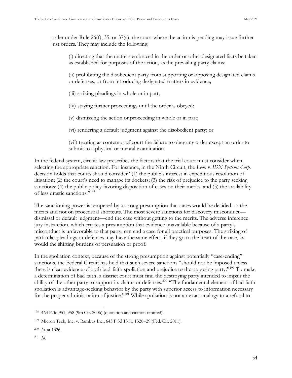order under Rule 26(f), 35, or 37(a), the court where the action is pending may issue further just orders. They may include the following:

(i) directing that the matters embraced in the order or other designated facts be taken as established for purposes of the action, as the prevailing party claims;

(ii) prohibiting the disobedient party from supporting or opposing designated claims or defenses, or from introducing designated matters in evidence;

- (iii) striking pleadings in whole or in part;
- (iv) staying further proceedings until the order is obeyed;
- (v) dismissing the action or proceeding in whole or in part;
- (vi) rendering a default judgment against the disobedient party; or

(vii) treating as contempt of court the failure to obey any order except an order to submit to a physical or mental examination.

In the federal system, circuit law prescribes the factors that the trial court must consider when selecting the appropriate sanction. For instance, in the Ninth Circuit, the *Leon v. IDX Systems Corp.* decision holds that courts should consider "(1) the public's interest in expeditious resolution of litigation; (2) the court's need to manage its dockets; (3) the risk of prejudice to the party seeking sanctions; (4) the public policy favoring disposition of cases on their merits; and (5) the availability of less drastic sanctions."<sup>198</sup>

The sanctioning power is tempered by a strong presumption that cases would be decided on the merits and not on procedural shortcuts. The most severe sanctions for discovery misconduct dismissal or default judgment—end the case without getting to the merits. The adverse inference jury instruction, which creates a presumption that evidence unavailable because of a party's misconduct is unfavorable to that party, can end a case for all practical purposes. The striking of particular pleadings or defenses may have the same effect, if they go to the heart of the case, as would the shifting burdens of persuasion or proof.

 n the spoliation context, because of the strong presumption against potentially "case-ending" sanctions, the Federal Circuit has held that such severe sanctions "should not be imposed unless there is clear evidence of both bad-faith spoliation and prejudice to the opposing party."<sup>199</sup> To make a determination of bad faith, a district court must find the destroying party intended to impair the ability of the other party to support its claims or defenses.<sup>200</sup> "The fundamental element of bad faith spoliation is advantage-seeking behavior by the party with superior access to information necessary for the proper administration of justice."<sup>201</sup> While spoliation is not an exact analogy to a refusal to

<sup>198</sup> 464 F.3d 951, 958 (9th Cir. 2006) (quotation and citation omitted).

<sup>199</sup> Micron Tech, Inc. v. Rambus Inc., 645 F.3d 1311, 1328–29 (Fed. Cir. 2011).

<sup>200</sup> *Id.* at 1326.

<sup>201</sup> *Id*.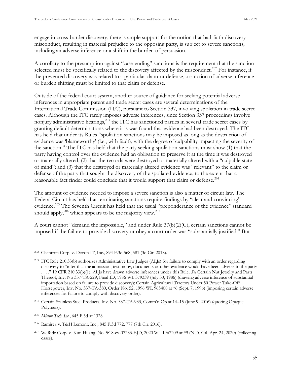engage in cross-border discovery, there is ample support for the notion that bad-faith discovery misconduct, resulting in material prejudice to the opposing party, is subject to severe sanctions, including an adverse inference or a shift in the burden of persuasion.

A corollary to the presumption against "case-ending" sanctions is the requirement that the sanction selected must be specifically related to the discovery affected by the misconduct.<sup>202</sup> For instance, if the prevented discovery was related to a particular claim or defense, a sanction of adverse inference or burden shifting must be limited to that claim or defense.

Outside of the federal court system, another source of guidance for seeking potential adverse inferences in appropriate patent and trade secret cases are several determinations of the International Trade Commission (ITC), pursuant to Section 337, involving spoliation in trade secret cases. Although the ITC rarely imposes adverse inferences, since Section 337 proceedings involve nonjury administrative hearings,<sup>203</sup> the ITC has sanctioned parties in several trade secret cases by granting default determinations where it is was found that evidence had been destroyed. The ITC has held that under its Rules "spoliation sanctions may be imposed as long as the destruction of evidence was 'blameworthy' (i.e., with fault), with the degree of culpability impacting the severity of the sanction." The ITC has held that the party seeking spoliation sanctions must show (1) that the party having control over the evidence had an obligation to preserve it at the time it was destroyed or materially altered; (2) that the records were destroyed or materially altered with a "culpable state of mind"; and (3) that the destroyed or materially altered evidence was "relevant" to the claim or defense of the party that sought the discovery of the spoliated evidence, to the extent that a reasonable fact finder could conclude that it would support that claim or defense.<sup>204</sup>

The amount of evidence needed to impose a severe sanction is also a matter of circuit law. The Federal Circuit has held that terminating sanctions require findings by "clear and convincing" evidence.<sup>205</sup> The Seventh Circuit has held that the usual "preponderance of the evidence" standard should apply,<sup>206</sup> which appears to be the majority view.<sup>207</sup>

A court cannot "demand the impossible," and under Rule  $37(b)(2)(C)$ , certain sanctions cannot be imposed if the failure to provide discovery or obey a court order was "substantially justified." But

<sup>202</sup> Clientron Corp. v. Devon IT, Inc., 894 F.3d 568, 581 (3d Cir. 2018).

<sup>&</sup>lt;sup>203</sup> ITC Rule 210.33(b) authorizes Administrative Law Judges (ALJs) for failure to comply with an order regarding discovery to "infer that the admission, testimony, documents or other evidence would have been adverse to the party . . . ." 19 210.33(b)(1). ALJs have drawn adverse inferences under this Rule. *See* Certain Nut Jewelry and Parts Thereof, Inv. No 337-TA-229, Final ID, 1986 WL 379339 (July 30, 1986) (drawing adverse inference of substantial importation based on failure to provide discovery); Certain Agricultural Tractors Under 50 Power Take-Off Horsepower, Inv. No. 337-TA-380, Order No. 52, 1996 WL 965408 at \*6 (Sept. 7, 1996) (imposing certain adverse inferences for failure to comply with discovery order).

<sup>&</sup>lt;sup>204</sup> Certain Stainless Steel Products, Inv. No. 337-TA-933, Comm'n Op at 14-15 (June 9, 2016) (quoting Opaque Polymers).

<sup>205</sup> *Micron Tech, Inc.*, 645 F.3d at 1328.

<sup>206</sup> Ramirez v. T&H Lemont, Inc., 845 F.3d 772, 777 (7th Cir. 2016).

<sup>207</sup> WeRide Corp. v. Kun Huang, No. 5:18-cv-07233-EJD, 2020 WL 1967209 at \*9 (N.D. Cal. Apr. 24, 2020) (collecting cases).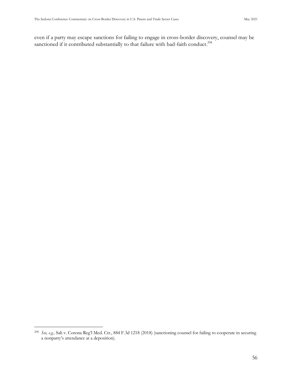even if a party may escape sanctions for failing to engage in cross-border discovery, counsel may be sanctioned if it contributed substantially to that failure with bad-faith conduct.<sup>208</sup>

<sup>208</sup> *See, e.g.,* Sali v. Corona Reg'l Med. Ctr., 884 F.3d 1218 (2018) (sanctioning counsel for failing to cooperate in securing a nonparty's attendance at a deposition).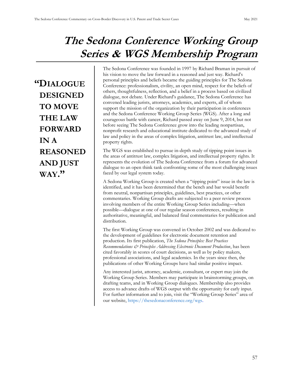### **The Sedona Conference Working Group Series & WGS Membership Program**

**"DIALOGUE DESIGNED TO MOVE THE LAW FORWARD IN A REASONED AND JUST WAY."**

The Sedona Conference was founded in 1997 by Richard Braman in pursuit of his vision to move the law forward in a reasoned and just way. Richard's personal principles and beliefs became the guiding principles for The Sedona Conference: professionalism, civility, an open mind, respect for the beliefs of others, thoughtfulness, reflection, and a belief in a process based on civilized dialogue, not debate. Under Richard's guidance, The Sedona Conference has convened leading jurists, attorneys, academics, and experts, all of whom support the mission of the organization by their participation in conferences and the Sedona Conference Working Group Series (WGS). After a long and courageous battle with cancer, Richard passed away on June 9, 2014, but not before seeing The Sedona Conference grow into the leading nonpartisan, nonprofit research and educational institute dedicated to the advanced study of law and policy in the areas of complex litigation, antitrust law, and intellectual property rights.

The WGS was established to pursue in-depth study of tipping point issues in the areas of antitrust law, complex litigation, and intellectual property rights. It represents the evolution of The Sedona Conference from a forum for advanced dialogue to an open think tank confronting some of the most challenging issues faced by our legal system today.

A Sedona Working Group is created when a "tipping point" issue in the law is identified, and it has been determined that the bench and bar would benefit from neutral, nonpartisan principles, guidelines, best practices, or other commentaries. Working Group drafts are subjected to a peer review process involving members of the entire Working Group Series including—when possible—dialogue at one of our regular season conferences, resulting in authoritative, meaningful, and balanced final commentaries for publication and distribution.

The first Working Group was convened in October 2002 and was dedicated to the development of guidelines for electronic document retention and production. Its first publication, *The Sedona Principles: Best Practices Recommendations & Principles Addressing Electronic Document Production*, has been cited favorably in scores of court decisions, as well as by policy makers, professional associations, and legal academics. In the years since then, the publications of other Working Groups have had similar positive impact.

Any interested jurist, attorney, academic, consultant, or expert may join the Working Group Series. Members may participate in brainstorming groups, on drafting teams, and in Working Group dialogues. Membership also provides access to advance drafts of WGS output with the opportunity for early input. For further information and to join, visit the "Working Group Series" area of our website,<https://thesedonaconference.org/wgs>.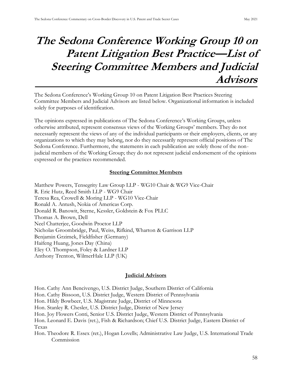### **The Sedona Conference Working Group 10 on Patent Litigation Best Practice—List of Steering Committee Members and Judicial Advisors**

The Sedona Conference's Working Group 10 on Patent Litigation Best Practices Steering Committee Members and Judicial Advisors are listed below. Organizational information is included solely for purposes of identification.

The opinions expressed in publications of The Sedona Conference's Working Groups, unless otherwise attributed, represent consensus views of the Working Groups' members. They do not necessarily represent the views of any of the individual participants or their employers, clients, or any organizations to which they may belong, nor do they necessarily represent official positions of The Sedona Conference. Furthermore, the statements in each publication are solely those of the nonjudicial members of the Working Group; they do not represent judicial endorsement of the opinions expressed or the practices recommended.

#### **Steering Committee Members**

[Matthew Powers, Tensegrity Law Group LLP](https://u8221274.ct.sendgrid.net/wf/click?upn=soZ2-2BfFx4Uc27K3BJAwRFflW-2BRI3vQ3CkKMRTTe5UpSO3wFlEEfsG5ypiAXwoYR7MluS7eIImuRL3u6YJhIbVmMJ-2FGxYZMBgu3Kl-2FKSQXDcUlZTxZ98JweTQokq5L-2FoL3RN0m4LwTdVI6dzjcGbykQ-3D-3D_V7ovksdxbfBvNJWVyAA6qZs3ND-2F9l2qfB9jBKPZmShaKE0xUlcdQdN-2F5v5OqNZP36nf-2B1rgXMCCnrx8FLaSMKVkHS2qMd6WdHtvRHkZANb8eccJLh7agSZlQ97PFjwnNUM3E9-2BDWOrKi3yJFYkauaP-2FFfh3nZaZ-2F2MlMC6i2WTJq9qW7ym1-2BptrcCzBQJ1rxbCAXDpaYeje5Lve-2FCYoDLf-2FQLOIw1gbGI24ljSVIt0Q-3D) - WG10 Chair & WG9 Vice-Chair [R. Eric Hutz, Reed Smith LLP](https://u8221274.ct.sendgrid.net/wf/click?upn=soZ2-2BfFx4Uc27K3BJAwRFflW-2BRI3vQ3CkKMRTTe5UpSO3wFlEEfsG5ypiAXwoYR7MluS7eIImuRL3u6YJhIbVmMJ-2FGxYZMBgu3Kl-2FKSQXDeRDfSXLY6A3jSmDYcw5KWoopJOcyPgXGMnPGCHA4Qj7A-3D-3D_V7ovksdxbfBvNJWVyAA6qZs3ND-2F9l2qfB9jBKPZmShaKE0xUlcdQdN-2F5v5OqNZP36nf-2B1rgXMCCnrx8FLaSMKbXvJ3Eo9HcQnDHKTVkjuESR22OaRBuQvx84AEtxTb6zNj5NKlAOwe1JxUsST9kad8GzbQn-2FhVnhJSWuMVrGJ3NJCWc4lhG-2BZMCJ1XimvB-2FA6zOi5nxvKvonRU7rkFO4AQwr9i8qLQx1ECgNZq118Wg-3D) - WG9 Chair [Teresa Rea, Crowell & Moring LLP](https://u8221274.ct.sendgrid.net/wf/click?upn=soZ2-2BfFx4Uc27K3BJAwRFflW-2BRI3vQ3CkKMRTTe5UpSO3wFlEEfsG5ypiAXwoYR7MluS7eIImuRL3u6YJhIbVmMJ-2FGxYZMBgu3Kl-2FKSQXDe6SyVu7t4Xv3NU8RLxwFbODHaImgrSqSC8Jilm07X62w-3D-3D_V7ovksdxbfBvNJWVyAA6qZs3ND-2F9l2qfB9jBKPZmShaKE0xUlcdQdN-2F5v5OqNZP36nf-2B1rgXMCCnrx8FLaSMKYJ6QeWSydnlhQuruM9pMN2UugmGBzpXRB6g0kr8iDkDEE5VHbJBWeQF7mwicAo5KWlQKnQDK0YDNbydYwTyB14IB1nMoJFRBwDHh0kZu0kwJf-2B-2B0aKl5yw4-2BrqS-2B-2BNuw-2B7qG8mfJUy2ao2tbruR4-2BY-3D) - WG10 Vice-Chair [Ronald A. Antush, Nokia of Americas Corp.](https://u8221274.ct.sendgrid.net/wf/click?upn=soZ2-2BfFx4Uc27K3BJAwRFflW-2BRI3vQ3CkKMRTTe5UpSO3wFlEEfsG5ypiAXwoYR7MluS7eIImuRL3u6YJhIbVmMJ-2FGxYZMBgu3Kl-2FKSQXDc0iTeUEEsPDWBTmkChXKOkFA4u88xHXcHrYU0kZhccew-3D-3D_V7ovksdxbfBvNJWVyAA6qZs3ND-2F9l2qfB9jBKPZmShaKE0xUlcdQdN-2F5v5OqNZP36nf-2B1rgXMCCnrx8FLaSMKble7qIbBwsODscR4bCGpr0KXhrLL-2BmtSjh9abWaCPMlRCHDM-2BaLzSH8SqXnlOqjfMbwea-2FuddsPeie-2B0gV7i3zZRB2r-2BghqOUtBgXsfo8VqIhe0EGepm81stso2jSea20s0jkmpG4DXvwB8mPVdgSk-3D) Donald R. Banowit, Sterne, Kessler, Goldstein & Fox PLLC Thomas A. Brown, Dell [Neel Chatterjee, Goodwin Proctor LLP](https://u8221274.ct.sendgrid.net/wf/click?upn=soZ2-2BfFx4Uc27K3BJAwRFflW-2BRI3vQ3CkKMRTTe5UpSO3wFlEEfsG5ypiAXwoYR7MluS7eIImuRL3u6YJhIbVmMJ-2FGxYZMBgu3Kl-2FKSQXDcSCdOWL82fz-2FeS5V0RQn9-2F8QPu9WmiOf0rFdJRoPSO3A-3D-3D_V7ovksdxbfBvNJWVyAA6qZs3ND-2F9l2qfB9jBKPZmShaKE0xUlcdQdN-2F5v5OqNZP36nf-2B1rgXMCCnrx8FLaSMKfM-2BAUyo6IcGPvyoANDX-2FUhAYSlhElLXrzAfWrsTEoO8p0-2FgKYbyZih0SAZo3-2BH0jU7ZShTPm8MiKmt2Vg-2BSQzT2plkert9zjMlEAD8cY9-2BYv0nyzdElelAwcVaNCZwhzuYgZ6YUg60zn80VEnzO0l8-3D) Nicholas Groombridge, Paul, Weiss, Rifkind, Wharton & Garrison LLP Benjamin Grzimek, Fieldfisher (Germany) Haifeng Huang, Jones Day (China) [Eley O. Thompson, Foley & Lardner LLP](https://u8221274.ct.sendgrid.net/wf/click?upn=soZ2-2BfFx4Uc27K3BJAwRFflW-2BRI3vQ3CkKMRTTe5UpSO3wFlEEfsG5ypiAXwoYR7MluS7eIImuRL3u6YJhIbVmMJ-2FGxYZMBgu3Kl-2FKSQXDea3cUUZg0m34BJV1bEavNzOK4feUk6Cim9iDXNuAbJdw-3D-3D_V7ovksdxbfBvNJWVyAA6qZs3ND-2F9l2qfB9jBKPZmShaKE0xUlcdQdN-2F5v5OqNZP36nf-2B1rgXMCCnrx8FLaSMKWWbp6Z28CMU9UzhsWNgC-2B9W974oxqqa4fzCV3XoAKKIb2YiUhL3fqJnIuj3PQUSFpzPg8b23bkH-2FPsqr-2BrQbTAIR6CHcuWMutDOzVfkqb90Su98vo8yDtvbys1HkKHC3JDJIsI-2Bfl2q99TClJKN12A-3D) Anthony Trenton, WilmerHale LLP (UK)

#### **Judicial Advisors**

Hon. Cathy Ann Bencivengo, U.S. District Judge, Southern District of California Hon. Cathy Bissoon, U.S. District Judge, Western District of Pennsylvania Hon. Hildy Bowbeer, U.S. Magistrate Judge, District of Minnesota Hon. Stanley R. Chesler, U.S. District Judge, District of New Jersey Hon. Joy Flowers Conti, Senior U.S. District Judge, Western District of Pennsylvania Hon. Leonard E. Davis (ret.), Fish & Richardson; Chief U.S. District Judge, Eastern District of Texas Hon. Theodore R. Essex (ret.), Hogan Lovells; Administrative Law Judge, U.S. International Trade Commission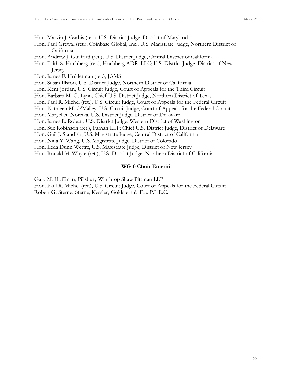Hon. Marvin J. Garbis (ret.), U.S. District Judge, District of Maryland

- Hon. Paul Grewal (ret.), Coinbase Global, Inc.; U.S. Magistrate Judge, Northern District of California
- Hon. Andrew J. Guilford (ret.), U.S. District Judge, Central District of California
- Hon. Faith S. Hochberg (ret.), Hochberg ADR, LLC; U.S. District Judge, District of New Jersey
- Hon. James F. Holderman (ret.), JAMS
- Hon. Susan Illston, U.S. District Judge, Northern District of California
- Hon. Kent Jordan, U.S. Circuit Judge, Court of Appeals for the Third Circuit
- Hon. Barbara M. G. Lynn, Chief U.S. District Judge, Northern District of Texas
- Hon. Paul R. Michel (ret.), U.S. Circuit Judge, Court of Appeals for the Federal Circuit
- Hon. Kathleen M. O'Malley, U.S. Circuit Judge, Court of Appeals for the Federal Circuit
- Hon. Maryellen Noreika, U.S. District Judge, District of Delaware
- Hon. James L. Robart, U.S. District Judge, Western District of Washington
- Hon. Sue Robinson (ret.), Farnan LLP; Chief U.S. District Judge, District of Delaware
- Hon. Gail J. Standish, U.S. Magistrate Judge, Central District of California
- Hon. Nina Y. Wang, U.S. Magistrate Judge, District of Colorado
- Hon. Leda Dunn Wettre, U.S. Magistrate Judge, District of New Jersey
- Hon. Ronald M. Whyte (ret.), U.S. District Judge, Northern District of California

#### **WG10 Chair Emeriti**

- Gary M. Hoffman, Pillsbury Winthrop Shaw Pittman LLP
- Hon. Paul R. Michel (ret.), U.S. Circuit Judge, Court of Appeals for the Federal Circuit Robert G. Sterne, Sterne, Kessler, Goldstein & Fox P.L.L.C.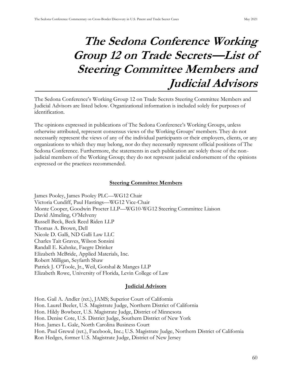## **The Sedona Conference Working Group 12 on Trade Secrets—List of Steering Committee Members and Judicial Advisors**

The Sedona Conference's Working Group 12 on Trade Secrets Steering Committee Members and Judicial Advisors are listed below. Organizational information is included solely for purposes of identification.

The opinions expressed in publications of The Sedona Conference's Working Groups, unless otherwise attributed, represent consensus views of the Working Groups' members. They do not necessarily represent the views of any of the individual participants or their employers, clients, or any organizations to which they may belong, nor do they necessarily represent official positions of The Sedona Conference. Furthermore, the statements in each publication are solely those of the nonjudicial members of the Working Group; they do not represent judicial endorsement of the opinions expressed or the practices recommended.

#### **Steering Committee Members**

James Pooley, James Pooley PLC—WG12 Chair Victoria Cundiff, Paul Hastings—WG12 Vice-Chair Monte Cooper, Goodwin Procter LLP—WG10-WG12 Steering Committee Liaison David Almeling, O'Melveny Russell Beck, Beck Reed Riden LLP Thomas A. Brown, Dell Nicole D. Galli, ND Galli Law LLC Charles Tait Graves, Wilson Sonsini Randall E. Kahnke, Faegre Drinker Elizabeth McBride, Applied Materials, Inc. Robert Milligan, Seyfarth Shaw Patrick J. O'Toole, Jr., Weil, Gotshal & Manges LLP Elizabeth Rowe, University of Florida, Levin College of Law

#### **Judicial Advisors**

Hon. Gail A. Andler (ret.), JAMS; Superior Court of California Hon. Laurel Beeler, U.S. Magistrate Judge, Northern District of California Hon. Hildy Bowbeer, U.S. Magistrate Judge, District of Minnesota Hon. Denise Cote, U.S. District Judge, Southern District of New York Hon. James L. Gale, North Carolina Business Court Hon. Paul Grewal (ret.), Facebook, Inc.; U.S. Magistrate Judge, Northern District of California Ron Hedges, former U.S. Magistrate Judge, District of New Jersey